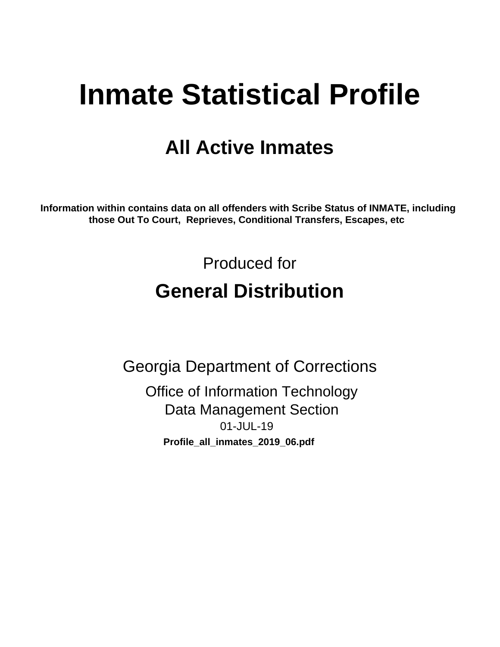# **Inmate Statistical Profile**

## **All Active Inmates**

Information within contains data on all offenders with Scribe Status of INMATE, including those Out To Court, Reprieves, Conditional Transfers, Escapes, etc

> Produced for **General Distribution**

**Georgia Department of Corrections Office of Information Technology Data Management Section** 01-JUL-19 Profile\_all\_inmates\_2019\_06.pdf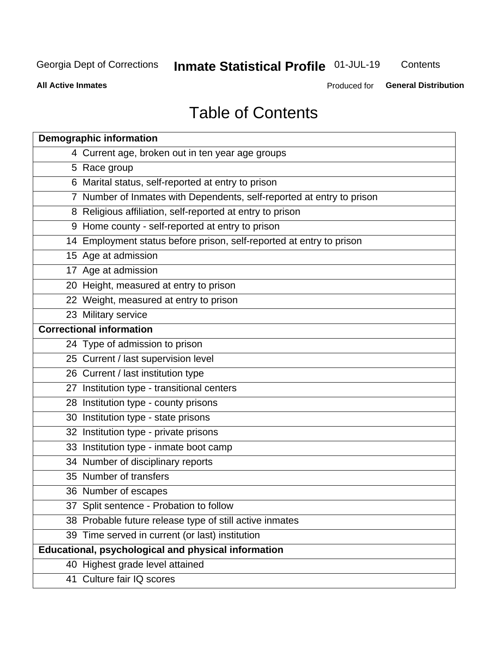## Inmate Statistical Profile 01-JUL-19

Contents

**All Active Inmates** 

Produced for General Distribution

## **Table of Contents**

| <b>Demographic information</b>                                        |
|-----------------------------------------------------------------------|
| 4 Current age, broken out in ten year age groups                      |
| 5 Race group                                                          |
| 6 Marital status, self-reported at entry to prison                    |
| 7 Number of Inmates with Dependents, self-reported at entry to prison |
| 8 Religious affiliation, self-reported at entry to prison             |
| 9 Home county - self-reported at entry to prison                      |
| 14 Employment status before prison, self-reported at entry to prison  |
| 15 Age at admission                                                   |
| 17 Age at admission                                                   |
| 20 Height, measured at entry to prison                                |
| 22 Weight, measured at entry to prison                                |
| 23 Military service                                                   |
| <b>Correctional information</b>                                       |
| 24 Type of admission to prison                                        |
| 25 Current / last supervision level                                   |
| 26 Current / last institution type                                    |
| 27 Institution type - transitional centers                            |
| 28 Institution type - county prisons                                  |
| 30 Institution type - state prisons                                   |
| 32 Institution type - private prisons                                 |
| 33 Institution type - inmate boot camp                                |
| 34 Number of disciplinary reports                                     |
| 35 Number of transfers                                                |
| 36 Number of escapes                                                  |
| 37 Split sentence - Probation to follow                               |
| 38 Probable future release type of still active inmates               |
| 39 Time served in current (or last) institution                       |
| Educational, psychological and physical information                   |
| 40 Highest grade level attained                                       |
| 41 Culture fair IQ scores                                             |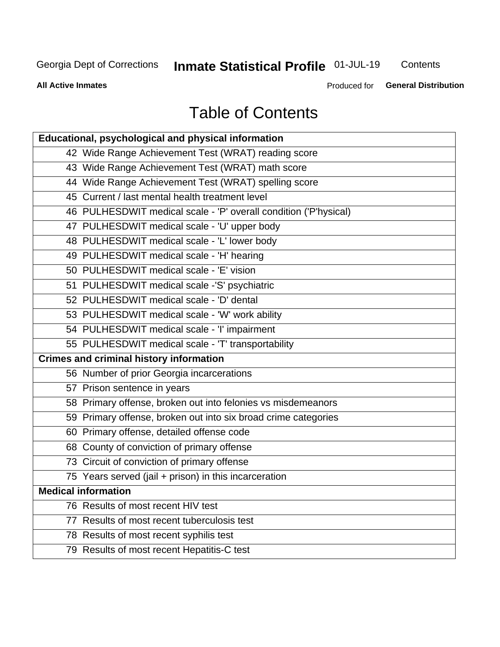## Inmate Statistical Profile 01-JUL-19

Contents

**All Active Inmates** 

Produced for **General Distribution** 

## **Table of Contents**

| Educational, psychological and physical information              |
|------------------------------------------------------------------|
| 42 Wide Range Achievement Test (WRAT) reading score              |
| 43 Wide Range Achievement Test (WRAT) math score                 |
| 44 Wide Range Achievement Test (WRAT) spelling score             |
| 45 Current / last mental health treatment level                  |
| 46 PULHESDWIT medical scale - 'P' overall condition ('P'hysical) |
| 47 PULHESDWIT medical scale - 'U' upper body                     |
| 48 PULHESDWIT medical scale - 'L' lower body                     |
| 49 PULHESDWIT medical scale - 'H' hearing                        |
| 50 PULHESDWIT medical scale - 'E' vision                         |
| 51 PULHESDWIT medical scale -'S' psychiatric                     |
| 52 PULHESDWIT medical scale - 'D' dental                         |
| 53 PULHESDWIT medical scale - 'W' work ability                   |
| 54 PULHESDWIT medical scale - 'I' impairment                     |
| 55 PULHESDWIT medical scale - 'T' transportability               |
| <b>Crimes and criminal history information</b>                   |
| 56 Number of prior Georgia incarcerations                        |
| 57 Prison sentence in years                                      |
| 58 Primary offense, broken out into felonies vs misdemeanors     |
| 59 Primary offense, broken out into six broad crime categories   |
| 60 Primary offense, detailed offense code                        |
| 68 County of conviction of primary offense                       |
| 73 Circuit of conviction of primary offense                      |
| 75 Years served (jail + prison) in this incarceration            |
| <b>Medical information</b>                                       |
| 76 Results of most recent HIV test                               |
| 77 Results of most recent tuberculosis test                      |
| 78 Results of most recent syphilis test                          |
| 79 Results of most recent Hepatitis-C test                       |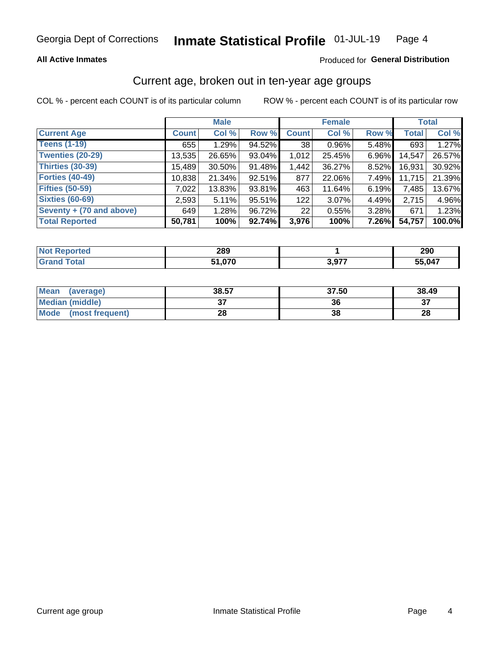#### **All Active Inmates**

#### Produced for General Distribution

## Current age, broken out in ten-year age groups

COL % - percent each COUNT is of its particular column

|                          |              | <b>Male</b> |        |              | <b>Female</b> |          |              | <b>Total</b> |  |
|--------------------------|--------------|-------------|--------|--------------|---------------|----------|--------------|--------------|--|
| <b>Current Age</b>       | <b>Count</b> | Col %       | Row %  | <b>Count</b> | Col %         | Row %    | <b>Total</b> | Col %        |  |
| <b>Teens (1-19)</b>      | 655          | 1.29%       | 94.52% | 38           | $0.96\%$      | 5.48%    | 693          | 1.27%        |  |
| <b>Twenties (20-29)</b>  | 13,535       | 26.65%      | 93.04% | 1,012        | 25.45%        | 6.96%    | 14,547       | 26.57%       |  |
| Thirties (30-39)         | 15,489       | 30.50%      | 91.48% | 1,442        | 36.27%        | $8.52\%$ | 16,931       | 30.92%       |  |
| <b>Forties (40-49)</b>   | 10,838       | 21.34%      | 92.51% | 877          | 22.06%        | 7.49%    | 11,715       | 21.39%       |  |
| <b>Fifties (50-59)</b>   | 7,022        | 13.83%      | 93.81% | 463          | 11.64%        | 6.19%    | 7,485        | 13.67%       |  |
| <b>Sixties (60-69)</b>   | 2,593        | 5.11%       | 95.51% | 122          | $3.07\%$      | 4.49%    | 2,715        | 4.96%        |  |
| Seventy + (70 and above) | 649          | 1.28%       | 96.72% | 22           | 0.55%         | 3.28%    | 671          | 1.23%        |  |
| <b>Total Reported</b>    | 50,781       | 100%        | 92.74% | 3,976        | 100%          | 7.26%    | 54,757       | 100.0%       |  |

| <b>Not Repo</b><br>orted | იიი<br>∠໐ສ |        | 290    |
|--------------------------|------------|--------|--------|
| <b>Fotal</b>             | 07C        | 1 כל ס | 55,047 |

| <b>Mean</b><br>(average)       | 38.57         | 37.50 | 38.49 |
|--------------------------------|---------------|-------|-------|
| Median (middle)                | $\sim$<br>ا پ | 36    | ^¬    |
| <b>Mode</b><br>(most frequent) | 28            | 38    | 28    |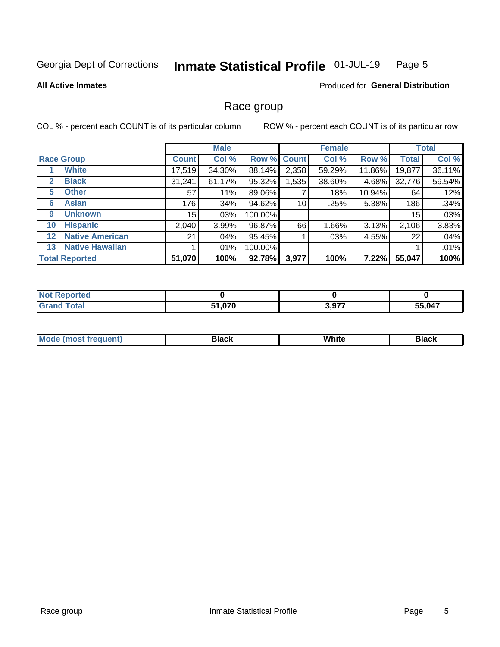#### Inmate Statistical Profile 01-JUL-19 Page 5

#### **All Active Inmates**

#### Produced for General Distribution

### Race group

COL % - percent each COUNT is of its particular column

|                   |                        | <b>Male</b>  |         |         | <b>Female</b> |        |          | <b>Total</b> |        |
|-------------------|------------------------|--------------|---------|---------|---------------|--------|----------|--------------|--------|
|                   | <b>Race Group</b>      | <b>Count</b> | Col %   |         | Row % Count   | Col %  | Row %    | <b>Total</b> | Col %  |
|                   | <b>White</b>           | 17,519       | 34.30%  | 88.14%  | 2,358         | 59.29% | 11.86%   | 19,877       | 36.11% |
| 2                 | <b>Black</b>           | 31,241       | 61.17%  | 95.32%  | ,535          | 38.60% | 4.68%    | 32,776       | 59.54% |
| 5.                | <b>Other</b>           | 57           | .11%    | 89.06%  |               | .18%   | 10.94%   | 64           | .12%   |
| 6                 | <b>Asian</b>           | 176          | .34%    | 94.62%  | 10            | .25%   | 5.38%    | 186          | .34%   |
| 9                 | <b>Unknown</b>         | 15           | $.03\%$ | 100.00% |               |        |          | 15           | .03%   |
| 10                | <b>Hispanic</b>        | 2,040        | 3.99%   | 96.87%  | 66            | 1.66%  | 3.13%    | 2,106        | 3.83%  |
| $12 \overline{ }$ | <b>Native American</b> | 21           | .04%    | 95.45%  |               | .03%   | 4.55%    | 22           | .04%   |
| 13                | <b>Native Hawaiian</b> |              | $.01\%$ | 100.00% |               |        |          |              | .01%   |
|                   | <b>Total Reported</b>  | 51,070       | 100%    | 92.78%  | 3,977         | 100%   | $7.22\%$ | 55,047       | 100%   |

| norted       |               |       |              |
|--------------|---------------|-------|--------------|
| <b>Total</b> | 1,070ذ<br>E4. | 3,977 | 55,047<br>ככ |

| ' Mode | Black | .<br>vvnite | Black |
|--------|-------|-------------|-------|
|        |       |             |       |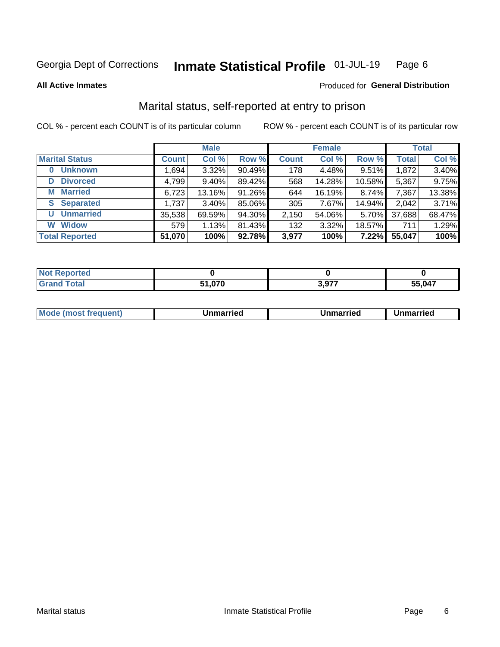#### Inmate Statistical Profile 01-JUL-19 Page 6

**All Active Inmates** 

#### Produced for General Distribution

## Marital status, self-reported at entry to prison

COL % - percent each COUNT is of its particular column

|                            | <b>Male</b>  |          |        |              | <b>Female</b> | <b>Total</b> |              |        |
|----------------------------|--------------|----------|--------|--------------|---------------|--------------|--------------|--------|
| <b>Marital Status</b>      | <b>Count</b> | Col %    | Row %  | <b>Count</b> | Col %         | Row %        | <b>Total</b> | Col %  |
| <b>Unknown</b><br>$\bf{0}$ | 1,694        | $3.32\%$ | 90.49% | 178          | 4.48%         | 9.51%        | 1,872        | 3.40%  |
| <b>Divorced</b><br>D       | 4,799        | $9.40\%$ | 89.42% | 568          | 14.28%        | 10.58%       | 5,367        | 9.75%  |
| <b>Married</b><br>М        | 6,723        | 13.16%   | 91.26% | 644          | 16.19%        | 8.74%        | 7,367        | 13.38% |
| <b>S</b> Separated         | 1,737        | 3.40%    | 85.06% | 305          | 7.67%         | 14.94%       | 2,042        | 3.71%  |
| <b>Unmarried</b><br>U      | 35,538       | 69.59%   | 94.30% | 2,150        | 54.06%        | 5.70%        | 37,688       | 68.47% |
| <b>Widow</b><br>W          | 579          | 1.13%    | 81.43% | 132          | 3.32%         | 18.57%       | 711          | 1.29%  |
| <b>Total Reported</b>      | 51,070       | 100%     | 92.78% | 3,977        | 100%          | 7.22%        | 55,047       | 100%   |

| ∽orted<br><b>NOT</b> |                    |       |        |
|----------------------|--------------------|-------|--------|
| Гоtal                | $\sim$ 0.70 $\sim$ | 2.077 | 55.047 |

|--|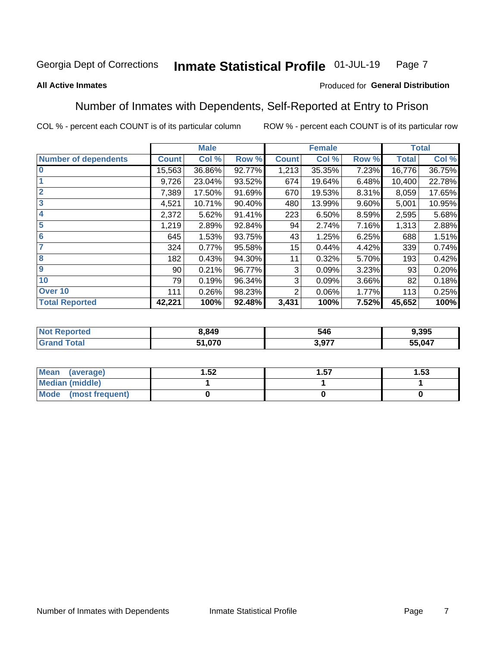#### Inmate Statistical Profile 01-JUL-19 Page 7

#### **All Active Inmates**

#### Produced for General Distribution

## Number of Inmates with Dependents, Self-Reported at Entry to Prison

COL % - percent each COUNT is of its particular column

|                             | <b>Male</b>  |        |        |              | <b>Female</b> | <b>Total</b> |              |        |
|-----------------------------|--------------|--------|--------|--------------|---------------|--------------|--------------|--------|
| <b>Number of dependents</b> | <b>Count</b> | Col %  | Row %  | <b>Count</b> | Col %         | Row %        | <b>Total</b> | Col %  |
| l 0                         | 15,563       | 36.86% | 92.77% | 1,213        | 35.35%        | 7.23%        | 16,776       | 36.75% |
|                             | 9,726        | 23.04% | 93.52% | 674          | 19.64%        | 6.48%        | 10,400       | 22.78% |
| $\overline{2}$              | 7,389        | 17.50% | 91.69% | 670          | 19.53%        | 8.31%        | 8,059        | 17.65% |
| $\overline{\mathbf{3}}$     | 4,521        | 10.71% | 90.40% | 480          | 13.99%        | $9.60\%$     | 5,001        | 10.95% |
| 4                           | 2,372        | 5.62%  | 91.41% | 223          | 6.50%         | 8.59%        | 2,595        | 5.68%  |
| 5                           | 1,219        | 2.89%  | 92.84% | 94           | 2.74%         | 7.16%        | 1,313        | 2.88%  |
| 6                           | 645          | 1.53%  | 93.75% | 43           | 1.25%         | 6.25%        | 688          | 1.51%  |
| 7                           | 324          | 0.77%  | 95.58% | 15           | 0.44%         | 4.42%        | 339          | 0.74%  |
| 8                           | 182          | 0.43%  | 94.30% | 11           | 0.32%         | 5.70%        | 193          | 0.42%  |
| 9                           | 90           | 0.21%  | 96.77% | 3            | 0.09%         | 3.23%        | 93           | 0.20%  |
| 10                          | 79           | 0.19%  | 96.34% | 3            | 0.09%         | 3.66%        | 82           | 0.18%  |
| Over 10                     | 111          | 0.26%  | 98.23% | 2            | 0.06%         | 1.77%        | 113          | 0.25%  |
| <b>Total Reported</b>       | 42,221       | 100%   | 92.48% | 3,431        | 100%          | 7.52%        | 45,652       | 100%   |

| 3,849  | 546                 | 9.395  |
|--------|---------------------|--------|
| 51,070 | 077<br>. <i>.</i> . | 55,047 |

| Mean (average)          | .52 | 57.، | l.53 |
|-------------------------|-----|------|------|
| <b>Median (middle)</b>  |     |      |      |
| Mode<br>(most frequent) |     |      |      |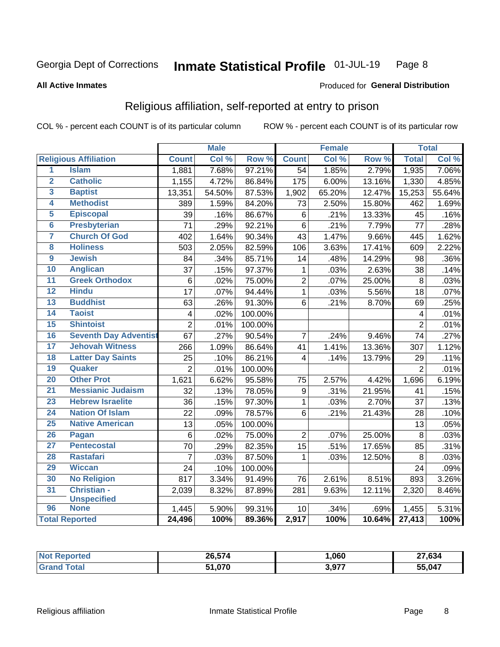#### Inmate Statistical Profile 01-JUL-19 Page 8

#### **All Active Inmates**

#### Produced for General Distribution

## Religious affiliation, self-reported at entry to prison

COL % - percent each COUNT is of its particular column

|                     |                              |                 | <b>Male</b> |         |                  | <b>Female</b> |                  |                | <b>Total</b> |
|---------------------|------------------------------|-----------------|-------------|---------|------------------|---------------|------------------|----------------|--------------|
|                     | <b>Religious Affiliation</b> | <b>Count</b>    | Col %       | Row %   | <b>Count</b>     | Col %         | Row <sup>%</sup> | <b>Total</b>   | Col %        |
| $\overline{1}$      | <b>Islam</b>                 | 1,881           | 7.68%       | 97.21%  | $\overline{54}$  | 1.85%         | 2.79%            | 1,935          | 7.06%        |
| $\overline{2}$      | <b>Catholic</b>              | 1,155           | 4.72%       | 86.84%  | 175              | 6.00%         | 13.16%           | 1,330          | 4.85%        |
| $\overline{3}$      | <b>Baptist</b>               | 13,351          | 54.50%      | 87.53%  | 1,902            | 65.20%        | 12.47%           | 15,253         | 55.64%       |
| 4                   | <b>Methodist</b>             | 389             | 1.59%       | 84.20%  | 73               | 2.50%         | 15.80%           | 462            | 1.69%        |
| 5                   | <b>Episcopal</b>             | 39              | .16%        | 86.67%  | 6                | .21%          | 13.33%           | 45             | .16%         |
| $\overline{\bf{6}}$ | <b>Presbyterian</b>          | 71              | .29%        | 92.21%  | $\,6$            | .21%          | 7.79%            | 77             | .28%         |
| 7                   | <b>Church Of God</b>         | 402             | 1.64%       | 90.34%  | 43               | 1.47%         | 9.66%            | 445            | 1.62%        |
| 8                   | <b>Holiness</b>              | 503             | 2.05%       | 82.59%  | 106              | 3.63%         | 17.41%           | 609            | 2.22%        |
| $\overline{9}$      | <b>Jewish</b>                | 84              | .34%        | 85.71%  | 14               | .48%          | 14.29%           | 98             | .36%         |
| 10                  | <b>Anglican</b>              | 37              | .15%        | 97.37%  | $\mathbf{1}$     | .03%          | 2.63%            | 38             | .14%         |
| $\overline{11}$     | <b>Greek Orthodox</b>        | $\,6$           | .02%        | 75.00%  | $\overline{2}$   | .07%          | 25.00%           | 8              | .03%         |
| 12                  | <b>Hindu</b>                 | $\overline{17}$ | .07%        | 94.44%  | $\overline{1}$   | .03%          | 5.56%            | 18             | .07%         |
| 13                  | <b>Buddhist</b>              | 63              | .26%        | 91.30%  | 6                | .21%          | 8.70%            | 69             | .25%         |
| 14                  | <b>Taoist</b>                | $\overline{4}$  | .02%        | 100.00% |                  |               |                  | 4              | .01%         |
| 15                  | <b>Shintoist</b>             | $\overline{2}$  | .01%        | 100.00% |                  |               |                  | $\overline{2}$ | .01%         |
| 16                  | <b>Seventh Day Adventist</b> | 67              | .27%        | 90.54%  | $\overline{7}$   | .24%          | 9.46%            | 74             | .27%         |
| 17                  | <b>Jehovah Witness</b>       | 266             | 1.09%       | 86.64%  | 41               | 1.41%         | 13.36%           | 307            | 1.12%        |
| 18                  | <b>Latter Day Saints</b>     | 25              | .10%        | 86.21%  | 4                | .14%          | 13.79%           | 29             | .11%         |
| 19                  | Quaker                       | $\overline{2}$  | .01%        | 100.00% |                  |               |                  | $\overline{2}$ | .01%         |
| 20                  | <b>Other Prot</b>            | 1,621           | 6.62%       | 95.58%  | 75               | 2.57%         | 4.42%            | 1,696          | 6.19%        |
| 21                  | <b>Messianic Judaism</b>     | 32              | .13%        | 78.05%  | $\boldsymbol{9}$ | .31%          | 21.95%           | 41             | .15%         |
| 23                  | <b>Hebrew Israelite</b>      | 36              | .15%        | 97.30%  | $\mathbf{1}$     | .03%          | 2.70%            | 37             | .13%         |
| 24                  | <b>Nation Of Islam</b>       | $\overline{22}$ | .09%        | 78.57%  | 6                | .21%          | 21.43%           | 28             | .10%         |
| 25                  | <b>Native American</b>       | 13              | .05%        | 100.00% |                  |               |                  | 13             | .05%         |
| 26                  | Pagan                        | $6\phantom{1}6$ | .02%        | 75.00%  | $\overline{2}$   | .07%          | 25.00%           | 8              | .03%         |
| $\overline{27}$     | <b>Pentecostal</b>           | $\overline{70}$ | .29%        | 82.35%  | $\overline{15}$  | .51%          | 17.65%           | 85             | .31%         |
| 28                  | <b>Rastafari</b>             | $\overline{7}$  | .03%        | 87.50%  | $\mathbf{1}$     | .03%          | 12.50%           | 8              | .03%         |
| 29                  | <b>Wiccan</b>                | 24              | .10%        | 100.00% |                  |               |                  | 24             | .09%         |
| 30                  | <b>No Religion</b>           | 817             | 3.34%       | 91.49%  | 76               | 2.61%         | 8.51%            | 893            | 3.26%        |
| 31                  | Christian -                  | 2,039           | 8.32%       | 87.89%  | 281              | 9.63%         | 12.11%           | 2,320          | 8.46%        |
|                     | <b>Unspecified</b>           |                 |             |         |                  |               |                  |                |              |
| 96                  | <b>None</b>                  | 1,445           | 5.90%       | 99.31%  | 10               | .34%          | .69%             | 1,455          | 5.31%        |
|                     | <b>Total Reported</b>        | 24,496          | 100%        | 89.36%  | 2,917            | 100%          | 10.64%           | 27,413         | 100%         |

| 26,574            | ,060           | 27.21<br>.034 |
|-------------------|----------------|---------------|
| 0.70<br>E4<br>'7L | 2077<br>ו וטוט | 55,047        |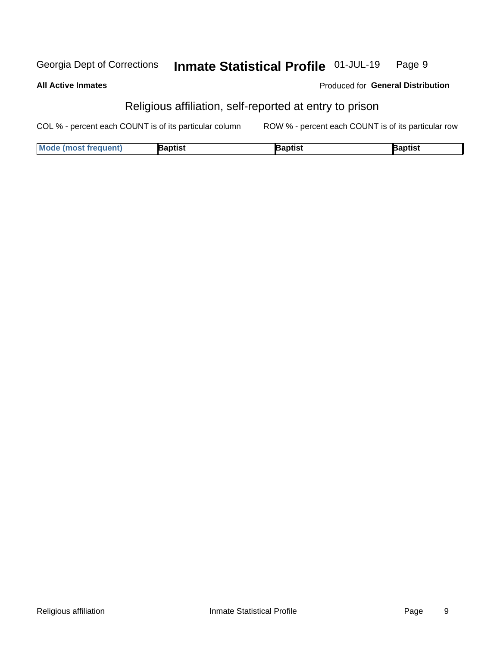#### Inmate Statistical Profile 01-JUL-19 Georgia Dept of Corrections Page 9

**All Active Inmates** 

Produced for General Distribution

## Religious affiliation, self-reported at entry to prison

COL % - percent each COUNT is of its particular column ROW % - percent each COUNT is of its particular row

| <b>Mode (most frequent)</b> | <b>3aptist</b> | }aptist | <b>Baptist</b> |
|-----------------------------|----------------|---------|----------------|
|-----------------------------|----------------|---------|----------------|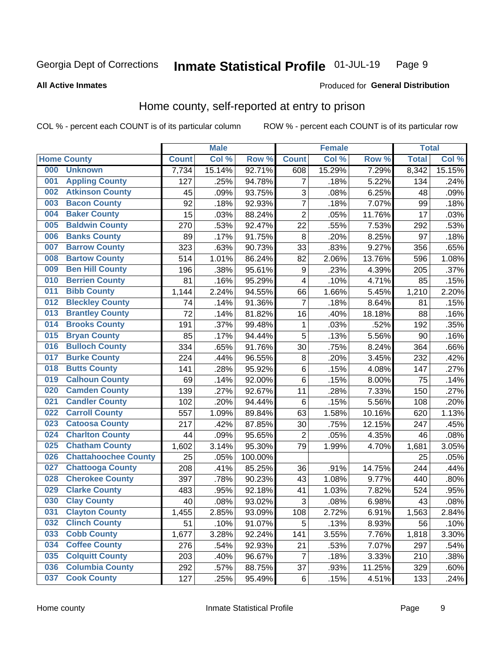#### Inmate Statistical Profile 01-JUL-19 Page 9

#### **All Active Inmates**

#### **Produced for General Distribution**

## Home county, self-reported at entry to prison

COL % - percent each COUNT is of its particular column

|     |                             |              | <b>Male</b> |                  |                  | <b>Female</b> |        | <b>Total</b> |        |
|-----|-----------------------------|--------------|-------------|------------------|------------------|---------------|--------|--------------|--------|
|     | <b>Home County</b>          | <b>Count</b> | Col %       | Row <sup>%</sup> | <b>Count</b>     | Col %         | Row %  | <b>Total</b> | Col %  |
| 000 | <b>Unknown</b>              | 7,734        | 15.14%      | 92.71%           | 608              | 15.29%        | 7.29%  | 8,342        | 15.15% |
| 001 | <b>Appling County</b>       | 127          | .25%        | 94.78%           | 7                | .18%          | 5.22%  | 134          | .24%   |
| 002 | <b>Atkinson County</b>      | 45           | .09%        | 93.75%           | 3                | .08%          | 6.25%  | 48           | .09%   |
| 003 | <b>Bacon County</b>         | 92           | .18%        | 92.93%           | 7                | .18%          | 7.07%  | 99           | .18%   |
| 004 | <b>Baker County</b>         | 15           | .03%        | 88.24%           | $\overline{2}$   | .05%          | 11.76% | 17           | .03%   |
| 005 | <b>Baldwin County</b>       | 270          | .53%        | 92.47%           | 22               | .55%          | 7.53%  | 292          | .53%   |
| 006 | <b>Banks County</b>         | 89           | .17%        | 91.75%           | $\bf 8$          | .20%          | 8.25%  | 97           | .18%   |
| 007 | <b>Barrow County</b>        | 323          | .63%        | 90.73%           | 33               | .83%          | 9.27%  | 356          | .65%   |
| 008 | <b>Bartow County</b>        | 514          | 1.01%       | 86.24%           | 82               | 2.06%         | 13.76% | 596          | 1.08%  |
| 009 | <b>Ben Hill County</b>      | 196          | .38%        | 95.61%           | $\boldsymbol{9}$ | .23%          | 4.39%  | 205          | .37%   |
| 010 | <b>Berrien County</b>       | 81           | .16%        | 95.29%           | 4                | .10%          | 4.71%  | 85           | .15%   |
| 011 | <b>Bibb County</b>          | 1,144        | 2.24%       | 94.55%           | 66               | 1.66%         | 5.45%  | 1,210        | 2.20%  |
| 012 | <b>Bleckley County</b>      | 74           | .14%        | 91.36%           | 7                | .18%          | 8.64%  | 81           | .15%   |
| 013 | <b>Brantley County</b>      | 72           | .14%        | 81.82%           | 16               | .40%          | 18.18% | 88           | .16%   |
| 014 | <b>Brooks County</b>        | 191          | .37%        | 99.48%           | $\mathbf{1}$     | .03%          | .52%   | 192          | .35%   |
| 015 | <b>Bryan County</b>         | 85           | .17%        | 94.44%           | 5                | .13%          | 5.56%  | 90           | .16%   |
| 016 | <b>Bulloch County</b>       | 334          | .65%        | 91.76%           | 30               | .75%          | 8.24%  | 364          | .66%   |
| 017 | <b>Burke County</b>         | 224          | .44%        | 96.55%           | $\bf 8$          | .20%          | 3.45%  | 232          | .42%   |
| 018 | <b>Butts County</b>         | 141          | .28%        | 95.92%           | $\,6$            | .15%          | 4.08%  | 147          | .27%   |
| 019 | <b>Calhoun County</b>       | 69           | .14%        | 92.00%           | 6                | .15%          | 8.00%  | 75           | .14%   |
| 020 | <b>Camden County</b>        | 139          | .27%        | 92.67%           | 11               | .28%          | 7.33%  | 150          | .27%   |
| 021 | <b>Candler County</b>       | 102          | .20%        | 94.44%           | $\,6$            | .15%          | 5.56%  | 108          | .20%   |
| 022 | <b>Carroll County</b>       | 557          | 1.09%       | 89.84%           | 63               | 1.58%         | 10.16% | 620          | 1.13%  |
| 023 | <b>Catoosa County</b>       | 217          | .42%        | 87.85%           | 30               | .75%          | 12.15% | 247          | .45%   |
| 024 | <b>Charlton County</b>      | 44           | .09%        | 95.65%           | 2                | .05%          | 4.35%  | 46           | .08%   |
| 025 | <b>Chatham County</b>       | 1,602        | 3.14%       | 95.30%           | 79               | 1.99%         | 4.70%  | 1,681        | 3.05%  |
| 026 | <b>Chattahoochee County</b> | 25           | .05%        | 100.00%          |                  |               |        | 25           | .05%   |
| 027 | <b>Chattooga County</b>     | 208          | .41%        | 85.25%           | 36               | .91%          | 14.75% | 244          | .44%   |
| 028 | <b>Cherokee County</b>      | 397          | .78%        | 90.23%           | 43               | 1.08%         | 9.77%  | 440          | .80%   |
| 029 | <b>Clarke County</b>        | 483          | .95%        | 92.18%           | 41               | 1.03%         | 7.82%  | 524          | .95%   |
| 030 | <b>Clay County</b>          | 40           | .08%        | 93.02%           | $\mathbf{3}$     | .08%          | 6.98%  | 43           | .08%   |
| 031 | <b>Clayton County</b>       | 1,455        | 2.85%       | 93.09%           | 108              | 2.72%         | 6.91%  | 1,563        | 2.84%  |
| 032 | <b>Clinch County</b>        | 51           | .10%        | 91.07%           | 5                | .13%          | 8.93%  | 56           | .10%   |
| 033 | <b>Cobb County</b>          | 1,677        | 3.28%       | 92.24%           | 141              | 3.55%         | 7.76%  | 1,818        | 3.30%  |
| 034 | <b>Coffee County</b>        | 276          | .54%        | 92.93%           | 21               | .53%          | 7.07%  | 297          | .54%   |
| 035 | <b>Colquitt County</b>      | 203          | .40%        | 96.67%           | $\overline{7}$   | .18%          | 3.33%  | 210          | .38%   |
| 036 | <b>Columbia County</b>      | 292          | .57%        | 88.75%           | 37               | .93%          | 11.25% | 329          | .60%   |
| 037 | <b>Cook County</b>          | 127          | .25%        | 95.49%           | $\,6$            | .15%          | 4.51%  | 133          | .24%   |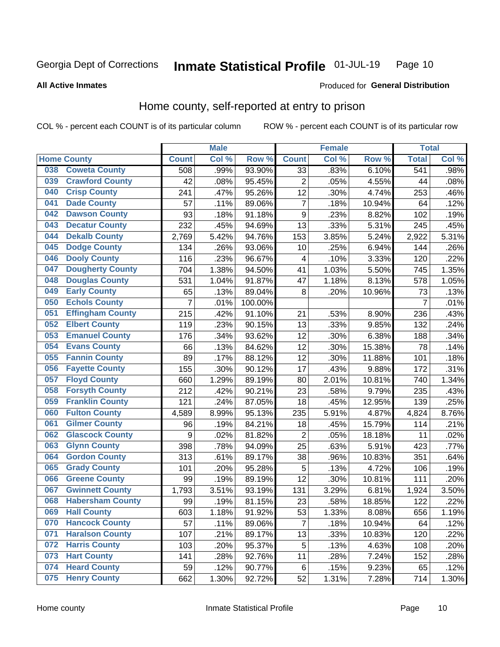#### Inmate Statistical Profile 01-JUL-19 Page 10

#### **All Active Inmates**

#### Produced for General Distribution

## Home county, self-reported at entry to prison

COL % - percent each COUNT is of its particular column

|     |                         |                  | <b>Male</b> |         |                  | <b>Female</b> |        | <b>Total</b>   |       |
|-----|-------------------------|------------------|-------------|---------|------------------|---------------|--------|----------------|-------|
|     | <b>Home County</b>      | <b>Count</b>     | Col %       | Row %   | <b>Count</b>     | Col %         | Row %  | <b>Total</b>   | Col % |
| 038 | <b>Coweta County</b>    | 508              | .99%        | 93.90%  | $\overline{33}$  | .83%          | 6.10%  | 541            | .98%  |
| 039 | <b>Crawford County</b>  | 42               | .08%        | 95.45%  | $\overline{2}$   | .05%          | 4.55%  | 44             | .08%  |
| 040 | <b>Crisp County</b>     | 241              | .47%        | 95.26%  | 12               | .30%          | 4.74%  | 253            | .46%  |
| 041 | <b>Dade County</b>      | 57               | .11%        | 89.06%  | $\overline{7}$   | .18%          | 10.94% | 64             | .12%  |
| 042 | <b>Dawson County</b>    | 93               | .18%        | 91.18%  | $\boldsymbol{9}$ | .23%          | 8.82%  | 102            | .19%  |
| 043 | <b>Decatur County</b>   | 232              | .45%        | 94.69%  | 13               | .33%          | 5.31%  | 245            | .45%  |
| 044 | <b>Dekalb County</b>    | 2,769            | 5.42%       | 94.76%  | 153              | 3.85%         | 5.24%  | 2,922          | 5.31% |
| 045 | <b>Dodge County</b>     | 134              | .26%        | 93.06%  | 10               | .25%          | 6.94%  | 144            | .26%  |
| 046 | <b>Dooly County</b>     | 116              | .23%        | 96.67%  | 4                | .10%          | 3.33%  | 120            | .22%  |
| 047 | <b>Dougherty County</b> | 704              | 1.38%       | 94.50%  | 41               | 1.03%         | 5.50%  | 745            | 1.35% |
| 048 | <b>Douglas County</b>   | 531              | 1.04%       | 91.87%  | 47               | 1.18%         | 8.13%  | 578            | 1.05% |
| 049 | <b>Early County</b>     | 65               | .13%        | 89.04%  | 8                | .20%          | 10.96% | 73             | .13%  |
| 050 | <b>Echols County</b>    | 7                | .01%        | 100.00% |                  |               |        | $\overline{7}$ | .01%  |
| 051 | <b>Effingham County</b> | 215              | .42%        | 91.10%  | 21               | .53%          | 8.90%  | 236            | .43%  |
| 052 | <b>Elbert County</b>    | 119              | .23%        | 90.15%  | 13               | .33%          | 9.85%  | 132            | .24%  |
| 053 | <b>Emanuel County</b>   | 176              | .34%        | 93.62%  | 12               | .30%          | 6.38%  | 188            | .34%  |
| 054 | <b>Evans County</b>     | 66               | .13%        | 84.62%  | 12               | .30%          | 15.38% | 78             | .14%  |
| 055 | <b>Fannin County</b>    | 89               | .17%        | 88.12%  | 12               | .30%          | 11.88% | 101            | .18%  |
| 056 | <b>Fayette County</b>   | 155              | .30%        | 90.12%  | 17               | .43%          | 9.88%  | 172            | .31%  |
| 057 | <b>Floyd County</b>     | 660              | 1.29%       | 89.19%  | 80               | 2.01%         | 10.81% | 740            | 1.34% |
| 058 | <b>Forsyth County</b>   | 212              | .42%        | 90.21%  | 23               | .58%          | 9.79%  | 235            | .43%  |
| 059 | <b>Franklin County</b>  | 121              | .24%        | 87.05%  | 18               | .45%          | 12.95% | 139            | .25%  |
| 060 | <b>Fulton County</b>    | 4,589            | 8.99%       | 95.13%  | 235              | 5.91%         | 4.87%  | 4,824          | 8.76% |
| 061 | <b>Gilmer County</b>    | 96               | .19%        | 84.21%  | 18               | .45%          | 15.79% | 114            | .21%  |
| 062 | <b>Glascock County</b>  | $\boldsymbol{9}$ | .02%        | 81.82%  | $\overline{2}$   | .05%          | 18.18% | 11             | .02%  |
| 063 | <b>Glynn County</b>     | 398              | .78%        | 94.09%  | 25               | .63%          | 5.91%  | 423            | .77%  |
| 064 | <b>Gordon County</b>    | 313              | .61%        | 89.17%  | 38               | .96%          | 10.83% | 351            | .64%  |
| 065 | <b>Grady County</b>     | 101              | .20%        | 95.28%  | 5                | .13%          | 4.72%  | 106            | .19%  |
| 066 | <b>Greene County</b>    | 99               | .19%        | 89.19%  | 12               | .30%          | 10.81% | 111            | .20%  |
| 067 | <b>Gwinnett County</b>  | 1,793            | 3.51%       | 93.19%  | 131              | 3.29%         | 6.81%  | 1,924          | 3.50% |
| 068 | <b>Habersham County</b> | 99               | .19%        | 81.15%  | 23               | .58%          | 18.85% | 122            | .22%  |
| 069 | <b>Hall County</b>      | 603              | 1.18%       | 91.92%  | 53               | 1.33%         | 8.08%  | 656            | 1.19% |
| 070 | <b>Hancock County</b>   | 57               | .11%        | 89.06%  | $\overline{7}$   | .18%          | 10.94% | 64             | .12%  |
| 071 | <b>Haralson County</b>  | 107              | .21%        | 89.17%  | 13               | .33%          | 10.83% | 120            | .22%  |
| 072 | <b>Harris County</b>    | 103              | .20%        | 95.37%  | 5                | .13%          | 4.63%  | 108            | .20%  |
| 073 | <b>Hart County</b>      | 141              | .28%        | 92.76%  | 11               | .28%          | 7.24%  | 152            | .28%  |
| 074 | <b>Heard County</b>     | 59               | .12%        | 90.77%  | $\,6$            | .15%          | 9.23%  | 65             | .12%  |
| 075 | <b>Henry County</b>     | 662              | 1.30%       | 92.72%  | 52               | 1.31%         | 7.28%  | 714            | 1.30% |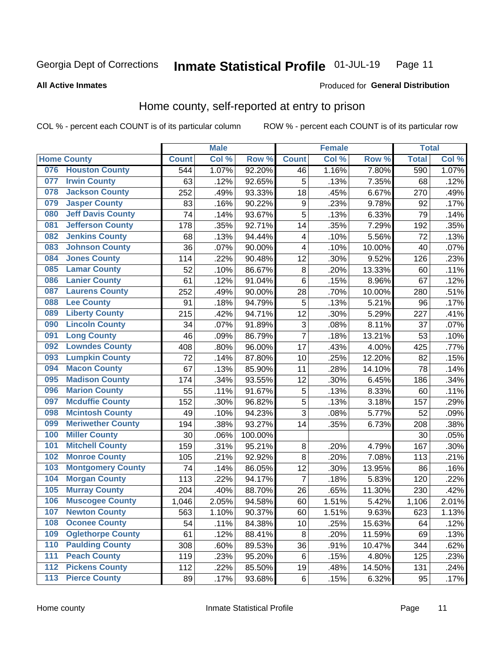#### Inmate Statistical Profile 01-JUL-19 Page 11

**All Active Inmates** 

#### Produced for General Distribution

## Home county, self-reported at entry to prison

COL % - percent each COUNT is of its particular column

|                  |                          |              | <b>Male</b> |                  |                         | <b>Female</b> |        | <b>Total</b> |       |
|------------------|--------------------------|--------------|-------------|------------------|-------------------------|---------------|--------|--------------|-------|
|                  | <b>Home County</b>       | <b>Count</b> | Col %       | Row <sup>%</sup> | <b>Count</b>            | Col %         | Row %  | <b>Total</b> | Col % |
| 076              | <b>Houston County</b>    | 544          | 1.07%       | 92.20%           | 46                      | 1.16%         | 7.80%  | 590          | 1.07% |
| 077              | <b>Irwin County</b>      | 63           | .12%        | 92.65%           | 5                       | .13%          | 7.35%  | 68           | .12%  |
| 078              | <b>Jackson County</b>    | 252          | .49%        | 93.33%           | 18                      | .45%          | 6.67%  | 270          | .49%  |
| 079              | <b>Jasper County</b>     | 83           | .16%        | 90.22%           | $\boldsymbol{9}$        | .23%          | 9.78%  | 92           | .17%  |
| 080              | <b>Jeff Davis County</b> | 74           | .14%        | 93.67%           | 5                       | .13%          | 6.33%  | 79           | .14%  |
| 081              | <b>Jefferson County</b>  | 178          | .35%        | 92.71%           | 14                      | .35%          | 7.29%  | 192          | .35%  |
| 082              | <b>Jenkins County</b>    | 68           | .13%        | 94.44%           | $\overline{\mathbf{4}}$ | .10%          | 5.56%  | 72           | .13%  |
| 083              | <b>Johnson County</b>    | 36           | .07%        | 90.00%           | $\overline{\mathbf{4}}$ | .10%          | 10.00% | 40           | .07%  |
| 084              | <b>Jones County</b>      | 114          | .22%        | 90.48%           | 12                      | .30%          | 9.52%  | 126          | .23%  |
| 085              | <b>Lamar County</b>      | 52           | .10%        | 86.67%           | $\bf 8$                 | .20%          | 13.33% | 60           | .11%  |
| 086              | <b>Lanier County</b>     | 61           | .12%        | 91.04%           | 6                       | .15%          | 8.96%  | 67           | .12%  |
| 087              | <b>Laurens County</b>    | 252          | .49%        | 90.00%           | 28                      | .70%          | 10.00% | 280          | .51%  |
| 088              | <b>Lee County</b>        | 91           | .18%        | 94.79%           | 5                       | .13%          | 5.21%  | 96           | .17%  |
| 089              | <b>Liberty County</b>    | 215          | .42%        | 94.71%           | 12                      | .30%          | 5.29%  | 227          | .41%  |
| 090              | <b>Lincoln County</b>    | 34           | .07%        | 91.89%           | 3                       | .08%          | 8.11%  | 37           | .07%  |
| 091              | <b>Long County</b>       | 46           | .09%        | 86.79%           | $\overline{7}$          | .18%          | 13.21% | 53           | .10%  |
| 092              | <b>Lowndes County</b>    | 408          | .80%        | 96.00%           | 17                      | .43%          | 4.00%  | 425          | .77%  |
| 093              | <b>Lumpkin County</b>    | 72           | .14%        | 87.80%           | 10                      | .25%          | 12.20% | 82           | .15%  |
| 094              | <b>Macon County</b>      | 67           | .13%        | 85.90%           | 11                      | .28%          | 14.10% | 78           | .14%  |
| 095              | <b>Madison County</b>    | 174          | .34%        | 93.55%           | 12                      | .30%          | 6.45%  | 186          | .34%  |
| 096              | <b>Marion County</b>     | 55           | .11%        | 91.67%           | 5                       | .13%          | 8.33%  | 60           | .11%  |
| 097              | <b>Mcduffie County</b>   | 152          | .30%        | 96.82%           | 5                       | .13%          | 3.18%  | 157          | .29%  |
| 098              | <b>Mcintosh County</b>   | 49           | .10%        | 94.23%           | 3                       | .08%          | 5.77%  | 52           | .09%  |
| 099              | <b>Meriwether County</b> | 194          | .38%        | 93.27%           | 14                      | .35%          | 6.73%  | 208          | .38%  |
| 100              | <b>Miller County</b>     | 30           | .06%        | 100.00%          |                         |               |        | 30           | .05%  |
| 101              | <b>Mitchell County</b>   | 159          | .31%        | 95.21%           | $\bf 8$                 | .20%          | 4.79%  | 167          | .30%  |
| 102              | <b>Monroe County</b>     | 105          | .21%        | 92.92%           | 8                       | .20%          | 7.08%  | 113          | .21%  |
| 103              | <b>Montgomery County</b> | 74           | .14%        | 86.05%           | 12                      | .30%          | 13.95% | 86           | .16%  |
| 104              | <b>Morgan County</b>     | 113          | .22%        | 94.17%           | $\overline{7}$          | .18%          | 5.83%  | 120          | .22%  |
| 105              | <b>Murray County</b>     | 204          | .40%        | 88.70%           | 26                      | .65%          | 11.30% | 230          | .42%  |
| 106              | <b>Muscogee County</b>   | 1,046        | 2.05%       | 94.58%           | 60                      | 1.51%         | 5.42%  | 1,106        | 2.01% |
| 107              | <b>Newton County</b>     | 563          | 1.10%       | 90.37%           | 60                      | 1.51%         | 9.63%  | 623          | 1.13% |
| 108              | <b>Oconee County</b>     | 54           | .11%        | 84.38%           | 10                      | .25%          | 15.63% | 64           | .12%  |
| 109              | <b>Oglethorpe County</b> | 61           | .12%        | 88.41%           | 8                       | .20%          | 11.59% | 69           | .13%  |
| 110              | <b>Paulding County</b>   | 308          | .60%        | 89.53%           | 36                      | .91%          | 10.47% | 344          | .62%  |
| 111              | <b>Peach County</b>      | 119          | .23%        | 95.20%           | 6                       | .15%          | 4.80%  | 125          | .23%  |
| $\overline{112}$ | <b>Pickens County</b>    | 112          | .22%        | 85.50%           | 19                      | .48%          | 14.50% | 131          | .24%  |
| 113              | <b>Pierce County</b>     | 89           | .17%        | 93.68%           | $\,6$                   | .15%          | 6.32%  | 95           | .17%  |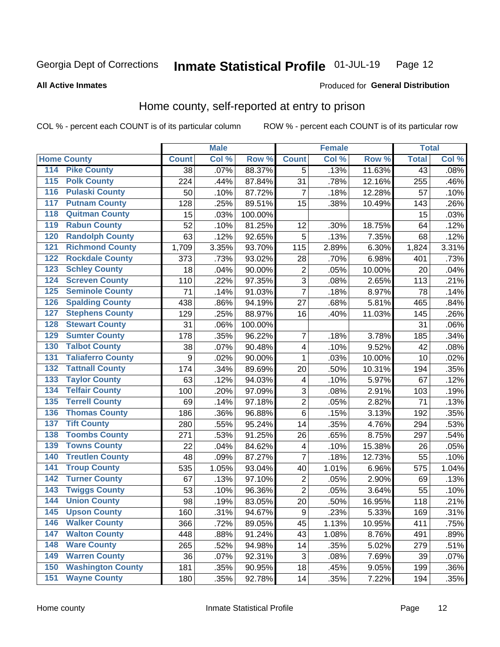#### Inmate Statistical Profile 01-JUL-19 Page 12

**All Active Inmates** 

#### Produced for General Distribution

## Home county, self-reported at entry to prison

COL % - percent each COUNT is of its particular column

|                    |                          |              | <b>Male</b> |         |                         | <b>Female</b> |        | <b>Total</b>    |       |
|--------------------|--------------------------|--------------|-------------|---------|-------------------------|---------------|--------|-----------------|-------|
| <b>Home County</b> |                          | <b>Count</b> | Col %       | Row %   | <b>Count</b>            | Col %         | Row %  | <b>Total</b>    | Col % |
| 114                | <b>Pike County</b>       | 38           | .07%        | 88.37%  | 5                       | .13%          | 11.63% | $\overline{43}$ | .08%  |
| 115                | <b>Polk County</b>       | 224          | .44%        | 87.84%  | 31                      | .78%          | 12.16% | 255             | .46%  |
| 116                | <b>Pulaski County</b>    | 50           | .10%        | 87.72%  | $\overline{7}$          | .18%          | 12.28% | 57              | .10%  |
| 117                | <b>Putnam County</b>     | 128          | .25%        | 89.51%  | 15                      | .38%          | 10.49% | 143             | .26%  |
| 118                | <b>Quitman County</b>    | 15           | .03%        | 100.00% |                         |               |        | 15              | .03%  |
| 119                | <b>Rabun County</b>      | 52           | .10%        | 81.25%  | 12                      | .30%          | 18.75% | 64              | .12%  |
| 120                | <b>Randolph County</b>   | 63           | .12%        | 92.65%  | 5                       | .13%          | 7.35%  | 68              | .12%  |
| 121                | <b>Richmond County</b>   | 1,709        | 3.35%       | 93.70%  | 115                     | 2.89%         | 6.30%  | 1,824           | 3.31% |
| 122                | <b>Rockdale County</b>   | 373          | .73%        | 93.02%  | 28                      | .70%          | 6.98%  | 401             | .73%  |
| 123                | <b>Schley County</b>     | 18           | .04%        | 90.00%  | $\overline{2}$          | .05%          | 10.00% | 20              | .04%  |
| 124                | <b>Screven County</b>    | 110          | .22%        | 97.35%  | $\overline{3}$          | .08%          | 2.65%  | 113             | .21%  |
| 125                | <b>Seminole County</b>   | 71           | .14%        | 91.03%  | 7                       | .18%          | 8.97%  | 78              | .14%  |
| 126                | <b>Spalding County</b>   | 438          | .86%        | 94.19%  | 27                      | .68%          | 5.81%  | 465             | .84%  |
| 127                | <b>Stephens County</b>   | 129          | .25%        | 88.97%  | 16                      | .40%          | 11.03% | 145             | .26%  |
| 128                | <b>Stewart County</b>    | 31           | .06%        | 100.00% |                         |               |        | 31              | .06%  |
| 129                | <b>Sumter County</b>     | 178          | .35%        | 96.22%  | 7                       | .18%          | 3.78%  | 185             | .34%  |
| 130                | <b>Talbot County</b>     | 38           | .07%        | 90.48%  | 4                       | .10%          | 9.52%  | 42              | .08%  |
| 131                | <b>Taliaferro County</b> | 9            | .02%        | 90.00%  | 1                       | .03%          | 10.00% | 10              | .02%  |
| 132                | <b>Tattnall County</b>   | 174          | .34%        | 89.69%  | 20                      | .50%          | 10.31% | 194             | .35%  |
| 133                | <b>Taylor County</b>     | 63           | .12%        | 94.03%  | $\overline{\mathbf{4}}$ | .10%          | 5.97%  | 67              | .12%  |
| 134                | <b>Telfair County</b>    | 100          | .20%        | 97.09%  | 3                       | .08%          | 2.91%  | 103             | .19%  |
| 135                | <b>Terrell County</b>    | 69           | .14%        | 97.18%  | $\mathbf 2$             | .05%          | 2.82%  | 71              | .13%  |
| 136                | <b>Thomas County</b>     | 186          | .36%        | 96.88%  | $\overline{6}$          | .15%          | 3.13%  | 192             | .35%  |
| 137                | <b>Tift County</b>       | 280          | .55%        | 95.24%  | 14                      | .35%          | 4.76%  | 294             | .53%  |
| 138                | <b>Toombs County</b>     | 271          | .53%        | 91.25%  | 26                      | .65%          | 8.75%  | 297             | .54%  |
| 139                | <b>Towns County</b>      | 22           | .04%        | 84.62%  | 4                       | .10%          | 15.38% | 26              | .05%  |
| 140                | <b>Treutlen County</b>   | 48           | .09%        | 87.27%  | 7                       | .18%          | 12.73% | 55              | .10%  |
| 141                | <b>Troup County</b>      | 535          | 1.05%       | 93.04%  | 40                      | 1.01%         | 6.96%  | 575             | 1.04% |
| $\overline{142}$   | <b>Turner County</b>     | 67           | .13%        | 97.10%  | $\overline{c}$          | .05%          | 2.90%  | 69              | .13%  |
| 143                | <b>Twiggs County</b>     | 53           | .10%        | 96.36%  | $\overline{2}$          | .05%          | 3.64%  | 55              | .10%  |
| 144                | <b>Union County</b>      | 98           | .19%        | 83.05%  | 20                      | .50%          | 16.95% | 118             | .21%  |
| 145                | <b>Upson County</b>      | 160          | .31%        | 94.67%  | 9                       | .23%          | 5.33%  | 169             | .31%  |
| 146                | <b>Walker County</b>     | 366          | .72%        | 89.05%  | 45                      | 1.13%         | 10.95% | 411             | .75%  |
| 147                | <b>Walton County</b>     | 448          | .88%        | 91.24%  | 43                      | 1.08%         | 8.76%  | 491             | .89%  |
| 148                | <b>Ware County</b>       | 265          | .52%        | 94.98%  | 14                      | .35%          | 5.02%  | 279             | .51%  |
| 149                | <b>Warren County</b>     | 36           | .07%        | 92.31%  | 3                       | .08%          | 7.69%  | 39              | .07%  |
| 150                | <b>Washington County</b> | 181          | .35%        | 90.95%  | 18                      | .45%          | 9.05%  | 199             | .36%  |
| 151                | <b>Wayne County</b>      | 180          | .35%        | 92.78%  | 14                      | .35%          | 7.22%  | 194             | .35%  |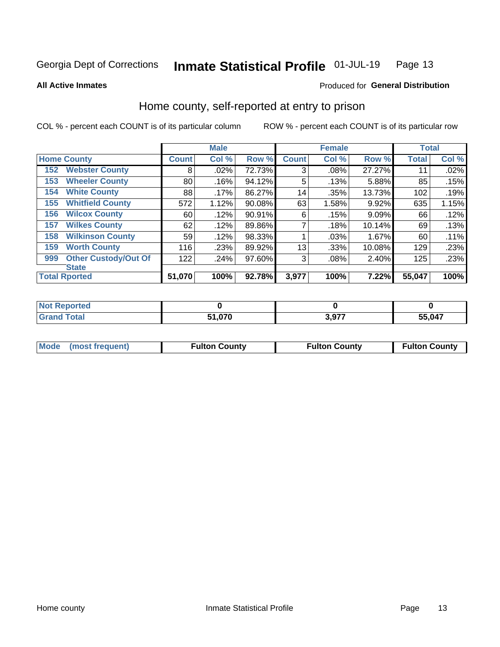#### Inmate Statistical Profile 01-JUL-19 Page 13

**All Active Inmates** 

#### Produced for General Distribution

## Home county, self-reported at entry to prison

COL % - percent each COUNT is of its particular column

|     |                             |              | <b>Male</b> |        |              | <b>Female</b> |        | <b>Total</b> |       |
|-----|-----------------------------|--------------|-------------|--------|--------------|---------------|--------|--------------|-------|
|     | <b>Home County</b>          | <b>Count</b> | Col %       | Row %  | <b>Count</b> | Col %         | Row %  | <b>Total</b> | Col % |
| 152 | <b>Webster County</b>       | 8            | .02%        | 72.73% | 3            | .08%          | 27.27% | 11           | .02%  |
| 153 | <b>Wheeler County</b>       | 80           | .16%        | 94.12% | 5            | .13%          | 5.88%  | 85           | .15%  |
| 154 | <b>White County</b>         | 88           | $.17\%$     | 86.27% | 14           | .35%          | 13.73% | 102          | .19%  |
| 155 | <b>Whitfield County</b>     | 572          | 1.12%       | 90.08% | 63           | 1.58%         | 9.92%  | 635          | 1.15% |
| 156 | <b>Wilcox County</b>        | 60           | .12%        | 90.91% | 6            | .15%          | 9.09%  | 66           | .12%  |
| 157 | <b>Wilkes County</b>        | 62           | .12%        | 89.86% | 7            | .18%          | 10.14% | 69           | .13%  |
| 158 | <b>Wilkinson County</b>     | 59           | .12%        | 98.33% |              | .03%          | 1.67%  | 60           | .11%  |
| 159 | <b>Worth County</b>         | 116          | .23%        | 89.92% | 13           | .33%          | 10.08% | 129          | .23%  |
| 999 | <b>Other Custody/Out Of</b> | 122          | .24%        | 97.60% | 3            | .08%          | 2.40%  | 125          | .23%  |
|     | <b>State</b>                |              |             |        |              |               |        |              |       |
|     | <b>Total Rported</b>        | 51,070       | 100%        | 92.78% | 3,977        | 100%          | 7.22%  | 55,047       | 100%  |

| ાલવ |            |       |        |
|-----|------------|-------|--------|
|     | 070<br>C 4 | 2.077 | 55,047 |

|  | Mode (most frequent) | <b>Fulton County</b> | <b>Fulton County</b> | <b>Fulton County</b> |
|--|----------------------|----------------------|----------------------|----------------------|
|--|----------------------|----------------------|----------------------|----------------------|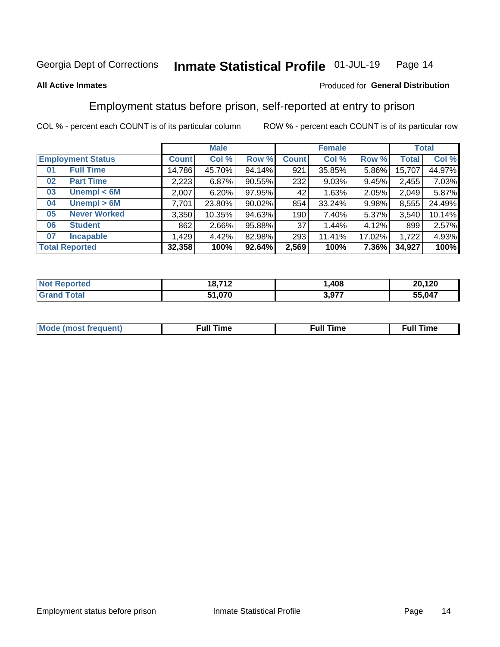#### Inmate Statistical Profile 01-JUL-19 Page 14

#### **All Active Inmates**

#### Produced for General Distribution

## Employment status before prison, self-reported at entry to prison

COL % - percent each COUNT is of its particular column

|                           | <b>Male</b>  |          |        | <b>Female</b>   |        |        | <b>Total</b> |        |
|---------------------------|--------------|----------|--------|-----------------|--------|--------|--------------|--------|
| <b>Employment Status</b>  | <b>Count</b> | Col %    | Row %  | <b>Count</b>    | Col %  | Row %  | <b>Total</b> | Col %  |
| <b>Full Time</b><br>01    | 14,786       | 45.70%   | 94.14% | 921             | 35.85% | 5.86%  | 15,707       | 44.97% |
| <b>Part Time</b><br>02    | 2,223        | 6.87%    | 90.55% | 232             | 9.03%  | 9.45%  | 2,455        | 7.03%  |
| Unempl $<$ 6M<br>03       | 2,007        | 6.20%    | 97.95% | 42 <sup>1</sup> | 1.63%  | 2.05%  | 2,049        | 5.87%  |
| Unempl > 6M<br>04         | 7,701        | 23.80%   | 90.02% | 854             | 33.24% | 9.98%  | 8,555        | 24.49% |
| <b>Never Worked</b><br>05 | 3,350        | 10.35%   | 94.63% | 190             | 7.40%  | 5.37%  | 3,540        | 10.14% |
| <b>Student</b><br>06      | 862          | $2.66\%$ | 95.88% | 37              | 1.44%  | 4.12%  | 899          | 2.57%  |
| 07<br><b>Incapable</b>    | 1,429        | 4.42%    | 82.98% | 293             | 11.41% | 17.02% | 1,722        | 4.93%  |
| <b>Total Reported</b>     | 32,358       | 100%     | 92.64% | 2,569           | 100%   | 7.36%  | 34,927       | 100%   |

| Reported<br><b>NOT</b> | 18,712 | 408   | 20 120<br>74. . |
|------------------------|--------|-------|-----------------|
| int<br>. Grs           | 51,070 | 3,977 | 55,047          |

| Mc | ----<br>me<br>ш | nc<br>. |
|----|-----------------|---------|
|    |                 |         |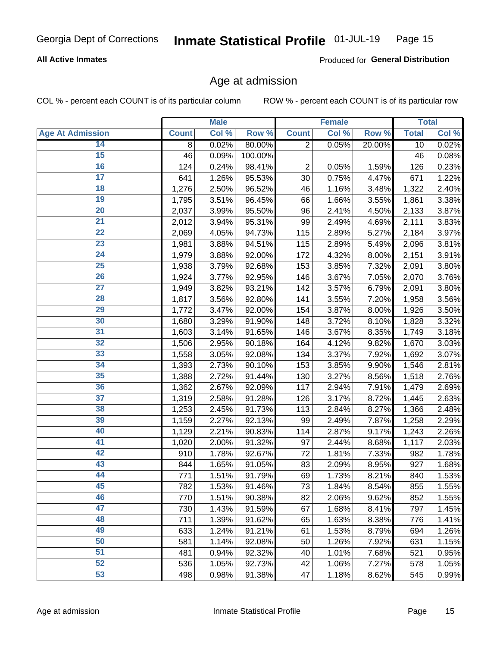#### **All Active Inmates**

Produced for General Distribution

## Age at admission

COL % - percent each COUNT is of its particular column

|                         |              | <b>Male</b> |         |                | <b>Female</b> |        |              | <b>Total</b> |
|-------------------------|--------------|-------------|---------|----------------|---------------|--------|--------------|--------------|
| <b>Age At Admission</b> | <b>Count</b> | Col %       | Row %   | <b>Count</b>   | Col %         | Row %  | <b>Total</b> | Col %        |
| 14                      | 8            | 0.02%       | 80.00%  | $\overline{2}$ | 0.05%         | 20.00% | 10           | 0.02%        |
| 15                      | 46           | 0.09%       | 100.00% |                |               |        | 46           | 0.08%        |
| 16                      | 124          | 0.24%       | 98.41%  | 2              | 0.05%         | 1.59%  | 126          | 0.23%        |
| $\overline{17}$         | 641          | 1.26%       | 95.53%  | 30             | 0.75%         | 4.47%  | 671          | 1.22%        |
| $\overline{18}$         | 1,276        | 2.50%       | 96.52%  | 46             | 1.16%         | 3.48%  | 1,322        | 2.40%        |
| 19                      | 1,795        | 3.51%       | 96.45%  | 66             | 1.66%         | 3.55%  | 1,861        | 3.38%        |
| 20                      | 2,037        | 3.99%       | 95.50%  | 96             | 2.41%         | 4.50%  | 2,133        | 3.87%        |
| $\overline{21}$         | 2,012        | 3.94%       | 95.31%  | 99             | 2.49%         | 4.69%  | 2,111        | 3.83%        |
| $\overline{22}$         | 2,069        | 4.05%       | 94.73%  | 115            | 2.89%         | 5.27%  | 2,184        | 3.97%        |
| 23                      | 1,981        | 3.88%       | 94.51%  | 115            | 2.89%         | 5.49%  | 2,096        | 3.81%        |
| 24                      | 1,979        | 3.88%       | 92.00%  | 172            | 4.32%         | 8.00%  | 2,151        | 3.91%        |
| $\overline{25}$         | 1,938        | 3.79%       | 92.68%  | 153            | 3.85%         | 7.32%  | 2,091        | 3.80%        |
| $\overline{26}$         | 1,924        | 3.77%       | 92.95%  | 146            | 3.67%         | 7.05%  | 2,070        | 3.76%        |
| $\overline{27}$         | 1,949        | 3.82%       | 93.21%  | 142            | 3.57%         | 6.79%  | 2,091        | 3.80%        |
| 28                      | 1,817        | 3.56%       | 92.80%  | 141            | 3.55%         | 7.20%  | 1,958        | 3.56%        |
| 29                      | 1,772        | 3.47%       | 92.00%  | 154            | 3.87%         | 8.00%  | 1,926        | 3.50%        |
| 30                      | 1,680        | 3.29%       | 91.90%  | 148            | 3.72%         | 8.10%  | 1,828        | 3.32%        |
| 31                      | 1,603        | 3.14%       | 91.65%  | 146            | 3.67%         | 8.35%  | 1,749        | 3.18%        |
| 32                      | 1,506        | 2.95%       | 90.18%  | 164            | 4.12%         | 9.82%  | 1,670        | 3.03%        |
| 33                      | 1,558        | 3.05%       | 92.08%  | 134            | 3.37%         | 7.92%  | 1,692        | 3.07%        |
| 34                      | 1,393        | 2.73%       | 90.10%  | 153            | 3.85%         | 9.90%  | 1,546        | 2.81%        |
| 35                      | 1,388        | 2.72%       | 91.44%  | 130            | 3.27%         | 8.56%  | 1,518        | 2.76%        |
| 36                      | 1,362        | 2.67%       | 92.09%  | 117            | 2.94%         | 7.91%  | 1,479        | 2.69%        |
| 37                      | 1,319        | 2.58%       | 91.28%  | 126            | 3.17%         | 8.72%  | 1,445        | 2.63%        |
| 38                      | 1,253        | 2.45%       | 91.73%  | 113            | 2.84%         | 8.27%  | 1,366        | 2.48%        |
| 39                      | 1,159        | 2.27%       | 92.13%  | 99             | 2.49%         | 7.87%  | 1,258        | 2.29%        |
| 40                      | 1,129        | 2.21%       | 90.83%  | 114            | 2.87%         | 9.17%  | 1,243        | 2.26%        |
| 41                      | 1,020        | 2.00%       | 91.32%  | 97             | 2.44%         | 8.68%  | 1,117        | 2.03%        |
| 42                      | 910          | 1.78%       | 92.67%  | 72             | 1.81%         | 7.33%  | 982          | 1.78%        |
| 43                      | 844          | 1.65%       | 91.05%  | 83             | 2.09%         | 8.95%  | 927          | 1.68%        |
| 44                      | 771          | 1.51%       | 91.79%  | 69             | 1.73%         | 8.21%  | 840          | 1.53%        |
| 45                      | 782          | 1.53%       | 91.46%  | 73             | 1.84%         | 8.54%  | 855          | 1.55%        |
| 46                      | 770          | 1.51%       | 90.38%  | 82             | 2.06%         | 9.62%  | 852          | 1.55%        |
| 47                      | 730          | 1.43%       | 91.59%  | 67             | 1.68%         | 8.41%  | 797          | 1.45%        |
| 48                      | 711          | 1.39%       | 91.62%  | 65             | 1.63%         | 8.38%  | 776          | 1.41%        |
| 49                      | 633          | 1.24%       | 91.21%  | 61             | 1.53%         | 8.79%  | 694          | 1.26%        |
| 50                      | 581          | 1.14%       | 92.08%  | 50             | 1.26%         | 7.92%  | 631          | 1.15%        |
| 51                      | 481          | 0.94%       | 92.32%  | 40             | 1.01%         | 7.68%  | 521          | 0.95%        |
| 52                      | 536          | 1.05%       | 92.73%  | 42             | 1.06%         | 7.27%  | 578          | 1.05%        |
| 53                      | 498          | 0.98%       | 91.38%  | 47             | 1.18%         | 8.62%  | 545          | 0.99%        |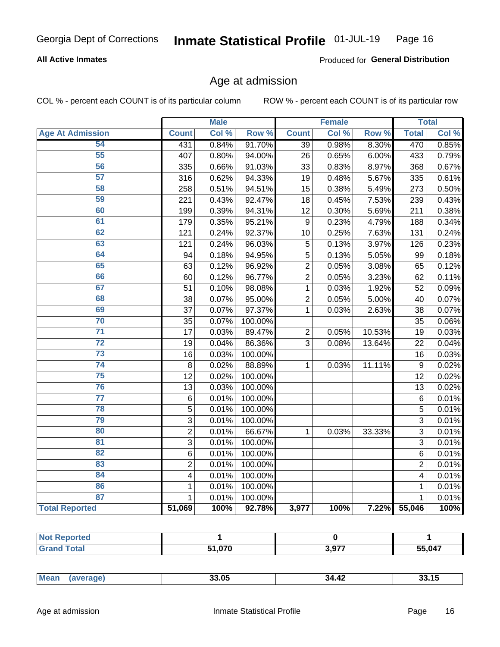#### **All Active Inmates**

Produced for General Distribution

## Age at admission

COL % - percent each COUNT is of its particular column

|                         |                         | <b>Male</b> |         |                 | <b>Female</b> |        |                  | <b>Total</b> |
|-------------------------|-------------------------|-------------|---------|-----------------|---------------|--------|------------------|--------------|
| <b>Age At Admission</b> | <b>Count</b>            | Col %       | Row %   | <b>Count</b>    | Col %         | Row %  | <b>Total</b>     | Col %        |
| 54                      | 431                     | 0.84%       | 91.70%  | $\overline{39}$ | 0.98%         | 8.30%  | 470              | 0.85%        |
| $\overline{55}$         | 407                     | 0.80%       | 94.00%  | 26              | 0.65%         | 6.00%  | 433              | 0.79%        |
| 56                      | 335                     | 0.66%       | 91.03%  | 33              | 0.83%         | 8.97%  | 368              | 0.67%        |
| $\overline{57}$         | 316                     | 0.62%       | 94.33%  | 19              | 0.48%         | 5.67%  | 335              | 0.61%        |
| 58                      | 258                     | 0.51%       | 94.51%  | 15              | 0.38%         | 5.49%  | 273              | 0.50%        |
| 59                      | 221                     | 0.43%       | 92.47%  | 18              | 0.45%         | 7.53%  | 239              | 0.43%        |
| 60                      | 199                     | 0.39%       | 94.31%  | 12              | 0.30%         | 5.69%  | 211              | 0.38%        |
| 61                      | 179                     | 0.35%       | 95.21%  | 9               | 0.23%         | 4.79%  | 188              | 0.34%        |
| 62                      | 121                     | 0.24%       | 92.37%  | 10              | 0.25%         | 7.63%  | 131              | 0.24%        |
| 63                      | 121                     | 0.24%       | 96.03%  | 5               | 0.13%         | 3.97%  | 126              | 0.23%        |
| 64                      | 94                      | 0.18%       | 94.95%  | 5               | 0.13%         | 5.05%  | 99               | 0.18%        |
| 65                      | 63                      | 0.12%       | 96.92%  | $\overline{2}$  | 0.05%         | 3.08%  | 65               | 0.12%        |
| 66                      | 60                      | 0.12%       | 96.77%  | $\overline{2}$  | 0.05%         | 3.23%  | 62               | 0.11%        |
| 67                      | 51                      | 0.10%       | 98.08%  | $\mathbf{1}$    | 0.03%         | 1.92%  | 52               | 0.09%        |
| 68                      | 38                      | 0.07%       | 95.00%  | $\overline{c}$  | 0.05%         | 5.00%  | 40               | 0.07%        |
| 69                      | 37                      | 0.07%       | 97.37%  | 1               | 0.03%         | 2.63%  | 38               | 0.07%        |
| 70                      | 35                      | 0.07%       | 100.00% |                 |               |        | 35               | 0.06%        |
| $\overline{71}$         | 17                      | 0.03%       | 89.47%  | $\overline{2}$  | 0.05%         | 10.53% | 19               | 0.03%        |
| $\overline{72}$         | 19                      | 0.04%       | 86.36%  | 3               | 0.08%         | 13.64% | 22               | 0.04%        |
| $\overline{73}$         | 16                      | 0.03%       | 100.00% |                 |               |        | 16               | 0.03%        |
| $\overline{74}$         | 8                       | 0.02%       | 88.89%  | $\mathbf{1}$    | $0.03\%$      | 11.11% | $\boldsymbol{9}$ | 0.02%        |
| 75                      | 12                      | 0.02%       | 100.00% |                 |               |        | 12               | 0.02%        |
| 76                      | 13                      | 0.03%       | 100.00% |                 |               |        | 13               | 0.02%        |
| $\overline{77}$         | $\,6$                   | 0.01%       | 100.00% |                 |               |        | $\overline{6}$   | 0.01%        |
| 78                      | $\overline{5}$          | 0.01%       | 100.00% |                 |               |        | $\overline{5}$   | 0.01%        |
| 79                      | $\overline{3}$          | 0.01%       | 100.00% |                 |               |        | $\overline{3}$   | 0.01%        |
| 80                      | $\overline{2}$          | 0.01%       | 66.67%  | 1               | 0.03%         | 33.33% | 3                | 0.01%        |
| 81                      | $\overline{3}$          | 0.01%       | 100.00% |                 |               |        | 3                | 0.01%        |
| 82                      | 6                       | 0.01%       | 100.00% |                 |               |        | 6                | 0.01%        |
| 83                      | $\overline{2}$          | 0.01%       | 100.00% |                 |               |        | $\overline{2}$   | 0.01%        |
| 84                      | $\overline{\mathbf{4}}$ | 0.01%       | 100.00% |                 |               |        | 4                | 0.01%        |
| 86                      | 1                       | 0.01%       | 100.00% |                 |               |        | 1                | 0.01%        |
| 87                      | $\mathbf{1}$            | 0.01%       | 100.00% |                 |               |        | $\mathbf{1}$     | 0.01%        |
| <b>Total Reported</b>   | 51,069                  | 100%        | 92.78%  | 3,977           | 100%          | 7.22%  | 55,046           | 100%         |

| E4 070 | 2077 | 55,047 |
|--------|------|--------|

| $-4\epsilon$ |
|--------------|
|--------------|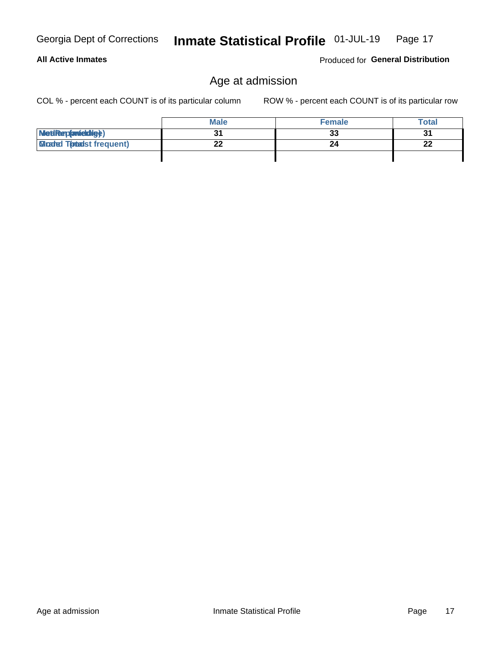**All Active Inmates** 

## Age at admission

COL % - percent each COUNT is of its particular column

ROW % - percent each COUNT is of its particular row

|                                 | <b>Male</b> | <b>Female</b> | <b>Total</b> |
|---------------------------------|-------------|---------------|--------------|
| MetiRep(anicidig)               |             | 33            | u            |
| <b>Gladed Tomalst frequent)</b> | ົ<br>--     | 24            | ng,<br>--    |
|                                 |             |               |              |

Produced for General Distribution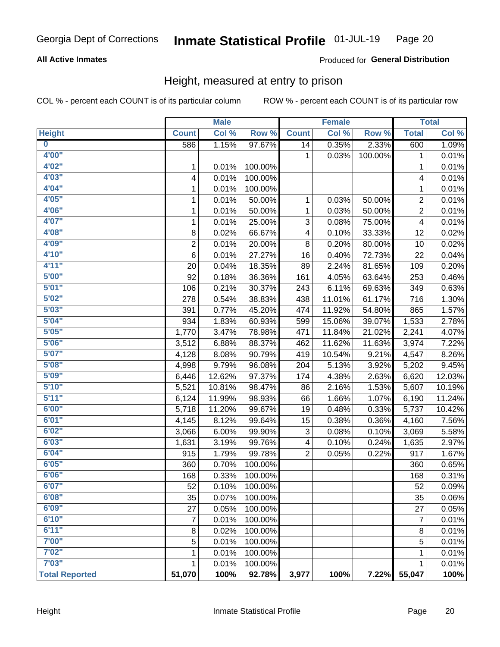#### **All Active Inmates**

#### **Produced for General Distribution**

## Height, measured at entry to prison

COL % - percent each COUNT is of its particular column

|                         |                | <b>Male</b> |         |                | <b>Female</b> |         |                | <b>Total</b> |
|-------------------------|----------------|-------------|---------|----------------|---------------|---------|----------------|--------------|
| <b>Height</b>           | <b>Count</b>   | Col %       | Row %   | <b>Count</b>   | Col %         | Row %   | <b>Total</b>   | Col %        |
| $\overline{\mathbf{0}}$ | 586            | 1.15%       | 97.67%  | 14             | 0.35%         | 2.33%   | 600            | 1.09%        |
| 4'00"                   |                |             |         | 1              | 0.03%         | 100.00% | 1              | 0.01%        |
| 4'02''                  | 1              | 0.01%       | 100.00% |                |               |         | $\mathbf{1}$   | 0.01%        |
| 4'03''                  | 4              | 0.01%       | 100.00% |                |               |         | 4              | 0.01%        |
| 4'04"                   | 1              | 0.01%       | 100.00% |                |               |         | 1              | 0.01%        |
| 4'05"                   | 1              | 0.01%       | 50.00%  | 1              | 0.03%         | 50.00%  | 2              | 0.01%        |
| 4'06"                   | 1              | 0.01%       | 50.00%  | 1              | 0.03%         | 50.00%  | $\overline{2}$ | 0.01%        |
| 4'07"                   | 1              | 0.01%       | 25.00%  | 3              | 0.08%         | 75.00%  | 4              | 0.01%        |
| 4'08"                   | 8              | 0.02%       | 66.67%  | 4              | 0.10%         | 33.33%  | 12             | 0.02%        |
| 4'09"                   | $\overline{2}$ | 0.01%       | 20.00%  | 8              | 0.20%         | 80.00%  | 10             | 0.02%        |
| 4'10''                  | 6              | 0.01%       | 27.27%  | 16             | 0.40%         | 72.73%  | 22             | 0.04%        |
| 4'11''                  | 20             | 0.04%       | 18.35%  | 89             | 2.24%         | 81.65%  | 109            | 0.20%        |
| 5'00''                  | 92             | 0.18%       | 36.36%  | 161            | 4.05%         | 63.64%  | 253            | 0.46%        |
| 5'01"                   | 106            | 0.21%       | 30.37%  | 243            | 6.11%         | 69.63%  | 349            | 0.63%        |
| 5'02"                   | 278            | 0.54%       | 38.83%  | 438            | 11.01%        | 61.17%  | 716            | 1.30%        |
| 5'03"                   | 391            | 0.77%       | 45.20%  | 474            | 11.92%        | 54.80%  | 865            | 1.57%        |
| 5'04"                   | 934            | 1.83%       | 60.93%  | 599            | 15.06%        | 39.07%  | 1,533          | 2.78%        |
| 5'05"                   | 1,770          | 3.47%       | 78.98%  | 471            | 11.84%        | 21.02%  | 2,241          | 4.07%        |
| 5'06''                  | 3,512          | 6.88%       | 88.37%  | 462            | 11.62%        | 11.63%  | 3,974          | 7.22%        |
| 5'07"                   | 4,128          | 8.08%       | 90.79%  | 419            | 10.54%        | 9.21%   | 4,547          | 8.26%        |
| 5'08''                  | 4,998          | 9.79%       | 96.08%  | 204            | 5.13%         | 3.92%   | 5,202          | 9.45%        |
| 5'09''                  | 6,446          | 12.62%      | 97.37%  | 174            | 4.38%         | 2.63%   | 6,620          | 12.03%       |
| 5'10''                  | 5,521          | 10.81%      | 98.47%  | 86             | 2.16%         | 1.53%   | 5,607          | 10.19%       |
| 5'11"                   | 6,124          | 11.99%      | 98.93%  | 66             | 1.66%         | 1.07%   | 6,190          | 11.24%       |
| 6'00''                  | 5,718          | 11.20%      | 99.67%  | 19             | 0.48%         | 0.33%   | 5,737          | 10.42%       |
| 6'01''                  | 4,145          | 8.12%       | 99.64%  | 15             | 0.38%         | 0.36%   | 4,160          | 7.56%        |
| 6'02"                   | 3,066          | 6.00%       | 99.90%  | 3              | 0.08%         | 0.10%   | 3,069          | 5.58%        |
| 6'03''                  | 1,631          | 3.19%       | 99.76%  | 4              | 0.10%         | 0.24%   | 1,635          | 2.97%        |
| 6'04"                   | 915            | 1.79%       | 99.78%  | $\overline{2}$ | 0.05%         | 0.22%   | 917            | 1.67%        |
| 6'05"                   | 360            | 0.70%       | 100.00% |                |               |         | 360            | 0.65%        |
| 6'06''                  | 168            | 0.33%       | 100.00% |                |               |         | 168            | 0.31%        |
| 6'07"                   | 52             | 0.10%       | 100.00% |                |               |         | 52             | 0.09%        |
| 6'08''                  | 35             | 0.07%       | 100.00% |                |               |         | 35             | 0.06%        |
| 6'09''                  | 27             | 0.05%       | 100.00% |                |               |         | 27             | 0.05%        |
| 6'10''                  | 7              | 0.01%       | 100.00% |                |               |         | $\overline{7}$ | 0.01%        |
| 6'11''                  | 8              | 0.02%       | 100.00% |                |               |         | 8              | 0.01%        |
| 7'00"                   | 5              | 0.01%       | 100.00% |                |               |         | 5              | 0.01%        |
| 7'02"                   | 1              | 0.01%       | 100.00% |                |               |         | 1              | 0.01%        |
| 7'03''                  | 1              | 0.01%       | 100.00% |                |               |         | 1              | 0.01%        |
| <b>Total Reported</b>   | 51,070         | 100%        | 92.78%  | 3,977          | 100%          | 7.22%   | 55,047         | 100%         |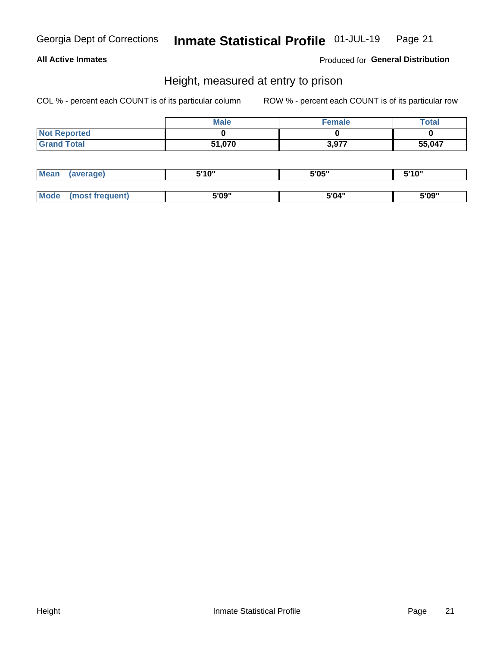#### **All Active Inmates**

Produced for General Distribution

## Height, measured at entry to prison

COL % - percent each COUNT is of its particular column

|                     | <b>Male</b> | Female | <b>Total</b> |
|---------------------|-------------|--------|--------------|
| <b>Not Reported</b> |             |        |              |
| <b>Grand Total</b>  | 51,070      | 3,977  | 55,047       |

| <b>Mean</b> | erage) | 5'10" | 5'05" | <b>CIA AIL</b><br>. . |
|-------------|--------|-------|-------|-----------------------|
|             |        |       |       |                       |
| <b>Mode</b> |        | 5'09" | 5'04" | 5'09"                 |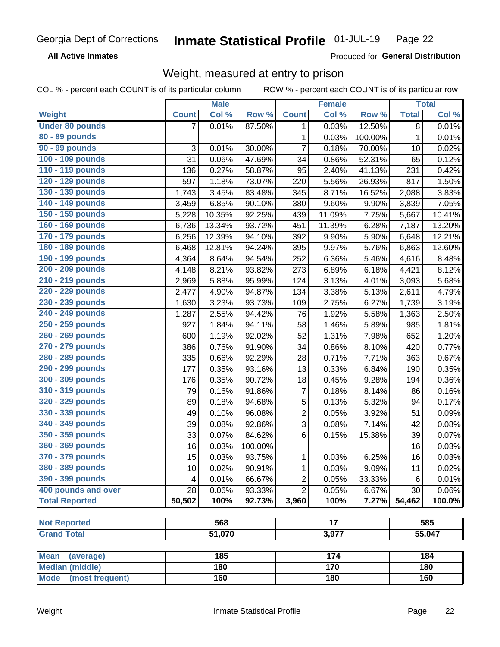**All Active Inmates** 

Produced for General Distribution

## Weight, measured at entry to prison

COL % - percent each COUNT is of its particular column

|                                     |                | <b>Male</b> |         |                 | <b>Female</b> |         |              | <b>Total</b> |
|-------------------------------------|----------------|-------------|---------|-----------------|---------------|---------|--------------|--------------|
| <b>Weight</b>                       | <b>Count</b>   | Col %       | Row %   | <b>Count</b>    | Col %         | Row %   | <b>Total</b> | Col %        |
| <b>Under 80 pounds</b>              | $\overline{7}$ | 0.01%       | 87.50%  | 1               | 0.03%         | 12.50%  | 8            | 0.01%        |
| 80 - 89 pounds                      |                |             |         | 1               | 0.03%         | 100.00% | $\mathbf{1}$ | 0.01%        |
| 90 - 99 pounds                      | 3              | 0.01%       | 30.00%  | $\overline{7}$  | 0.18%         | 70.00%  | 10           | 0.02%        |
| 100 - 109 pounds                    | 31             | 0.06%       | 47.69%  | 34              | 0.86%         | 52.31%  | 65           | 0.12%        |
| 110 - 119 pounds                    | 136            | 0.27%       | 58.87%  | 95              | 2.40%         | 41.13%  | 231          | 0.42%        |
| 120 - 129 pounds                    | 597            | 1.18%       | 73.07%  | 220             | 5.56%         | 26.93%  | 817          | 1.50%        |
| 130 - 139 pounds                    | 1,743          | 3.45%       | 83.48%  | 345             | 8.71%         | 16.52%  | 2,088        | 3.83%        |
| 140 - 149 pounds                    | 3,459          | 6.85%       | 90.10%  | 380             | 9.60%         | 9.90%   | 3,839        | 7.05%        |
| 150 - 159 pounds                    | 5,228          | 10.35%      | 92.25%  | 439             | 11.09%        | 7.75%   | 5,667        | 10.41%       |
| 160 - 169 pounds                    | 6,736          | 13.34%      | 93.72%  | 451             | 11.39%        | 6.28%   | 7,187        | 13.20%       |
| 170 - 179 pounds                    | 6,256          | 12.39%      | 94.10%  | 392             | 9.90%         | 5.90%   | 6,648        | 12.21%       |
| 180 - 189 pounds                    | 6,468          | 12.81%      | 94.24%  | 395             | 9.97%         | 5.76%   | 6,863        | 12.60%       |
| 190 - 199 pounds                    | 4,364          | 8.64%       | 94.54%  | 252             | 6.36%         | 5.46%   | 4,616        | 8.48%        |
| 200 - 209 pounds                    | 4,148          | 8.21%       | 93.82%  | 273             | 6.89%         | 6.18%   | 4,421        | 8.12%        |
| 210 - 219 pounds                    | 2,969          | 5.88%       | 95.99%  | 124             | 3.13%         | 4.01%   | 3,093        | 5.68%        |
| 220 - 229 pounds                    | 2,477          | 4.90%       | 94.87%  | 134             | 3.38%         | 5.13%   | 2,611        | 4.79%        |
| 230 - 239 pounds                    | 1,630          | 3.23%       | 93.73%  | 109             | 2.75%         | 6.27%   | 1,739        | 3.19%        |
| 240 - 249 pounds                    | 1,287          | 2.55%       | 94.42%  | 76              | 1.92%         | 5.58%   | 1,363        | 2.50%        |
| 250 - 259 pounds                    | 927            | 1.84%       | 94.11%  | 58              | 1.46%         | 5.89%   | 985          | 1.81%        |
| 260 - 269 pounds                    | 600            | 1.19%       | 92.02%  | 52              | 1.31%         | 7.98%   | 652          | 1.20%        |
| 270 - 279 pounds                    | 386            | 0.76%       | 91.90%  | 34              | 0.86%         | 8.10%   | 420          | 0.77%        |
| 280 - 289 pounds                    | 335            | 0.66%       | 92.29%  | 28              | 0.71%         | 7.71%   | 363          | 0.67%        |
| 290 - 299 pounds                    | 177            | 0.35%       | 93.16%  | 13              | 0.33%         | 6.84%   | 190          | 0.35%        |
| 300 - 309 pounds                    | 176            | 0.35%       | 90.72%  | 18              | 0.45%         | 9.28%   | 194          | 0.36%        |
| 310 - 319 pounds                    | 79             | 0.16%       | 91.86%  | $\overline{7}$  | 0.18%         | 8.14%   | 86           | 0.16%        |
| 320 - 329 pounds                    | 89             | 0.18%       | 94.68%  | 5               | 0.13%         | 5.32%   | 94           | 0.17%        |
| 330 - 339 pounds                    | 49             | 0.10%       | 96.08%  | $\overline{2}$  | 0.05%         | 3.92%   | 51           | 0.09%        |
| 340 - 349 pounds                    | 39             | 0.08%       | 92.86%  | 3               | 0.08%         | 7.14%   | 42           | 0.08%        |
| 350 - 359 pounds                    | 33             | 0.07%       | 84.62%  | 6               | 0.15%         | 15.38%  | 39           | 0.07%        |
| 360 - 369 pounds                    | 16             | 0.03%       | 100.00% |                 |               |         | 16           | 0.03%        |
| 370 - 379 pounds                    | 15             | 0.03%       | 93.75%  | 1               | 0.03%         | 6.25%   | 16           | 0.03%        |
| 380 - 389 pounds                    | 10             | 0.02%       | 90.91%  | 1               | 0.03%         | 9.09%   | 11           | 0.02%        |
| 390 - 399 pounds                    | 4              | 0.01%       | 66.67%  | $\overline{2}$  | 0.05%         | 33.33%  | 6            | 0.01%        |
| 400 pounds and over                 | 28             | 0.06%       | 93.33%  | $\overline{2}$  | 0.05%         | 6.67%   | 30           | $0.06\%$     |
| <b>Total Reported</b>               | 50,502         | 100%        | 92.73%  | 3,960           | 100%          | 7.27%   | 54,462       | 100.0%       |
|                                     |                |             |         |                 |               |         |              |              |
| <b>Not Reported</b>                 |                | 568         |         | $\overline{17}$ |               |         |              | 585          |
| <b>Grand Total</b>                  |                | 51,070      |         | 3,977           |               |         |              | 55,047       |
| <b>Mean</b>                         |                | 185         |         |                 | 174           |         |              | 184          |
| (average)<br><b>Median (middle)</b> |                | 180         |         |                 | 170           |         |              | 180          |
| Mode (most frequent)                |                | 160         |         |                 | 180           |         |              | 160          |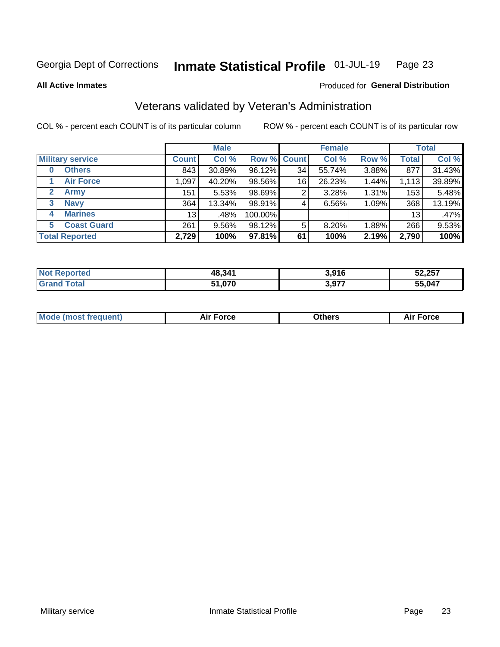#### Inmate Statistical Profile 01-JUL-19 Page 23

**All Active Inmates** 

#### Produced for General Distribution

## Veterans validated by Veteran's Administration

COL % - percent each COUNT is of its particular column

|                          |                 | <b>Male</b> |         |                    | <b>Female</b> |       |              | <b>Total</b> |
|--------------------------|-----------------|-------------|---------|--------------------|---------------|-------|--------------|--------------|
| <b>Military service</b>  | <b>Count</b>    | Col %       |         | <b>Row % Count</b> | Col %         | Row % | <b>Total</b> | Col %        |
| <b>Others</b><br>0       | 843             | 30.89%      | 96.12%  | 34                 | 55.74%        | 3.88% | 877          | 31.43%       |
| <b>Air Force</b>         | 1,097           | 40.20%      | 98.56%  | 16                 | 26.23%        | 1.44% | 1,113        | 39.89%       |
| <b>Army</b><br>2         | 151             | 5.53%       | 98.69%  | 2                  | 3.28%         | 1.31% | 153          | 5.48%        |
| <b>Navy</b><br>3         | 364             | 13.34%      | 98.91%  | 4                  | 6.56%         | 1.09% | 368          | 13.19%       |
| <b>Marines</b><br>4      | 13 <sub>1</sub> | .48%        | 100.00% |                    |               |       | 13           | .47%         |
| <b>Coast Guard</b><br>5. | 261             | 9.56%       | 98.12%  | 5                  | 8.20%         | 1.88% | 266          | 9.53%        |
| <b>Total Reported</b>    | 2,729           | 100%        | 97.81%  | 61                 | 100%          | 2.19% | 2,790        | 100%         |

| <b>Not</b><br>Reported | 48,341 | 3,916 | 52,257    |
|------------------------|--------|-------|-----------|
| <b>Fotal</b>           | 51,070 | 3,977 | 5,047<br> |

|  |  | <b>Mode (most frequent)</b> | <b>Force</b><br>Aır | วthers | orce |
|--|--|-----------------------------|---------------------|--------|------|
|--|--|-----------------------------|---------------------|--------|------|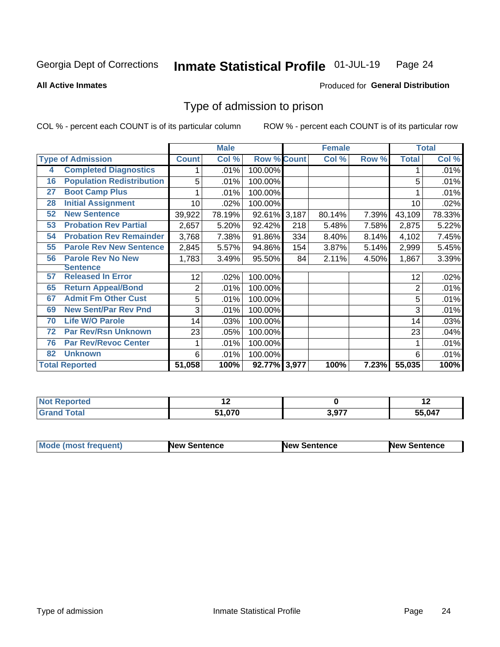#### Inmate Statistical Profile 01-JUL-19 Page 24

**All Active Inmates** 

#### **Produced for General Distribution**

## Type of admission to prison

COL % - percent each COUNT is of its particular column

|    |                                  |              | <b>Male</b> |                    |     | <b>Female</b> |       |              | <b>Total</b> |
|----|----------------------------------|--------------|-------------|--------------------|-----|---------------|-------|--------------|--------------|
|    | <b>Type of Admission</b>         | <b>Count</b> | Col %       | <b>Row % Count</b> |     | Col %         | Row % | <b>Total</b> | Col %        |
| 4  | <b>Completed Diagnostics</b>     |              | .01%        | 100.00%            |     |               |       |              | .01%         |
| 16 | <b>Population Redistribution</b> | 5            | .01%        | 100.00%            |     |               |       | 5            | .01%         |
| 27 | <b>Boot Camp Plus</b>            |              | .01%        | 100.00%            |     |               |       |              | .01%         |
| 28 | <b>Initial Assignment</b>        | 10           | .02%        | 100.00%            |     |               |       | 10           | .02%         |
| 52 | <b>New Sentence</b>              | 39,922       | 78.19%      | 92.61% 3,187       |     | 80.14%        | 7.39% | 43,109       | 78.33%       |
| 53 | <b>Probation Rev Partial</b>     | 2,657        | 5.20%       | 92.42%             | 218 | 5.48%         | 7.58% | 2,875        | 5.22%        |
| 54 | <b>Probation Rev Remainder</b>   | 3,768        | 7.38%       | 91.86%             | 334 | 8.40%         | 8.14% | 4,102        | 7.45%        |
| 55 | <b>Parole Rev New Sentence</b>   | 2,845        | 5.57%       | 94.86%             | 154 | 3.87%         | 5.14% | 2,999        | 5.45%        |
| 56 | <b>Parole Rev No New</b>         | 1,783        | 3.49%       | 95.50%             | 84  | 2.11%         | 4.50% | 1,867        | 3.39%        |
|    | <b>Sentence</b>                  |              |             |                    |     |               |       |              |              |
| 57 | <b>Released In Error</b>         | 12           | .02%        | 100.00%            |     |               |       | 12           | .02%         |
| 65 | <b>Return Appeal/Bond</b>        | 2            | .01%        | 100.00%            |     |               |       | 2            | .01%         |
| 67 | <b>Admit Fm Other Cust</b>       | 5            | .01%        | 100.00%            |     |               |       | 5            | .01%         |
| 69 | <b>New Sent/Par Rev Pnd</b>      | 3            | .01%        | 100.00%            |     |               |       | 3            | .01%         |
| 70 | <b>Life W/O Parole</b>           | 14           | .03%        | 100.00%            |     |               |       | 14           | .03%         |
| 72 | <b>Par Rev/Rsn Unknown</b>       | 23           | .05%        | 100.00%            |     |               |       | 23           | .04%         |
| 76 | <b>Par Rev/Revoc Center</b>      |              | .01%        | 100.00%            |     |               |       |              | .01%         |
| 82 | <b>Unknown</b>                   | 6            | .01%        | 100.00%            |     |               |       | 6            | .01%         |
|    | <b>Total Reported</b>            | 51,058       | 100%        | 92.77% 3,977       |     | 100%          | 7.23% | 55,035       | 100%         |

| <b>NO1</b><br>тео |            |       | $\sim$ |
|-------------------|------------|-------|--------|
| _____             | 0.70<br>-4 | 2.077 | ,047   |

| <b>Mode (most frequent)</b> | New Sentence | <b>New Sentence</b> | <b>New Sentence</b> |
|-----------------------------|--------------|---------------------|---------------------|
|                             |              |                     |                     |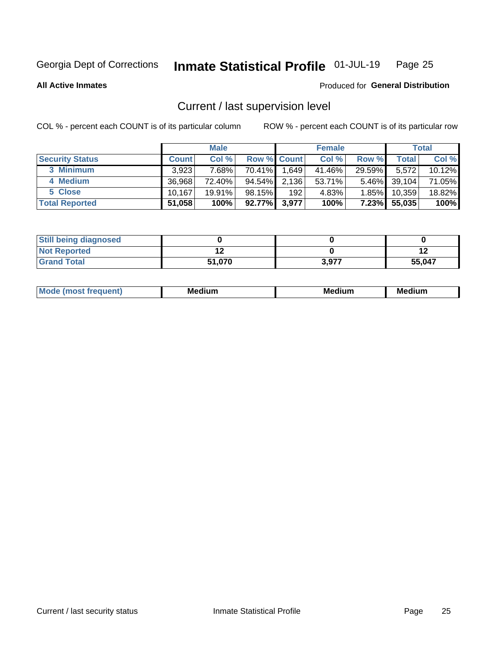#### Inmate Statistical Profile 01-JUL-19 Page 25

**All Active Inmates** 

#### Produced for General Distribution

## Current / last supervision level

COL % - percent each COUNT is of its particular column

|                        |              | <b>Male</b> |             |       | <b>Female</b> |          |        | <b>Total</b> |
|------------------------|--------------|-------------|-------------|-------|---------------|----------|--------|--------------|
| <b>Security Status</b> | <b>Count</b> | Col %       | Row % Count |       | Col %         | Row %    | Total  | Col %        |
| 3 Minimum              | 3.923        | 7.68%       | $70.41\%$   | 1,649 | 41.46%        | 29.59%   | 5,572  | 10.12%       |
| 4 Medium               | 36.968       | 72.40%      | 94.54%      | 2,136 | 53.71%        | $5.46\%$ | 39,104 | 71.05%       |
| 5 Close                | 10.167       | 19.91%      | 98.15%      | 192   | 4.83%         | 1.85%    | 10,359 | 18.82%       |
| <b>Total Reported</b>  | 51,058       | 100%        | 92.77%      | 3,977 | 100%          | $7.23\%$ | 55,035 | 100%         |

| <b>Still being diagnosed</b> |        |       |        |
|------------------------------|--------|-------|--------|
| <b>Not Reported</b>          |        |       |        |
| <b>Grand Total</b>           | 51,070 | 3.977 | 55,047 |

| Mo | Me<br>edium<br>_____ | M۵<br>rdıum<br>_____ | <b>Medium</b> |
|----|----------------------|----------------------|---------------|
|    |                      |                      |               |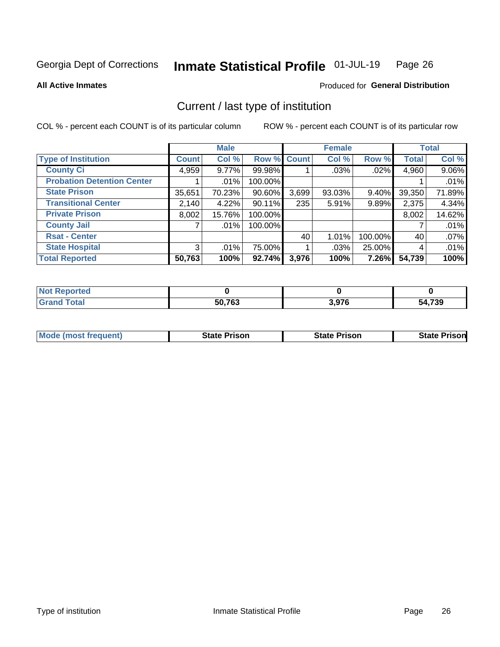#### Inmate Statistical Profile 01-JUL-19 Page 26

**All Active Inmates** 

## Produced for General Distribution

## Current / last type of institution

COL % - percent each COUNT is of its particular column

|                                   |                | <b>Male</b> |             |       | <b>Female</b> |          |              | <b>Total</b> |
|-----------------------------------|----------------|-------------|-------------|-------|---------------|----------|--------------|--------------|
| <b>Type of Institution</b>        | <b>Count</b>   | Col %       | Row % Count |       | Col %         | Row %    | <b>Total</b> | Col %        |
| <b>County Ci</b>                  | 4,959          | $9.77\%$    | 99.98%      |       | $.03\%$       | $.02\%$  | 4,960        | 9.06%        |
| <b>Probation Detention Center</b> |                | .01%        | 100.00%     |       |               |          |              | .01%         |
| <b>State Prison</b>               | 35,651         | 70.23%      | $90.60\%$   | 3,699 | $93.03\%$     | $9.40\%$ | 39,350       | 71.89%       |
| <b>Transitional Center</b>        | 2,140          | 4.22%       | 90.11%      | 235   | 5.91%         | 9.89%    | 2,375        | 4.34%        |
| <b>Private Prison</b>             | 8,002          | 15.76%      | 100.00%     |       |               |          | 8,002        | 14.62%       |
| <b>County Jail</b>                |                | .01%        | 100.00%     |       |               |          |              | .01%         |
| <b>Rsat - Center</b>              |                |             |             | 40    | 1.01%         | 100.00%  | 40           | .07%         |
| <b>State Hospital</b>             | 3 <sub>1</sub> | .01%        | 75.00%      |       | .03%          | 25.00%   | 4            | .01%         |
| <b>Total Reported</b>             | 50,763         | 100%        | 92.74%      | 3,976 | 100%          | 7.26%    | 54,739       | 100%         |

| <b>Not</b><br>Reported |        |       |        |
|------------------------|--------|-------|--------|
| <b>Total</b>           | 50,763 | 3,976 | 54,739 |

| <b>Mode (most frequent)</b> | <b>State Prison</b> | <b>State Prison</b> | <b>State Prisonl</b> |
|-----------------------------|---------------------|---------------------|----------------------|
|                             |                     |                     |                      |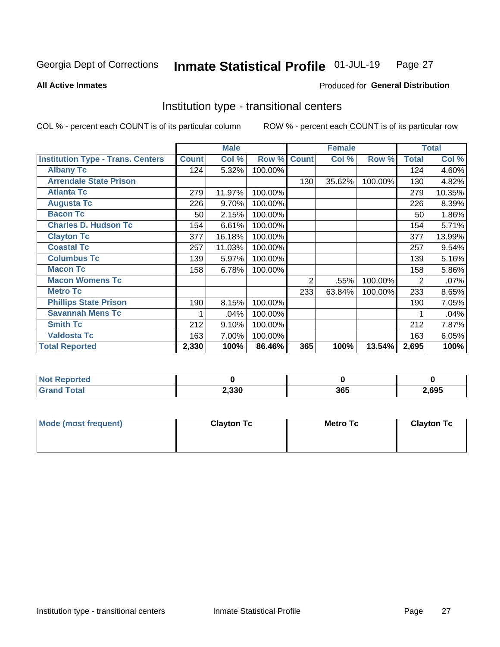#### Inmate Statistical Profile 01-JUL-19 Page 27

**All Active Inmates** 

#### Produced for General Distribution

## Institution type - transitional centers

COL % - percent each COUNT is of its particular column

|                                          |              | <b>Male</b> |         |                | <b>Female</b> |         |              | <b>Total</b> |
|------------------------------------------|--------------|-------------|---------|----------------|---------------|---------|--------------|--------------|
| <b>Institution Type - Trans. Centers</b> | <b>Count</b> | Col %       | Row %   | <b>Count</b>   | Col %         | Row %   | <b>Total</b> | Col %        |
| <b>Albany Tc</b>                         | 124          | 5.32%       | 100.00% |                |               |         | 124          | 4.60%        |
| <b>Arrendale State Prison</b>            |              |             |         | 130            | 35.62%        | 100.00% | 130          | 4.82%        |
| <b>Atlanta Tc</b>                        | 279          | 11.97%      | 100.00% |                |               |         | 279          | 10.35%       |
| <b>Augusta Tc</b>                        | 226          | 9.70%       | 100.00% |                |               |         | 226          | 8.39%        |
| <b>Bacon Tc</b>                          | 50           | 2.15%       | 100.00% |                |               |         | 50           | 1.86%        |
| <b>Charles D. Hudson Tc</b>              | 154          | 6.61%       | 100.00% |                |               |         | 154          | 5.71%        |
| <b>Clayton Tc</b>                        | 377          | 16.18%      | 100.00% |                |               |         | 377          | 13.99%       |
| <b>Coastal Tc</b>                        | 257          | 11.03%      | 100.00% |                |               |         | 257          | 9.54%        |
| <b>Columbus Tc</b>                       | 139          | 5.97%       | 100.00% |                |               |         | 139          | 5.16%        |
| <b>Macon Tc</b>                          | 158          | 6.78%       | 100.00% |                |               |         | 158          | 5.86%        |
| <b>Macon Womens Tc</b>                   |              |             |         | $\overline{2}$ | .55%          | 100.00% | 2            | .07%         |
| <b>Metro Tc</b>                          |              |             |         | 233            | 63.84%        | 100.00% | 233          | 8.65%        |
| <b>Phillips State Prison</b>             | 190          | 8.15%       | 100.00% |                |               |         | 190          | 7.05%        |
| <b>Savannah Mens Tc</b>                  | 1            | .04%        | 100.00% |                |               |         |              | .04%         |
| <b>Smith Tc</b>                          | 212          | 9.10%       | 100.00% |                |               |         | 212          | 7.87%        |
| <b>Valdosta Tc</b>                       | 163          | 7.00%       | 100.00% |                |               |         | 163          | 6.05%        |
| <b>Total Reported</b>                    | 2,330        | 100%        | 86.46%  | 365            | 100%          | 13.54%  | 2,695        | 100%         |

| Reported |       |     |      |
|----------|-------|-----|------|
| Total    | 2,330 | 365 | ,695 |

| Mode (most frequent) | <b>Clayton Tc</b> | Metro Tc | <b>Clayton Tc</b> |
|----------------------|-------------------|----------|-------------------|
|                      |                   |          |                   |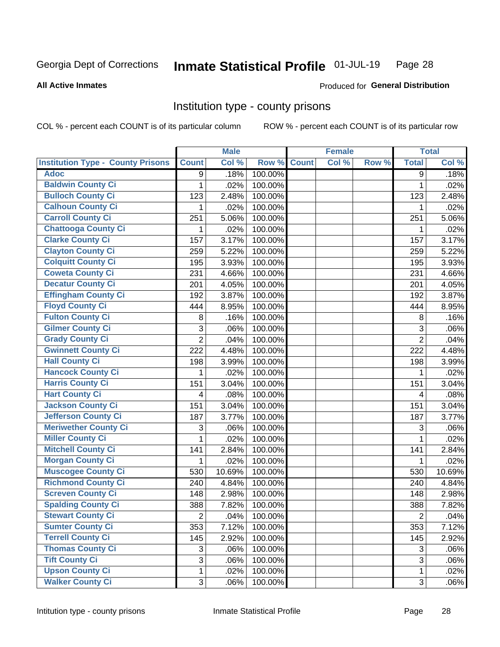#### Inmate Statistical Profile 01-JUL-19 Page 28

#### **All Active Inmates**

#### Produced for General Distribution

#### Institution type - county prisons

COL % - percent each COUNT is of its particular column

|                                          |                | <b>Male</b> |         |              | <b>Female</b> |       |                | <b>Total</b> |
|------------------------------------------|----------------|-------------|---------|--------------|---------------|-------|----------------|--------------|
| <b>Institution Type - County Prisons</b> | <b>Count</b>   | Col %       | Row %   | <b>Count</b> | Col %         | Row % | <b>Total</b>   | Col %        |
| <b>Adoc</b>                              | 9              | .18%        | 100.00% |              |               |       | 9              | .18%         |
| <b>Baldwin County Ci</b>                 | 1              | .02%        | 100.00% |              |               |       | 1              | .02%         |
| <b>Bulloch County Ci</b>                 | 123            | 2.48%       | 100.00% |              |               |       | 123            | 2.48%        |
| <b>Calhoun County Ci</b>                 | 1              | .02%        | 100.00% |              |               |       | 1              | .02%         |
| <b>Carroll County Ci</b>                 | 251            | 5.06%       | 100.00% |              |               |       | 251            | 5.06%        |
| <b>Chattooga County Ci</b>               | 1              | .02%        | 100.00% |              |               |       | 1              | .02%         |
| <b>Clarke County Ci</b>                  | 157            | 3.17%       | 100.00% |              |               |       | 157            | 3.17%        |
| <b>Clayton County Ci</b>                 | 259            | 5.22%       | 100.00% |              |               |       | 259            | 5.22%        |
| <b>Colquitt County Ci</b>                | 195            | 3.93%       | 100.00% |              |               |       | 195            | 3.93%        |
| <b>Coweta County Ci</b>                  | 231            | 4.66%       | 100.00% |              |               |       | 231            | 4.66%        |
| <b>Decatur County Ci</b>                 | 201            | 4.05%       | 100.00% |              |               |       | 201            | 4.05%        |
| <b>Effingham County Ci</b>               | 192            | 3.87%       | 100.00% |              |               |       | 192            | 3.87%        |
| <b>Floyd County Ci</b>                   | 444            | 8.95%       | 100.00% |              |               |       | 444            | 8.95%        |
| <b>Fulton County Ci</b>                  | 8              | .16%        | 100.00% |              |               |       | 8              | .16%         |
| <b>Gilmer County Ci</b>                  | $\mathfrak{S}$ | .06%        | 100.00% |              |               |       | 3              | .06%         |
| <b>Grady County Ci</b>                   | $\overline{2}$ | .04%        | 100.00% |              |               |       | $\overline{2}$ | .04%         |
| <b>Gwinnett County Ci</b>                | 222            | 4.48%       | 100.00% |              |               |       | 222            | 4.48%        |
| <b>Hall County Ci</b>                    | 198            | 3.99%       | 100.00% |              |               |       | 198            | 3.99%        |
| <b>Hancock County Ci</b>                 | 1              | .02%        | 100.00% |              |               |       | 1              | .02%         |
| <b>Harris County Ci</b>                  | 151            | 3.04%       | 100.00% |              |               |       | 151            | 3.04%        |
| <b>Hart County Ci</b>                    | 4              | .08%        | 100.00% |              |               |       | $\overline{4}$ | .08%         |
| Jackson County Ci                        | 151            | 3.04%       | 100.00% |              |               |       | 151            | 3.04%        |
| Jefferson County Ci                      | 187            | 3.77%       | 100.00% |              |               |       | 187            | 3.77%        |
| <b>Meriwether County Ci</b>              | 3              | .06%        | 100.00% |              |               |       | 3              | .06%         |
| <b>Miller County Ci</b>                  | 1              | .02%        | 100.00% |              |               |       | $\mathbf{1}$   | .02%         |
| <b>Mitchell County Ci</b>                | 141            | 2.84%       | 100.00% |              |               |       | 141            | 2.84%        |
| <b>Morgan County Ci</b>                  | 1              | .02%        | 100.00% |              |               |       | 1              | .02%         |
| <b>Muscogee County Ci</b>                | 530            | 10.69%      | 100.00% |              |               |       | 530            | 10.69%       |
| <b>Richmond County Ci</b>                | 240            | 4.84%       | 100.00% |              |               |       | 240            | 4.84%        |
| <b>Screven County Ci</b>                 | 148            | 2.98%       | 100.00% |              |               |       | 148            | 2.98%        |
| <b>Spalding County Ci</b>                | 388            | 7.82%       | 100.00% |              |               |       | 388            | 7.82%        |
| <b>Stewart County Ci</b>                 | $\overline{2}$ | .04%        | 100.00% |              |               |       | $\overline{2}$ | .04%         |
| <b>Sumter County Ci</b>                  | 353            | 7.12%       | 100.00% |              |               |       | 353            | 7.12%        |
| <b>Terrell County Ci</b>                 | 145            | 2.92%       | 100.00% |              |               |       | 145            | 2.92%        |
| <b>Thomas County Ci</b>                  | 3              | .06%        | 100.00% |              |               |       | 3              | .06%         |
| <b>Tift County Ci</b>                    | 3              | .06%        | 100.00% |              |               |       | 3              | .06%         |
| <b>Upson County Ci</b>                   | 1              | .02%        | 100.00% |              |               |       | 1              | .02%         |
| <b>Walker County Ci</b>                  | 3              | .06%        | 100.00% |              |               |       | 3              | .06%         |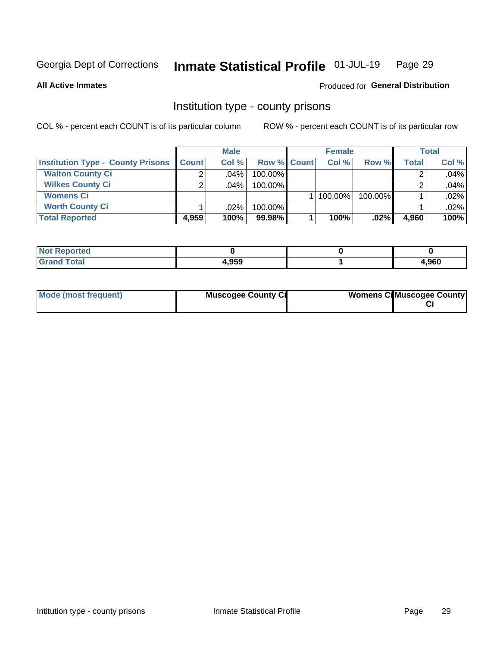#### Inmate Statistical Profile 01-JUL-19 Page 29

#### **All Active Inmates**

#### Produced for General Distribution

#### Institution type - county prisons

COL % - percent each COUNT is of its particular column

|                                          |              | <b>Male</b> |                    | <b>Female</b> |         |       | <b>Total</b> |
|------------------------------------------|--------------|-------------|--------------------|---------------|---------|-------|--------------|
| <b>Institution Type - County Prisons</b> | <b>Count</b> | Col%        | <b>Row % Count</b> | Col%          | Row %   | Total | Col %        |
| <b>Walton County Ci</b>                  | ◠            | .04%        | 100.00%            |               |         |       | .04%         |
| <b>Wilkes County Ci</b>                  | ◠            | $.04\%$     | 100.00%            |               |         |       | .04%         |
| <b>Womens Ci</b>                         |              |             |                    | $ 100.00\% $  | 100.00% |       | .02%         |
| <b>Worth County Ci</b>                   |              | $.02\%$     | 100.00%            |               |         |       | .02%         |
| <b>Total Reported</b>                    | 4,959        | 100%        | 99.98%             | 100%          | .02%    | 4,960 | 100%         |

| oortea<br><b>NOT</b> |       |      |
|----------------------|-------|------|
| _____                | 4,959 | ,960 |

| Mode (most frequent) | <b>Muscogee County Ci</b> | <b>Womens Ci</b> Muscogee County |
|----------------------|---------------------------|----------------------------------|
|                      |                           |                                  |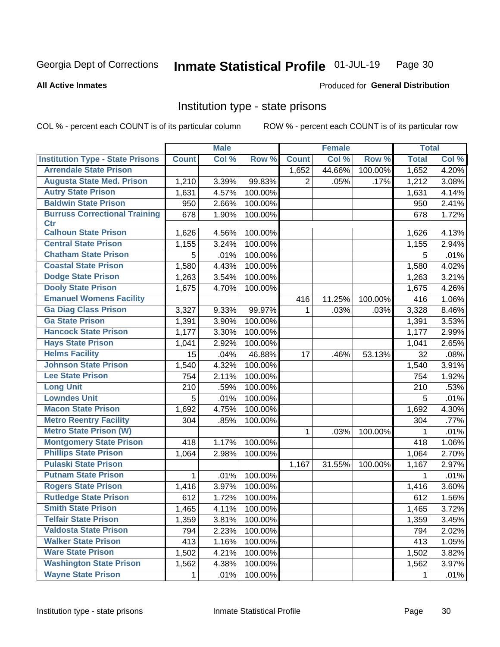#### Inmate Statistical Profile 01-JUL-19 Page 30

#### **All Active Inmates**

## Produced for General Distribution

## Institution type - state prisons

COL % - percent each COUNT is of its particular column

|                                         |              | <b>Male</b> |         |                    | <b>Female</b> |         | <b>Total</b> |       |
|-----------------------------------------|--------------|-------------|---------|--------------------|---------------|---------|--------------|-------|
| <b>Institution Type - State Prisons</b> | <b>Count</b> | Col %       | Row %   | <b>Count</b>       | Col %         | Row %   | <b>Total</b> | Col % |
| <b>Arrendale State Prison</b>           |              |             |         | $\overline{1,652}$ | 44.66%        | 100.00% | 1,652        | 4.20% |
| <b>Augusta State Med. Prison</b>        | 1,210        | 3.39%       | 99.83%  | $\overline{2}$     | .05%          | .17%    | 1,212        | 3.08% |
| <b>Autry State Prison</b>               | 1,631        | 4.57%       | 100.00% |                    |               |         | 1,631        | 4.14% |
| <b>Baldwin State Prison</b>             | 950          | 2.66%       | 100.00% |                    |               |         | 950          | 2.41% |
| <b>Burruss Correctional Training</b>    | 678          | 1.90%       | 100.00% |                    |               |         | 678          | 1.72% |
| <b>Ctr</b>                              |              |             |         |                    |               |         |              |       |
| <b>Calhoun State Prison</b>             | 1,626        | 4.56%       | 100.00% |                    |               |         | 1,626        | 4.13% |
| <b>Central State Prison</b>             | 1,155        | 3.24%       | 100.00% |                    |               |         | 1,155        | 2.94% |
| <b>Chatham State Prison</b>             | 5            | .01%        | 100.00% |                    |               |         | 5            | .01%  |
| <b>Coastal State Prison</b>             | 1,580        | 4.43%       | 100.00% |                    |               |         | 1,580        | 4.02% |
| <b>Dodge State Prison</b>               | 1,263        | 3.54%       | 100.00% |                    |               |         | 1,263        | 3.21% |
| <b>Dooly State Prison</b>               | 1,675        | 4.70%       | 100.00% |                    |               |         | 1,675        | 4.26% |
| <b>Emanuel Womens Facility</b>          |              |             |         | 416                | 11.25%        | 100.00% | 416          | 1.06% |
| <b>Ga Diag Class Prison</b>             | 3,327        | 9.33%       | 99.97%  | 1.                 | .03%          | .03%    | 3,328        | 8.46% |
| <b>Ga State Prison</b>                  | 1,391        | 3.90%       | 100.00% |                    |               |         | 1,391        | 3.53% |
| <b>Hancock State Prison</b>             | 1,177        | 3.30%       | 100.00% |                    |               |         | 1,177        | 2.99% |
| <b>Hays State Prison</b>                | 1,041        | 2.92%       | 100.00% |                    |               |         | 1,041        | 2.65% |
| <b>Helms Facility</b>                   | 15           | .04%        | 46.88%  | 17                 | .46%          | 53.13%  | 32           | .08%  |
| <b>Johnson State Prison</b>             | 1,540        | 4.32%       | 100.00% |                    |               |         | 1,540        | 3.91% |
| <b>Lee State Prison</b>                 | 754          | 2.11%       | 100.00% |                    |               |         | 754          | 1.92% |
| <b>Long Unit</b>                        | 210          | .59%        | 100.00% |                    |               |         | 210          | .53%  |
| <b>Lowndes Unit</b>                     | 5            | .01%        | 100.00% |                    |               |         | 5            | .01%  |
| <b>Macon State Prison</b>               | 1,692        | 4.75%       | 100.00% |                    |               |         | 1,692        | 4.30% |
| <b>Metro Reentry Facility</b>           | 304          | .85%        | 100.00% |                    |               |         | 304          | .77%  |
| <b>Metro State Prison (W)</b>           |              |             |         | $\mathbf{1}$       | .03%          | 100.00% | 1            | .01%  |
| <b>Montgomery State Prison</b>          | 418          | 1.17%       | 100.00% |                    |               |         | 418          | 1.06% |
| <b>Phillips State Prison</b>            | 1,064        | 2.98%       | 100.00% |                    |               |         | 1,064        | 2.70% |
| <b>Pulaski State Prison</b>             |              |             |         | 1,167              | 31.55%        | 100.00% | 1,167        | 2.97% |
| <b>Putnam State Prison</b>              | $\mathbf{1}$ | .01%        | 100.00% |                    |               |         | 1            | .01%  |
| <b>Rogers State Prison</b>              | 1,416        | 3.97%       | 100.00% |                    |               |         | 1,416        | 3.60% |
| <b>Rutledge State Prison</b>            | 612          | 1.72%       | 100.00% |                    |               |         | 612          | 1.56% |
| <b>Smith State Prison</b>               | 1,465        | 4.11%       | 100.00% |                    |               |         | 1,465        | 3.72% |
| <b>Telfair State Prison</b>             | 1,359        | 3.81%       | 100.00% |                    |               |         | 1,359        | 3.45% |
| <b>Valdosta State Prison</b>            | 794          | 2.23%       | 100.00% |                    |               |         | 794          | 2.02% |
| <b>Walker State Prison</b>              | 413          | 1.16%       | 100.00% |                    |               |         | 413          | 1.05% |
| <b>Ware State Prison</b>                | 1,502        | 4.21%       | 100.00% |                    |               |         | 1,502        | 3.82% |
| <b>Washington State Prison</b>          | 1,562        | 4.38%       | 100.00% |                    |               |         | 1,562        | 3.97% |
| <b>Wayne State Prison</b>               | 1            | .01%        | 100.00% |                    |               |         | 1            | .01%  |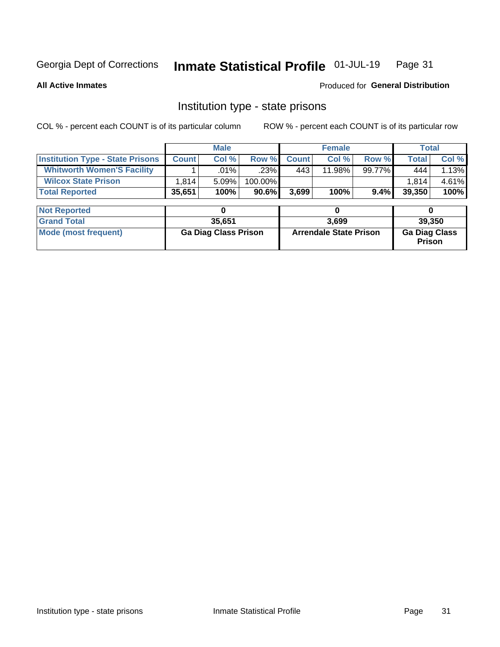#### Inmate Statistical Profile 01-JUL-19 Page 31

**All Active Inmates** 

#### Produced for General Distribution

## Institution type - state prisons

COL % - percent each COUNT is of its particular column ROW % - percent each COUNT is of its particular row

|                                         |                             | <b>Male</b> |                               |              | <b>Female</b> |                                |              | <b>Total</b> |
|-----------------------------------------|-----------------------------|-------------|-------------------------------|--------------|---------------|--------------------------------|--------------|--------------|
| <b>Institution Type - State Prisons</b> | <b>Count</b>                | Col %       | Row %                         | <b>Count</b> | Col %         | Row %                          | <b>Total</b> | Col %        |
| <b>Whitworth Women'S Facility</b>       |                             | .01%        | $.23\%$                       | 443          | 11.98%        | 99.77%                         | 444          | 1.13%        |
| <b>Wilcox State Prison</b>              | 1,814                       | 5.09%       | 100.00%                       |              |               |                                | 1.814        | 4.61%        |
| <b>Total Reported</b>                   | 35,651                      | 100%        | 90.6%                         | 3,699        | 100%          | $9.4\%$                        | 39,350       | 100%         |
| <b>Not Reported</b>                     |                             | 0           |                               |              | 0             |                                | 0            |              |
| <b>Grand Total</b>                      |                             | 35,651      |                               | 3,699        |               |                                | 39,350       |              |
| <b>Mode (most frequent)</b>             | <b>Ga Diag Class Prison</b> |             | <b>Arrendale State Prison</b> |              |               | <b>Ga Diag Class</b><br>Prison |              |              |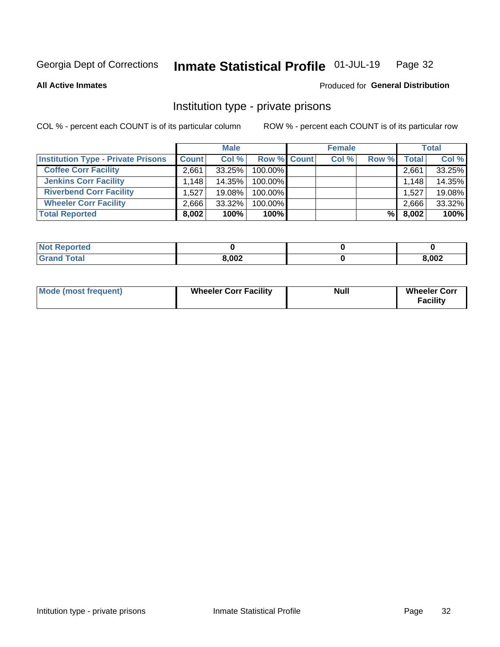#### Inmate Statistical Profile 01-JUL-19 Page 32

**All Active Inmates** 

#### Produced for General Distribution

## Institution type - private prisons

COL % - percent each COUNT is of its particular column

|                                           |              | <b>Male</b> |                    | <b>Female</b> |       |       | <b>Total</b> |
|-------------------------------------------|--------------|-------------|--------------------|---------------|-------|-------|--------------|
| <b>Institution Type - Private Prisons</b> | <b>Count</b> | Col %       | <b>Row % Count</b> | Col %         | Row % | Total | Col %        |
| <b>Coffee Corr Facility</b>               | 2.661        | 33.25%      | 100.00%            |               |       | 2,661 | 33.25%       |
| <b>Jenkins Corr Facility</b>              | 1,148        | 14.35%      | 100.00%            |               |       | 1,148 | 14.35%       |
| <b>Riverbend Corr Facility</b>            | 1.527        | 19.08%      | 100.00%            |               |       | 1,527 | 19.08%       |
| <b>Wheeler Corr Facility</b>              | 2,666        | 33.32%      | 100.00%            |               |       | 2,666 | 33.32%       |
| <b>Total Reported</b>                     | 8,002        | 100%        | $100\%$            |               | %     | 8,002 | 100%         |

| <b>Not Reported</b> |       |       |
|---------------------|-------|-------|
| <b>Total</b>        | 8,002 | 8,002 |

| <b>Mode (most frequent)</b> | <b>Wheeler Corr Facility</b> | <b>Null</b> | <b>Wheeler Corr</b><br><b>Facility</b> |
|-----------------------------|------------------------------|-------------|----------------------------------------|
|-----------------------------|------------------------------|-------------|----------------------------------------|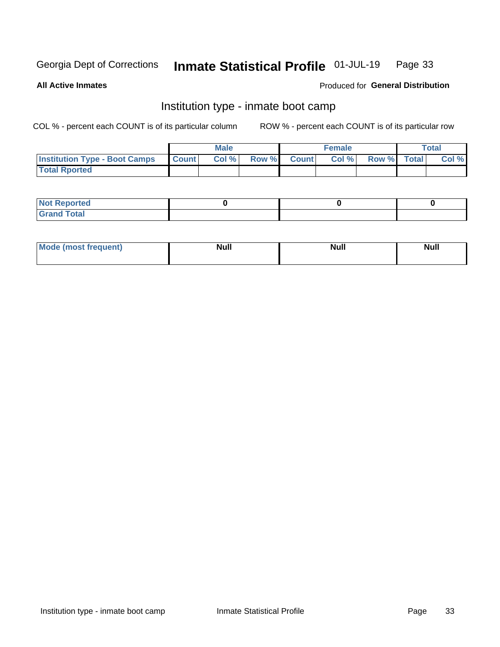#### Inmate Statistical Profile 01-JUL-19 Page 33

**All Active Inmates** 

#### Produced for General Distribution

## Institution type - inmate boot camp

COL % - percent each COUNT is of its particular column

|                                      |              | <b>Male</b> |               |              | <b>Female</b> |             | <b>Total</b> |
|--------------------------------------|--------------|-------------|---------------|--------------|---------------|-------------|--------------|
| <b>Institution Type - Boot Camps</b> | <b>Count</b> | Col %       | <b>Row %I</b> | <b>Count</b> | Col %         | Row % Total | Col %        |
| <b>Total Rported</b>                 |              |             |               |              |               |             |              |

| <b>Not Reported</b>            |  |  |
|--------------------------------|--|--|
| <b>Total</b><br>C <sub>r</sub> |  |  |

| Mod<br>uamo | Nul.<br>$- - - - - -$ | <b>Null</b> | <br>uu.<br>------ |
|-------------|-----------------------|-------------|-------------------|
|             |                       |             |                   |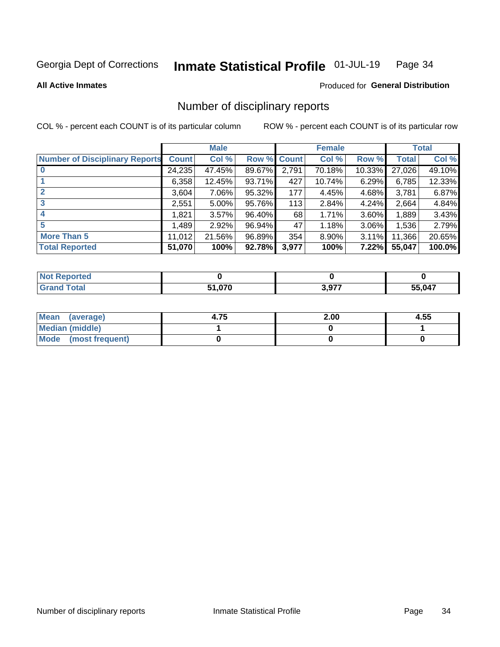#### Inmate Statistical Profile 01-JUL-19 Page 34

**All Active Inmates** 

#### Produced for General Distribution

## Number of disciplinary reports

COL % - percent each COUNT is of its particular column

|                                       |              | <b>Male</b> |             |       | <b>Female</b> |          |        | <b>Total</b> |
|---------------------------------------|--------------|-------------|-------------|-------|---------------|----------|--------|--------------|
| <b>Number of Disciplinary Reports</b> | <b>Count</b> | Col %       | Row % Count |       | Col %         | Row %    | Total  | Col %        |
| $\bf{0}$                              | 24,235       | 47.45%      | 89.67%      | 2,791 | 70.18%        | 10.33%   | 27,026 | 49.10%       |
|                                       | 6,358        | 12.45%      | 93.71%      | 427   | 10.74%        | 6.29%    | 6,785  | 12.33%       |
| $\mathbf{2}$                          | 3,604        | 7.06%       | 95.32%      | 177   | 4.45%         | 4.68%    | 3,781  | 6.87%        |
| 3                                     | 2,551        | 5.00%       | 95.76%      | 113   | 2.84%         | 4.24%    | 2,664  | 4.84%        |
|                                       | .821         | 3.57%       | 96.40%      | 68    | 1.71%         | 3.60%    | 1,889  | 3.43%        |
| 5                                     | .489         | 2.92%       | 96.94%      | 47    | 1.18%         | $3.06\%$ | 1,536  | 2.79%        |
| <b>More Than 5</b>                    | 11,012       | 21.56%      | 96.89%      | 354   | 8.90%         | 3.11%    | 11,366 | 20.65%       |
| <b>Total Reported</b>                 | 51,070       | 100%        | 92.78%      | 3,977 | 100%          | 7.22%    | 55,047 | 100.0%       |

| Reported<br>NOT I |        |               |        |
|-------------------|--------|---------------|--------|
| ⊺otaì             | 51,070 | , 277<br>v.v. | 55,047 |

| Mean (average)         | 4.75 | 2.00 | 4.55 |
|------------------------|------|------|------|
| <b>Median (middle)</b> |      |      |      |
| Mode (most frequent)   |      |      |      |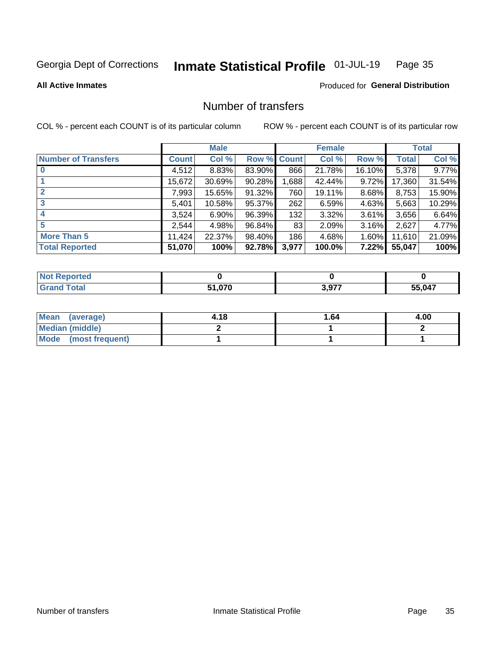#### Inmate Statistical Profile 01-JUL-19 Page 35

**All Active Inmates** 

#### Produced for General Distribution

## Number of transfers

COL % - percent each COUNT is of its particular column

|                            |              | <b>Male</b> |             |       | <b>Female</b> |          |              | <b>Total</b> |
|----------------------------|--------------|-------------|-------------|-------|---------------|----------|--------------|--------------|
| <b>Number of Transfers</b> | <b>Count</b> | Col %       | Row % Count |       | Col %         | Row %    | <b>Total</b> | Col %        |
|                            | 4,512        | 8.83%       | 83.90%      | 866   | 21.78%        | 16.10%   | 5,378        | 9.77%        |
|                            | 15,672       | 30.69%      | 90.28%      | 1,688 | 42.44%        | 9.72%    | 17,360       | 31.54%       |
|                            | 7,993        | 15.65%      | 91.32%      | 760   | 19.11%        | 8.68%    | 8,753        | 15.90%       |
| 3                          | 5,401        | 10.58%      | 95.37%      | 262   | 6.59%         | 4.63%    | 5,663        | 10.29%       |
|                            | 3,524        | $6.90\%$    | 96.39%      | 132   | 3.32%         | 3.61%    | 3,656        | 6.64%        |
| 5                          | 2,544        | 4.98%       | 96.84%      | 83    | 2.09%         | $3.16\%$ | 2,627        | 4.77%        |
| <b>More Than 5</b>         | 11,424       | 22.37%      | 98.40%      | 186   | 4.68%         | 1.60%    | 11,610       | 21.09%       |
| <b>Total Reported</b>      | 51,070       | 100%        | 92.78%      | 3,977 | 100.0%        | 7.22%    | 55,047       | 100%         |

| <b>Not Reported</b> |        |                |        |
|---------------------|--------|----------------|--------|
| <b>Total</b>        | 51,070 | 2077<br>J.JI . | 55,047 |

| Mean (average)         | 4.18 | 1.64 | 4.00 |
|------------------------|------|------|------|
| <b>Median (middle)</b> |      |      |      |
| Mode (most frequent)   |      |      |      |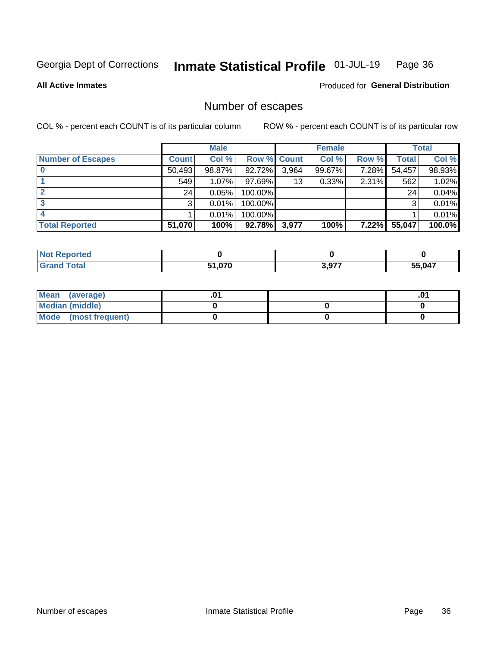#### Inmate Statistical Profile 01-JUL-19 Page 36

**All Active Inmates** 

**Produced for General Distribution** 

## Number of escapes

COL % - percent each COUNT is of its particular column

|                          |              | <b>Male</b> |             |       | <b>Female</b> |       |        | <b>Total</b> |
|--------------------------|--------------|-------------|-------------|-------|---------------|-------|--------|--------------|
| <b>Number of Escapes</b> | <b>Count</b> | Col %       | Row % Count |       | Col %         | Row % | Total  | Col %        |
|                          | 50,493       | 98.87%      | 92.72%      | 3,964 | 99.67%        | 7.28% | 54,457 | 98.93%       |
|                          | 549          | $1.07\%$    | $97.69\%$   | 13    | 0.33%         | 2.31% | 562    | 1.02%        |
|                          | 24           | 0.05%       | 100.00%     |       |               |       | 24     | 0.04%        |
|                          | 3            | 0.01%       | 100.00%     |       |               |       | 3      | 0.01%        |
|                          |              | 0.01%       | 100.00%     |       |               |       |        | 0.01%        |
| <b>Total Reported</b>    | 51,070       | 100%        | $92.78\%$   | 3,977 | 100%          | 7.22% | 55,047 | 100.0%       |

| Reported<br>Not. |        |       |        |
|------------------|--------|-------|--------|
| Total            | 51,070 | 2.077 | 55,047 |

| Mean (average)       |  | ו ש. |
|----------------------|--|------|
| Median (middle)      |  |      |
| Mode (most frequent) |  |      |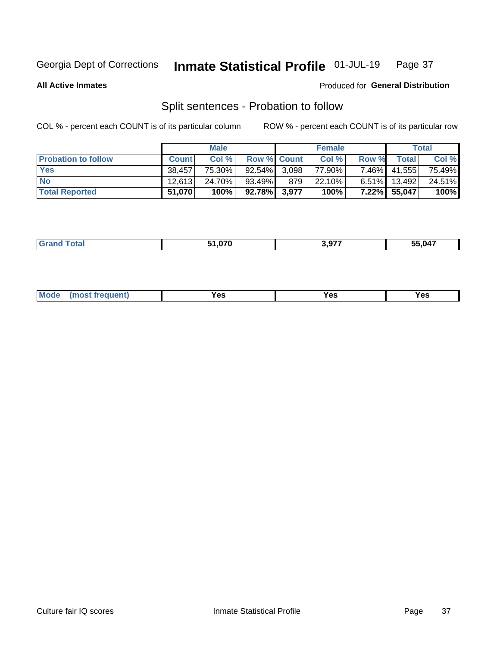#### Inmate Statistical Profile 01-JUL-19 Page 37

**All Active Inmates** 

#### Produced for General Distribution

## Split sentences - Probation to follow

COL % - percent each COUNT is of its particular column

|                            |              | <b>Male</b> |                    |       | <b>Female</b> |          |                 | <b>Total</b> |
|----------------------------|--------------|-------------|--------------------|-------|---------------|----------|-----------------|--------------|
| <b>Probation to follow</b> | <b>Count</b> | Col%        | <b>Row % Count</b> |       | Col %         | Row %    | <b>Total</b>    | Col %        |
| <b>Yes</b>                 | 38.457       | 75.30%      | 92.54% 3.098       |       | 77.90%        |          | 7.46% 41,555    | 75.49%       |
| <b>No</b>                  | 12.613       | 24.70%      | 93.49%             | 879 ' | 22.10%        |          | $6.51\%$ 13,492 | 24.51%       |
| <b>Total Reported</b>      | 51,070       | 100%        | 92.78% 3,977       |       | 100%          | $7.22\%$ | 55,047          | 100%         |

| <b>FA 070</b> | 3.977 | 55.047 |
|---------------|-------|--------|
|               |       |        |

| <b>Mode</b><br>reauent)<br>Yes<br>v^c<br>0٥<br>.<br>. .<br>$\sim$ |
|-------------------------------------------------------------------|
|-------------------------------------------------------------------|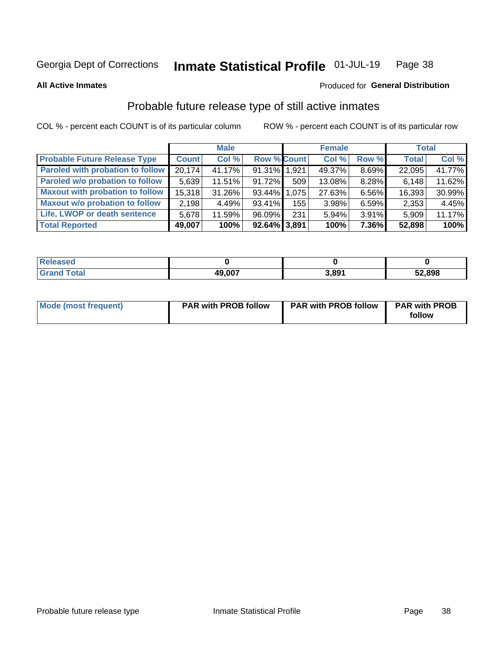#### Inmate Statistical Profile 01-JUL-19 Page 38

**All Active Inmates** 

#### Produced for General Distribution

## Probable future release type of still active inmates

COL % - percent each COUNT is of its particular column

|                                         |              | <b>Male</b> |                    |                  | <b>Female</b> |       | <b>Total</b> |        |
|-----------------------------------------|--------------|-------------|--------------------|------------------|---------------|-------|--------------|--------|
| <b>Probable Future Release Type</b>     | <b>Count</b> | Col %       | <b>Row % Count</b> |                  | Col %         | Row % | <b>Total</b> | Col %  |
| <b>Paroled with probation to follow</b> | 20,174       | 41.17%      | 91.31% 1,921       |                  | 49.37%        | 8.69% | 22,095       | 41.77% |
| Paroled w/o probation to follow         | 5,639        | 11.51%      | 91.72%             | 509 <sup>1</sup> | 13.08%        | 8.28% | 6,148        | 11.62% |
| <b>Maxout with probation to follow</b>  | 15,318       | 31.26%      | 93.44% 1.075       |                  | 27.63%        | 6.56% | 16,393       | 30.99% |
| <b>Maxout w/o probation to follow</b>   | 2,198        | 4.49%       | 93.41%             | 155              | 3.98%         | 6.59% | 2,353        | 4.45%  |
| Life, LWOP or death sentence            | 5,678        | 11.59%      | 96.09%             | 231              | 5.94%         | 3.91% | 5,909        | 11.17% |
| <b>Total Reported</b>                   | 49,007       | 100%        | 92.64% 3,891       |                  | 100%          | 7.36% | 52,898       | 100%   |

| 7560                  |        |       |        |
|-----------------------|--------|-------|--------|
| $f \wedge f \wedge f$ | 49,007 | 3.891 | 52,898 |

| <b>Mode (most frequent)</b> | <b>PAR with PROB follow</b> | <b>PAR with PROB follow</b> | <b>PAR with PROB</b> |
|-----------------------------|-----------------------------|-----------------------------|----------------------|
|                             |                             |                             | follow               |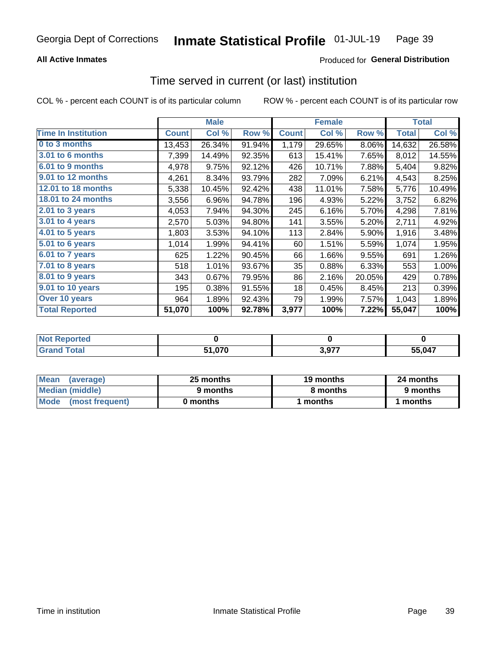### **All Active Inmates**

### Produced for General Distribution

### Time served in current (or last) institution

COL % - percent each COUNT is of its particular column

|                            |              | <b>Male</b> |        |              | <b>Female</b> |        |              | <b>Total</b> |
|----------------------------|--------------|-------------|--------|--------------|---------------|--------|--------------|--------------|
| <b>Time In Institution</b> | <b>Count</b> | Col %       | Row %  | <b>Count</b> | Col %         | Row %  | <b>Total</b> | Col $%$      |
| 0 to 3 months              | 13,453       | 26.34%      | 91.94% | 1,179        | 29.65%        | 8.06%  | 14,632       | 26.58%       |
| 3.01 to 6 months           | 7,399        | 14.49%      | 92.35% | 613          | 15.41%        | 7.65%  | 8,012        | 14.55%       |
| 6.01 to 9 months           | 4,978        | 9.75%       | 92.12% | 426          | 10.71%        | 7.88%  | 5,404        | 9.82%        |
| 9.01 to 12 months          | 4,261        | 8.34%       | 93.79% | 282          | 7.09%         | 6.21%  | 4,543        | 8.25%        |
| <b>12.01 to 18 months</b>  | 5,338        | 10.45%      | 92.42% | 438          | 11.01%        | 7.58%  | 5,776        | 10.49%       |
| <b>18.01 to 24 months</b>  | 3,556        | 6.96%       | 94.78% | 196          | 4.93%         | 5.22%  | 3,752        | 6.82%        |
| 2.01 to 3 years            | 4,053        | 7.94%       | 94.30% | 245          | 6.16%         | 5.70%  | 4,298        | 7.81%        |
| $3.01$ to 4 years          | 2,570        | 5.03%       | 94.80% | 141          | 3.55%         | 5.20%  | 2,711        | 4.92%        |
| 4.01 to 5 years            | 1,803        | 3.53%       | 94.10% | 113          | 2.84%         | 5.90%  | 1,916        | 3.48%        |
| 5.01 to 6 years            | 1,014        | 1.99%       | 94.41% | 60           | 1.51%         | 5.59%  | 1,074        | 1.95%        |
| $6.01$ to 7 years          | 625          | 1.22%       | 90.45% | 66           | 1.66%         | 9.55%  | 691          | 1.26%        |
| $7.01$ to 8 years          | 518          | 1.01%       | 93.67% | 35           | 0.88%         | 6.33%  | 553          | 1.00%        |
| $8.01$ to 9 years          | 343          | 0.67%       | 79.95% | 86           | 2.16%         | 20.05% | 429          | 0.78%        |
| 9.01 to 10 years           | 195          | 0.38%       | 91.55% | 18           | 0.45%         | 8.45%  | 213          | 0.39%        |
| Over 10 years              | 964          | 1.89%       | 92.43% | 79           | 1.99%         | 7.57%  | 1,043        | 1.89%        |
| <b>Total Reported</b>      | 51,070       | 100%        | 92.78% | 3,977        | 100%          | 7.22%  | 55,047       | 100%         |

| NO1<br>orreg |                           |           |        |
|--------------|---------------------------|-----------|--------|
| ntal.        | <b>E4 070</b><br>. .v / v | 077<br>__ | 55 047 |

| <b>Mean</b><br>(average) | 25 months | 19 months | 24 months |
|--------------------------|-----------|-----------|-----------|
| Median (middle)          | 9 months  | 8 months  | 9 months  |
| Mode (most frequent)     | 0 months  | months    | 1 months  |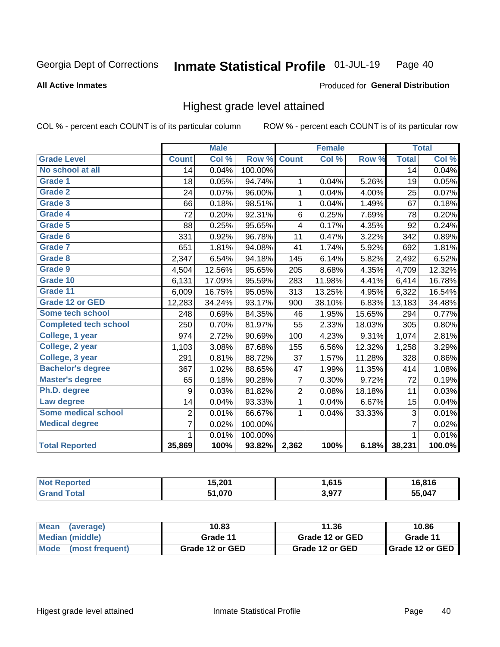#### **All Active Inmates**

#### Produced for General Distribution

### Highest grade level attained

COL % - percent each COUNT is of its particular column

|                              |                 | <b>Male</b> |         |                | <b>Female</b> |        |                 | <b>Total</b> |
|------------------------------|-----------------|-------------|---------|----------------|---------------|--------|-----------------|--------------|
| <b>Grade Level</b>           | <b>Count</b>    | Col %       | Row %   | <b>Count</b>   | Col %         | Row %  | <b>Total</b>    | Col %        |
| No school at all             | $\overline{14}$ | 0.04%       | 100.00% |                |               |        | $\overline{14}$ | 0.04%        |
| <b>Grade 1</b>               | 18              | 0.05%       | 94.74%  | 1              | 0.04%         | 5.26%  | 19              | 0.05%        |
| <b>Grade 2</b>               | 24              | 0.07%       | 96.00%  | 1              | 0.04%         | 4.00%  | 25              | 0.07%        |
| Grade 3                      | 66              | 0.18%       | 98.51%  | $\mathbf{1}$   | 0.04%         | 1.49%  | 67              | 0.18%        |
| <b>Grade 4</b>               | 72              | 0.20%       | 92.31%  | $\,6$          | 0.25%         | 7.69%  | 78              | 0.20%        |
| Grade 5                      | 88              | 0.25%       | 95.65%  | 4              | 0.17%         | 4.35%  | 92              | 0.24%        |
| Grade 6                      | 331             | 0.92%       | 96.78%  | 11             | 0.47%         | 3.22%  | 342             | 0.89%        |
| <b>Grade 7</b>               | 651             | 1.81%       | 94.08%  | 41             | 1.74%         | 5.92%  | 692             | 1.81%        |
| Grade 8                      | 2,347           | 6.54%       | 94.18%  | 145            | 6.14%         | 5.82%  | 2,492           | 6.52%        |
| Grade 9                      | 4,504           | 12.56%      | 95.65%  | 205            | 8.68%         | 4.35%  | 4,709           | 12.32%       |
| Grade 10                     | 6,131           | 17.09%      | 95.59%  | 283            | 11.98%        | 4.41%  | 6,414           | 16.78%       |
| Grade 11                     | 6,009           | 16.75%      | 95.05%  | 313            | 13.25%        | 4.95%  | 6,322           | 16.54%       |
| <b>Grade 12 or GED</b>       | 12,283          | 34.24%      | 93.17%  | 900            | 38.10%        | 6.83%  | 13,183          | 34.48%       |
| <b>Some tech school</b>      | 248             | 0.69%       | 84.35%  | 46             | 1.95%         | 15.65% | 294             | 0.77%        |
| <b>Completed tech school</b> | 250             | 0.70%       | 81.97%  | 55             | 2.33%         | 18.03% | 305             | 0.80%        |
| College, 1 year              | 974             | 2.72%       | 90.69%  | 100            | 4.23%         | 9.31%  | 1,074           | 2.81%        |
| College, 2 year              | 1,103           | 3.08%       | 87.68%  | 155            | 6.56%         | 12.32% | 1,258           | 3.29%        |
| College, 3 year              | 291             | 0.81%       | 88.72%  | 37             | 1.57%         | 11.28% | 328             | 0.86%        |
| <b>Bachelor's degree</b>     | 367             | 1.02%       | 88.65%  | 47             | 1.99%         | 11.35% | 414             | 1.08%        |
| <b>Master's degree</b>       | 65              | 0.18%       | 90.28%  | 7              | 0.30%         | 9.72%  | 72              | 0.19%        |
| Ph.D. degree                 | 9               | 0.03%       | 81.82%  | $\overline{c}$ | 0.08%         | 18.18% | 11              | 0.03%        |
| Law degree                   | 14              | 0.04%       | 93.33%  | $\mathbf{1}$   | 0.04%         | 6.67%  | 15              | 0.04%        |
| <b>Some medical school</b>   | $\overline{2}$  | 0.01%       | 66.67%  | 1              | 0.04%         | 33.33% | 3               | 0.01%        |
| <b>Medical degree</b>        | $\overline{7}$  | 0.02%       | 100.00% |                |               |        | $\overline{7}$  | 0.02%        |
|                              | 1.              | 0.01%       | 100.00% |                |               |        | 1               | 0.01%        |
| <b>Total Reported</b>        | 35,869          | 100%        | 93.82%  | 2,362          | 100%          | 6.18%  | 38,231          | 100.0%       |

| w | 15,201 | .615، | 16,816    |
|---|--------|-------|-----------|
|   | 51,070 | 2077  | ` በ47<br> |

| Mean<br>(average)    | 10.83           | 11.36           | 10.86           |
|----------------------|-----------------|-----------------|-----------------|
| Median (middle)      | Grade 11        | Grade 12 or GED | Grade 11        |
| Mode (most frequent) | Grade 12 or GED | Grade 12 or GED | Grade 12 or GED |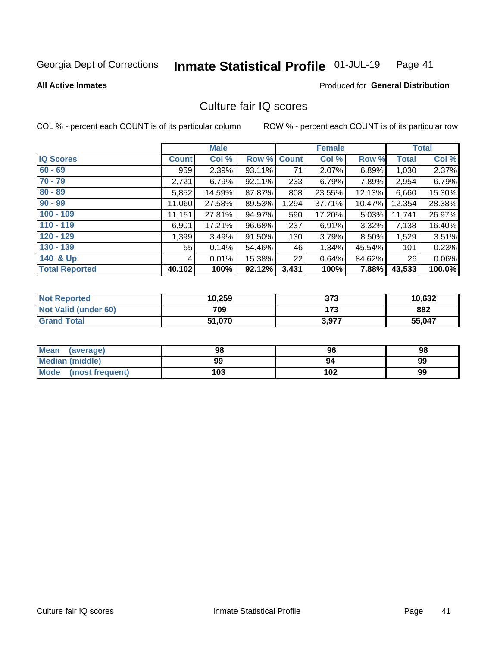#### Inmate Statistical Profile 01-JUL-19 Page 41

#### **All Active Inmates**

### Produced for General Distribution

## Culture fair IQ scores

COL % - percent each COUNT is of its particular column

|                       |              | <b>Male</b> |             |       | <b>Female</b> |        |              | <b>Total</b> |
|-----------------------|--------------|-------------|-------------|-------|---------------|--------|--------------|--------------|
| <b>IQ Scores</b>      | <b>Count</b> | Col %       | Row % Count |       | Col %         | Row %  | <b>Total</b> | Col %        |
| $60 - 69$             | 959          | 2.39%       | 93.11%      | 71    | 2.07%         | 6.89%  | 1,030        | 2.37%        |
| $70 - 79$             | 2,721        | 6.79%       | 92.11%      | 233   | 6.79%         | 7.89%  | 2,954        | 6.79%        |
| $80 - 89$             | 5,852        | 14.59%      | 87.87%      | 808   | 23.55%        | 12.13% | 6,660        | 15.30%       |
| $90 - 99$             | 11,060       | 27.58%      | 89.53%      | 1,294 | 37.71%        | 10.47% | 12,354       | 28.38%       |
| $100 - 109$           | 11,151       | 27.81%      | 94.97%      | 590   | 17.20%        | 5.03%  | 11,741       | 26.97%       |
| $110 - 119$           | 6,901        | 17.21%      | 96.68%      | 237   | 6.91%         | 3.32%  | 7,138        | 16.40%       |
| $120 - 129$           | 1,399        | 3.49%       | 91.50%      | 130   | 3.79%         | 8.50%  | 1,529        | 3.51%        |
| $130 - 139$           | 55           | 0.14%       | 54.46%      | 46    | 1.34%         | 45.54% | 101          | 0.23%        |
| 140 & Up              | 4            | 0.01%       | 15.38%      | 22    | 0.64%         | 84.62% | 26           | 0.06%        |
| <b>Total Reported</b> | 40,102       | 100%        | 92.12%      | 3,431 | 100%          | 7.88%  | 43,533       | 100.0%       |

| <b>Not Reported</b>         | 10,259 | 373   | 10,632 |
|-----------------------------|--------|-------|--------|
| <b>Not Valid (under 60)</b> | 709    | 173   | 882    |
| <b>Grand Total</b>          | 51,070 | 3,977 | 55,047 |

| <b>Mean</b><br>(average) | 98  | 96  | 98 |
|--------------------------|-----|-----|----|
| <b>Median (middle)</b>   | 99  | 94  | 99 |
| Mode<br>(most frequent)  | 103 | 102 | 99 |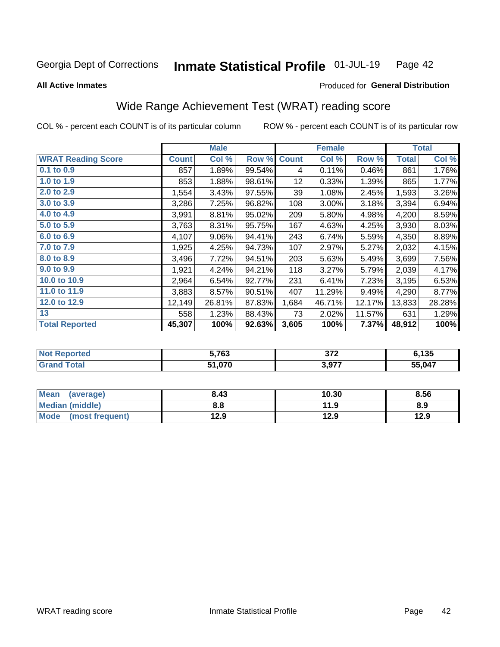#### Inmate Statistical Profile 01-JUL-19 Page 42

**All Active Inmates** 

### Produced for General Distribution

## Wide Range Achievement Test (WRAT) reading score

COL % - percent each COUNT is of its particular column

|                           |              | <b>Male</b> |        |                 | <b>Female</b> |        |              | <b>Total</b> |
|---------------------------|--------------|-------------|--------|-----------------|---------------|--------|--------------|--------------|
| <b>WRAT Reading Score</b> | <b>Count</b> | Col %       | Row %  | <b>Count</b>    | Col %         | Row %  | <b>Total</b> | Col %        |
| 0.1 to 0.9                | 857          | 1.89%       | 99.54% | 4               | 0.11%         | 0.46%  | 861          | 1.76%        |
| 1.0 to 1.9                | 853          | 1.88%       | 98.61% | 12 <sub>2</sub> | 0.33%         | 1.39%  | 865          | 1.77%        |
| 2.0 to 2.9                | 1,554        | 3.43%       | 97.55% | 39              | 1.08%         | 2.45%  | 1,593        | 3.26%        |
| 3.0 to 3.9                | 3,286        | 7.25%       | 96.82% | 108             | 3.00%         | 3.18%  | 3,394        | 6.94%        |
| 4.0 to 4.9                | 3,991        | 8.81%       | 95.02% | 209             | 5.80%         | 4.98%  | 4,200        | 8.59%        |
| 5.0 to 5.9                | 3,763        | 8.31%       | 95.75% | 167             | 4.63%         | 4.25%  | 3,930        | 8.03%        |
| 6.0 to 6.9                | 4,107        | 9.06%       | 94.41% | 243             | 6.74%         | 5.59%  | 4,350        | 8.89%        |
| 7.0 to 7.9                | 1,925        | 4.25%       | 94.73% | 107             | 2.97%         | 5.27%  | 2,032        | 4.15%        |
| 8.0 to 8.9                | 3,496        | 7.72%       | 94.51% | 203             | 5.63%         | 5.49%  | 3,699        | 7.56%        |
| 9.0 to 9.9                | 1,921        | 4.24%       | 94.21% | 118             | 3.27%         | 5.79%  | 2,039        | 4.17%        |
| 10.0 to 10.9              | 2,964        | 6.54%       | 92.77% | 231             | 6.41%         | 7.23%  | 3,195        | 6.53%        |
| 11.0 to 11.9              | 3,883        | 8.57%       | 90.51% | 407             | 11.29%        | 9.49%  | 4,290        | 8.77%        |
| 12.0 to 12.9              | 12,149       | 26.81%      | 87.83% | 1,684           | 46.71%        | 12.17% | 13,833       | 28.28%       |
| 13                        | 558          | 1.23%       | 88.43% | 73              | 2.02%         | 11.57% | 631          | 1.29%        |
| <b>Total Reported</b>     | 45,307       | 100%        | 92.63% | 3,605           | 100%          | 7.37%  | 48,912       | 100%         |

| rteo | 5,763  | 27c<br>JIL | 6,135  |
|------|--------|------------|--------|
|      | 51,070 | 3,977      | 55,047 |

| Mean<br>(average)              | 8.43 | 10.30 | 8.56 |
|--------------------------------|------|-------|------|
| Median (middle)                | 8.8  | 11.9  | 8.9  |
| <b>Mode</b><br>(most frequent) | 12.9 | 12.9  | 12.9 |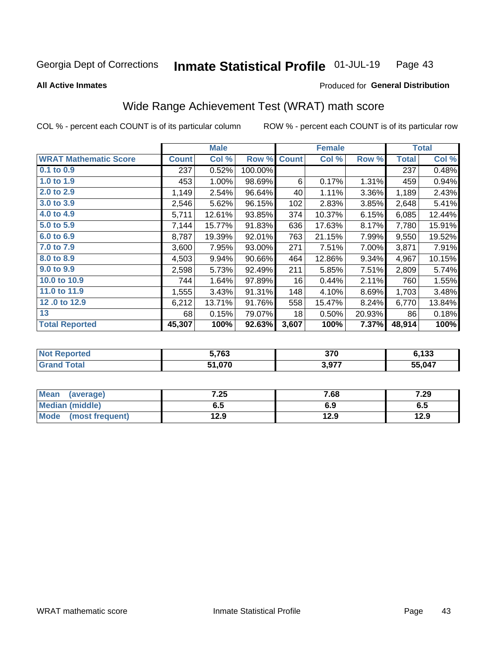#### Inmate Statistical Profile 01-JUL-19 Page 43

Produced for General Distribution

#### **All Active Inmates**

## Wide Range Achievement Test (WRAT) math score

COL % - percent each COUNT is of its particular column

|                              |              | <b>Male</b> |         |              | <b>Female</b> |        |              | <b>Total</b> |
|------------------------------|--------------|-------------|---------|--------------|---------------|--------|--------------|--------------|
| <b>WRAT Mathematic Score</b> | <b>Count</b> | Col %       | Row %   | <b>Count</b> | Col %         | Row %  | <b>Total</b> | Col %        |
| 0.1 to 0.9                   | 237          | 0.52%       | 100.00% |              |               |        | 237          | 0.48%        |
| 1.0 to 1.9                   | 453          | 1.00%       | 98.69%  | 6            | 0.17%         | 1.31%  | 459          | 0.94%        |
| 2.0 to 2.9                   | 1,149        | 2.54%       | 96.64%  | 40           | 1.11%         | 3.36%  | 1,189        | 2.43%        |
| 3.0 to 3.9                   | 2,546        | 5.62%       | 96.15%  | 102          | 2.83%         | 3.85%  | 2,648        | 5.41%        |
| 4.0 to 4.9                   | 5,711        | 12.61%      | 93.85%  | 374          | 10.37%        | 6.15%  | 6,085        | 12.44%       |
| 5.0 to 5.9                   | 7,144        | 15.77%      | 91.83%  | 636          | 17.63%        | 8.17%  | 7,780        | 15.91%       |
| 6.0 to 6.9                   | 8,787        | 19.39%      | 92.01%  | 763          | 21.15%        | 7.99%  | 9,550        | 19.52%       |
| 7.0 to 7.9                   | 3,600        | 7.95%       | 93.00%  | 271          | 7.51%         | 7.00%  | 3,871        | 7.91%        |
| 8.0 to 8.9                   | 4,503        | 9.94%       | 90.66%  | 464          | 12.86%        | 9.34%  | 4,967        | 10.15%       |
| 9.0 to 9.9                   | 2,598        | 5.73%       | 92.49%  | 211          | 5.85%         | 7.51%  | 2,809        | 5.74%        |
| 10.0 to 10.9                 | 744          | 1.64%       | 97.89%  | 16           | 0.44%         | 2.11%  | 760          | 1.55%        |
| 11.0 to 11.9                 | 1,555        | 3.43%       | 91.31%  | 148          | 4.10%         | 8.69%  | 1,703        | 3.48%        |
| 12.0 to 12.9                 | 6,212        | 13.71%      | 91.76%  | 558          | 15.47%        | 8.24%  | 6,770        | 13.84%       |
| 13                           | 68           | 0.15%       | 79.07%  | 18           | 0.50%         | 20.93% | 86           | 0.18%        |
| <b>Total Reported</b>        | 45,307       | 100%        | 92.63%  | 3,607        | 100%          | 7.37%  | 48,914       | 100%         |

| keported     | $E$ 700<br>נט ו | 370   | e 199<br>199 |
|--------------|-----------------|-------|--------------|
| <b>cotal</b> | 51,070          | 3,977 | 55,047       |

| <b>Mean</b><br>(average) | 7.25 | 7.68 | 7.29 |
|--------------------------|------|------|------|
| Median (middle)          | כ.ס  | 6.9  | ხ.მ  |
| Mode<br>(most frequent)  | 12.9 | 12.9 | 12.9 |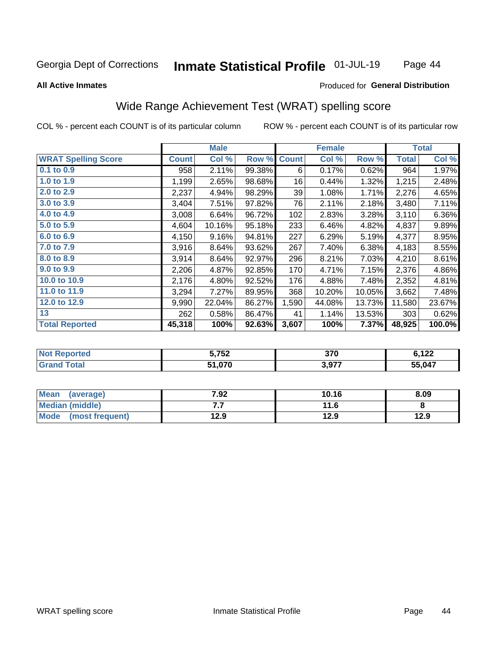#### Inmate Statistical Profile 01-JUL-19 Page 44

#### **All Active Inmates**

### Produced for General Distribution

## Wide Range Achievement Test (WRAT) spelling score

COL % - percent each COUNT is of its particular column

|                            |              | <b>Male</b> |        |              | <b>Female</b> |        |              | <b>Total</b> |
|----------------------------|--------------|-------------|--------|--------------|---------------|--------|--------------|--------------|
| <b>WRAT Spelling Score</b> | <b>Count</b> | Col %       | Row %  | <b>Count</b> | Col %         | Row %  | <b>Total</b> | Col %        |
| $0.1$ to $0.9$             | 958          | 2.11%       | 99.38% | 6            | 0.17%         | 0.62%  | 964          | 1.97%        |
| 1.0 to 1.9                 | 1,199        | 2.65%       | 98.68% | 16           | 0.44%         | 1.32%  | 1,215        | 2.48%        |
| 2.0 to 2.9                 | 2,237        | 4.94%       | 98.29% | 39           | 1.08%         | 1.71%  | 2,276        | 4.65%        |
| 3.0 to 3.9                 | 3,404        | 7.51%       | 97.82% | 76           | 2.11%         | 2.18%  | 3,480        | 7.11%        |
| 4.0 to 4.9                 | 3,008        | 6.64%       | 96.72% | 102          | 2.83%         | 3.28%  | 3,110        | 6.36%        |
| 5.0 to 5.9                 | 4,604        | 10.16%      | 95.18% | 233          | 6.46%         | 4.82%  | 4,837        | 9.89%        |
| 6.0 to 6.9                 | 4,150        | 9.16%       | 94.81% | 227          | 6.29%         | 5.19%  | 4,377        | 8.95%        |
| 7.0 to 7.9                 | 3,916        | 8.64%       | 93.62% | 267          | 7.40%         | 6.38%  | 4,183        | 8.55%        |
| 8.0 to 8.9                 | 3,914        | 8.64%       | 92.97% | 296          | 8.21%         | 7.03%  | 4,210        | 8.61%        |
| 9.0 to 9.9                 | 2,206        | 4.87%       | 92.85% | 170          | 4.71%         | 7.15%  | 2,376        | 4.86%        |
| 10.0 to 10.9               | 2,176        | 4.80%       | 92.52% | 176          | 4.88%         | 7.48%  | 2,352        | 4.81%        |
| 11.0 to 11.9               | 3,294        | 7.27%       | 89.95% | 368          | 10.20%        | 10.05% | 3,662        | 7.48%        |
| 12.0 to 12.9               | 9,990        | 22.04%      | 86.27% | 1,590        | 44.08%        | 13.73% | 11,580       | 23.67%       |
| 13                         | 262          | 0.58%       | 86.47% | 41           | 1.14%         | 13.53% | 303          | 0.62%        |
| <b>Total Reported</b>      | 45,318       | 100%        | 92.63% | 3,607        | 100%          | 7.37%  | 48,925       | 100.0%       |

| <b>Reported</b> | e ven  | 370   | 0.122  |
|-----------------|--------|-------|--------|
| ' NOt           | ບ.≀ ບ∠ |       | 144    |
| <b>cotal</b>    | 51,070 | 3,977 | 55,047 |

| <b>Mean</b><br>(average)       | 7.92 | 10.16 | 8.09 |
|--------------------------------|------|-------|------|
| Median (middle)                | .    | 11.6  |      |
| <b>Mode</b><br>(most frequent) | 12.9 | 12.9  | 12.9 |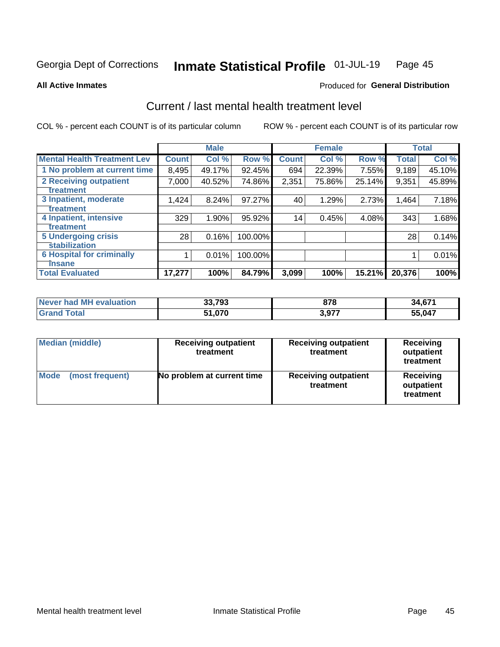#### Inmate Statistical Profile 01-JUL-19 Page 45

**All Active Inmates** 

### **Produced for General Distribution**

## Current / last mental health treatment level

COL % - percent each COUNT is of its particular column

|                                    |              | <b>Male</b> |         |              | <b>Female</b> |        |              | <b>Total</b> |
|------------------------------------|--------------|-------------|---------|--------------|---------------|--------|--------------|--------------|
| <b>Mental Health Treatment Lev</b> | <b>Count</b> | Col %       | Row %   | <b>Count</b> | Col %         | Row %  | <b>Total</b> | Col %        |
| 1 No problem at current time       | 8,495        | 49.17%      | 92.45%  | 694          | 22.39%        | 7.55%  | 9,189        | 45.10%       |
| 2 Receiving outpatient             | 7,000        | 40.52%      | 74.86%  | 2,351        | 75.86%        | 25.14% | 9,351        | 45.89%       |
| <b>Treatment</b>                   |              |             |         |              |               |        |              |              |
| 3 Inpatient, moderate              | 1,424        | 8.24%       | 97.27%  | 40           | 1.29%         | 2.73%  | 1,464        | 7.18%        |
| <b>Treatment</b>                   |              |             |         |              |               |        |              |              |
| 4 Inpatient, intensive             | 329          | 1.90%       | 95.92%  | 14           | 0.45%         | 4.08%  | 343          | 1.68%        |
| Treatment                          |              |             |         |              |               |        |              |              |
| <b>5 Undergoing crisis</b>         | 28           | 0.16%       | 100.00% |              |               |        | 28           | 0.14%        |
| <b>stabilization</b>               |              |             |         |              |               |        |              |              |
| <b>6 Hospital for criminally</b>   |              | 0.01%       | 100.00% |              |               |        |              | 0.01%        |
| <b>Tinsane</b>                     |              |             |         |              |               |        |              |              |
| <b>Total Evaluated</b>             | 17,277       | 100%        | 84.79%  | 3,099        | 100%          | 15.21% | 20,376       | 100%         |

| <b>Never had MH evaluation</b> | 33,793        | 878         | 34,671 |
|--------------------------------|---------------|-------------|--------|
| Total                          | 51.070<br>C 4 | 077<br>J.JI | 55.047 |

| Median (middle)                | <b>Receiving outpatient</b><br>treatment | <b>Receiving outpatient</b><br>treatment | <b>Receiving</b><br>outpatient<br>treatment |  |
|--------------------------------|------------------------------------------|------------------------------------------|---------------------------------------------|--|
| <b>Mode</b><br>(most frequent) | No problem at current time               | <b>Receiving outpatient</b><br>treatment | Receiving<br>outpatient<br>treatment        |  |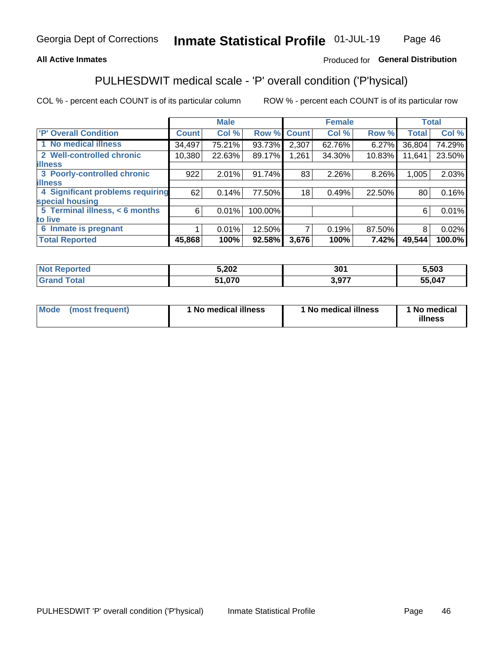### **All Active Inmates**

### Produced for General Distribution

## PULHESDWIT medical scale - 'P' overall condition ('P'hysical)

COL % - percent each COUNT is of its particular column

|                                  |              | <b>Male</b> |         |              | <b>Female</b> |        |              | <b>Total</b> |
|----------------------------------|--------------|-------------|---------|--------------|---------------|--------|--------------|--------------|
| 'P' Overall Condition            | <b>Count</b> | Col %       | Row %   | <b>Count</b> | Col %         | Row %  | <b>Total</b> | Col %        |
| 1 No medical illness             | 34,497       | 75.21%      | 93.73%  | 2,307        | 62.76%        | 6.27%  | 36,804       | 74.29%       |
| 2 Well-controlled chronic        | 10,380       | 22.63%      | 89.17%  | 1,261        | 34.30%        | 10.83% | 11,641       | 23.50%       |
| <b>lillness</b>                  |              |             |         |              |               |        |              |              |
| 3 Poorly-controlled chronic      | 922          | $2.01\%$    | 91.74%  | 83           | 2.26%         | 8.26%  | 1,005        | 2.03%        |
| <b>lillness</b>                  |              |             |         |              |               |        |              |              |
| 4 Significant problems requiring | 62           | 0.14%       | 77.50%  | 18           | 0.49%         | 22.50% | 80           | 0.16%        |
| special housing                  |              |             |         |              |               |        |              |              |
| 5 Terminal illness, < 6 months   | 6            | 0.01%       | 100.00% |              |               |        | 6            | 0.01%        |
| to live                          |              |             |         |              |               |        |              |              |
| 6 Inmate is pregnant             |              | 0.01%       | 12.50%  | 7            | 0.19%         | 87.50% | 8            | 0.02%        |
| <b>Total Reported</b>            | 45,868       | 100%        | 92.58%  | 3,676        | 100%          | 7.42%  | 49,544       | 100.0%       |

| ua u | 5,202 | 30' | $-503$ |
|------|-------|-----|--------|
|      | 07C   | 077 | 55,047 |

| Mode<br>(most frequent) |  | <sup>1</sup> No medical illness | 1 No medical illness | 1 No medical<br>illness |
|-------------------------|--|---------------------------------|----------------------|-------------------------|
|-------------------------|--|---------------------------------|----------------------|-------------------------|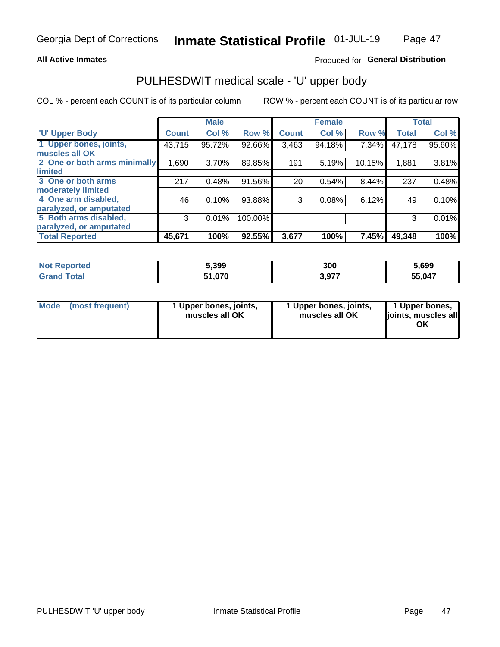### **All Active Inmates**

### Produced for General Distribution

# PULHESDWIT medical scale - 'U' upper body

COL % - percent each COUNT is of its particular column

|                              |              | <b>Male</b> |           |              | <b>Female</b> |        |              | <b>Total</b> |
|------------------------------|--------------|-------------|-----------|--------------|---------------|--------|--------------|--------------|
| <b>U' Upper Body</b>         | <b>Count</b> | Col %       | Row %     | <b>Count</b> | Col %         | Row %  | <b>Total</b> | Col %        |
| 1 Upper bones, joints,       | 43,715       | 95.72%      | 92.66%    | 3,463        | 94.18%        | 7.34%  | 47,178       | 95.60%       |
| muscles all OK               |              |             |           |              |               |        |              |              |
| 2 One or both arms minimally | 1,690        | 3.70%       | 89.85%    | 191          | 5.19%         | 10.15% | 1,881        | 3.81%        |
| limited                      |              |             |           |              |               |        |              |              |
| 3 One or both arms           | 217          | 0.48%       | 91.56%    | 20           | 0.54%         | 8.44%  | 237          | 0.48%        |
| <b>moderately limited</b>    |              |             |           |              |               |        |              |              |
| 4 One arm disabled,          | 46           | 0.10%       | 93.88%    | 3            | 0.08%         | 6.12%  | 49           | 0.10%        |
| paralyzed, or amputated      |              |             |           |              |               |        |              |              |
| 5 Both arms disabled,        | 3            | 0.01%       | 100.00%   |              |               |        | 3            | 0.01%        |
| paralyzed, or amputated      |              |             |           |              |               |        |              |              |
| <b>Total Reported</b>        | 45,671       | 100%        | $92.55\%$ | 3,677        | 100%          | 7.45%  | 49,348       | 100%         |

| <b>Not Reported</b>   | 5,399  | 300   | 5,699  |
|-----------------------|--------|-------|--------|
| <b>Total</b><br>Grand | 51,070 | 3,977 | 55,047 |

| Mode<br>(most frequent) | 1 Upper bones, joints,<br>muscles all OK | 1 Upper bones, joints,<br>muscles all OK | 1 Upper bones,<br>joints, muscles all<br>ΟK |
|-------------------------|------------------------------------------|------------------------------------------|---------------------------------------------|
|-------------------------|------------------------------------------|------------------------------------------|---------------------------------------------|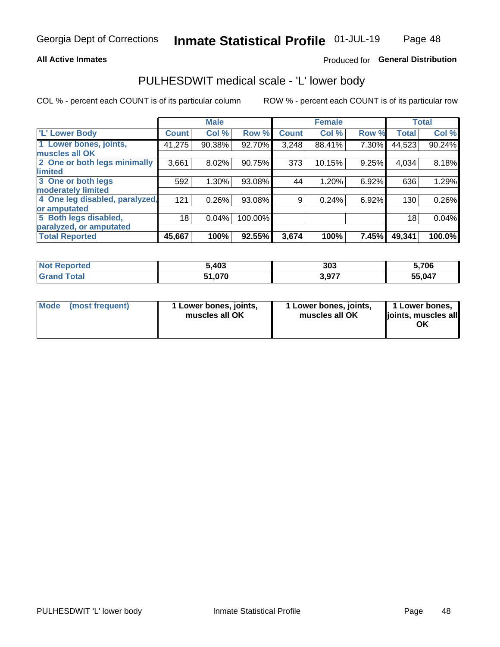### **All Active Inmates**

### Produced for General Distribution

## PULHESDWIT medical scale - 'L' lower body

COL % - percent each COUNT is of its particular column

|                                |              | <b>Male</b> |         |              | <b>Female</b> |       |              | <b>Total</b> |
|--------------------------------|--------------|-------------|---------|--------------|---------------|-------|--------------|--------------|
| 'L' Lower Body                 | <b>Count</b> | Col %       | Row %   | <b>Count</b> | Col %         | Row % | <b>Total</b> | Col %        |
| 1 Lower bones, joints,         | 41,275       | 90.38%      | 92.70%  | 3,248        | 88.41%        | 7.30% | 44,523       | 90.24%       |
| muscles all OK                 |              |             |         |              |               |       |              |              |
| 2 One or both legs minimally   | 3,661        | 8.02%       | 90.75%  | 373          | 10.15%        | 9.25% | 4,034        | 8.18%        |
| limited                        |              |             |         |              |               |       |              |              |
| 3 One or both legs             | 592          | 1.30%       | 93.08%  | 44           | 1.20%         | 6.92% | 636          | 1.29%        |
| moderately limited             |              |             |         |              |               |       |              |              |
| 4 One leg disabled, paralyzed, | 121          | 0.26%       | 93.08%  | 9            | 0.24%         | 6.92% | 130          | 0.26%        |
| or amputated                   |              |             |         |              |               |       |              |              |
| 5 Both legs disabled,          | 18           | 0.04%       | 100.00% |              |               |       | 18           | 0.04%        |
| paralyzed, or amputated        |              |             |         |              |               |       |              |              |
| <b>Total Reported</b>          | 45,667       | 100%        | 92.55%  | 3,674        | 100%          | 7.45% | 49,341       | 100.0%       |

| <b>Not Reported</b> | 5,403  | 303   | 5,706  |
|---------------------|--------|-------|--------|
| <b>Grand Total</b>  | 51,070 | 3,977 | 55,047 |

|  | Mode (most frequent) | 1 Lower bones, joints,<br>muscles all OK | 1 Lower bones, joints,<br>muscles all OK | 1 Lower bones,<br>joints, muscles all<br>ΟK |
|--|----------------------|------------------------------------------|------------------------------------------|---------------------------------------------|
|--|----------------------|------------------------------------------|------------------------------------------|---------------------------------------------|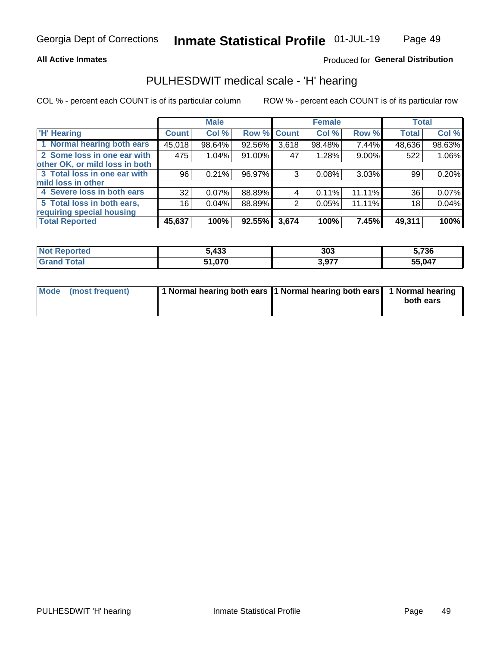### **All Active Inmates**

### Produced for General Distribution

### PULHESDWIT medical scale - 'H' hearing

COL % - percent each COUNT is of its particular column

|                                |              | <b>Male</b> |        |             | <b>Female</b> |                | <b>Total</b> |        |
|--------------------------------|--------------|-------------|--------|-------------|---------------|----------------|--------------|--------|
| <b>'H' Hearing</b>             | <b>Count</b> | Col %       |        | Row % Count | Col %         | Row %          | <b>Total</b> | Col %  |
| 1 Normal hearing both ears     | 45,018       | 98.64%      | 92.56% | 3,618       | 98.48%        | 7.44%          | 48,636       | 98.63% |
| 2 Some loss in one ear with    | 475          | 1.04%       | 91.00% | 47          | 1.28%         | 9.00%          | 522          | 1.06%  |
| other OK, or mild loss in both |              |             |        |             |               |                |              |        |
| 3 Total loss in one ear with   | 96           | 0.21%       | 96.97% | 3           | 0.08%         | 3.03%          | 99           | 0.20%  |
| mild loss in other             |              |             |        |             |               |                |              |        |
| 4 Severe loss in both ears     | 32           | 0.07%       | 88.89% | 4           | 0.11%         | 11.11%         | 36           | 0.07%  |
| 5 Total loss in both ears,     | 16           | 0.04%       | 88.89% | 2           | 0.05%         | $11.11\%$      | 18           | 0.04%  |
| requiring special housing      |              |             |        |             |               |                |              |        |
| <b>Total Reported</b>          | 45,637       | 100%        | 92.55% | 3,674       | 100%          | 7.45% <b> </b> | 49,311       | 100%   |

| <b>Not Reno</b> | $\overline{132}$ | 303           | ^ מפי  |
|-----------------|------------------|---------------|--------|
| ື∩rted          | ว,4งง            |               | 0ט ו   |
| Total           | 51,070           | 077<br>- 7.71 | 55,047 |

| Mode (most frequent) | 1 Normal hearing both ears 11 Normal hearing both ears 1 Normal hearing | both ears |
|----------------------|-------------------------------------------------------------------------|-----------|
|                      |                                                                         |           |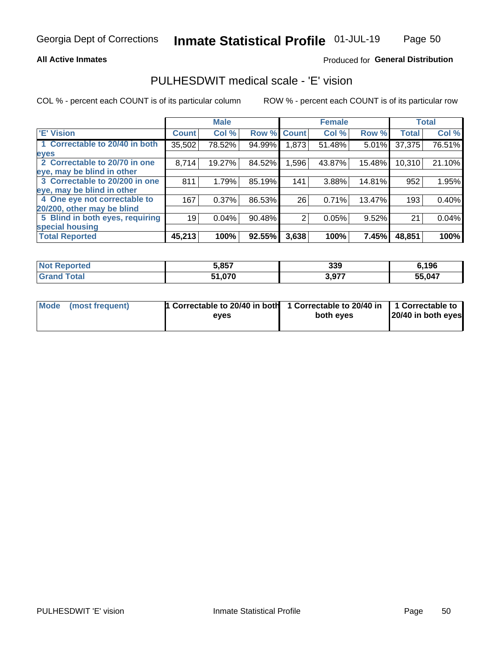### **All Active Inmates**

### Produced for General Distribution

## PULHESDWIT medical scale - 'E' vision

COL % - percent each COUNT is of its particular column

|                                 |              | <b>Male</b> |        |              | <b>Female</b> |        |              | <b>Total</b> |
|---------------------------------|--------------|-------------|--------|--------------|---------------|--------|--------------|--------------|
| 'E' Vision                      | <b>Count</b> | Col %       | Row %  | <b>Count</b> | Col %         | Row %  | <b>Total</b> | Col %        |
| 1 Correctable to 20/40 in both  | 35,502       | 78.52%      | 94.99% | ,873         | 51.48%        | 5.01%  | 37,375       | 76.51%       |
| eyes                            |              |             |        |              |               |        |              |              |
| 2 Correctable to 20/70 in one   | 8,714        | 19.27%      | 84.52% | 1,596        | 43.87%        | 15.48% | 10,310       | 21.10%       |
| eye, may be blind in other      |              |             |        |              |               |        |              |              |
| 3 Correctable to 20/200 in one  | 811          | 1.79%       | 85.19% | 141          | 3.88%         | 14.81% | 952          | 1.95%        |
| eye, may be blind in other      |              |             |        |              |               |        |              |              |
| 4 One eye not correctable to    | 167          | 0.37%       | 86.53% | 26           | 0.71%         | 13.47% | 193          | 0.40%        |
| 20/200, other may be blind      |              |             |        |              |               |        |              |              |
| 5 Blind in both eyes, requiring | 19           | 0.04%       | 90.48% | 2            | 0.05%         | 9.52%  | 21           | 0.04%        |
| special housing                 |              |             |        |              |               |        |              |              |
| <b>Total Reported</b>           | 45,213       | 100%        | 92.55% | 3,638        | 100%          | 7.45%  | 48,851       | 100%         |

| <b>Not Reported</b> | 5,857         | 339   | 6,196  |
|---------------------|---------------|-------|--------|
| Гоtal               | 51,070<br>E4. | 3,977 | 55,047 |

| Mode (most frequent) | 1 Correctable to 20/40 in both<br>eves | 1 Correctable to 20/40 in   1 Correctable to  <br>both eves | 20/40 in both eyes |
|----------------------|----------------------------------------|-------------------------------------------------------------|--------------------|
|                      |                                        |                                                             |                    |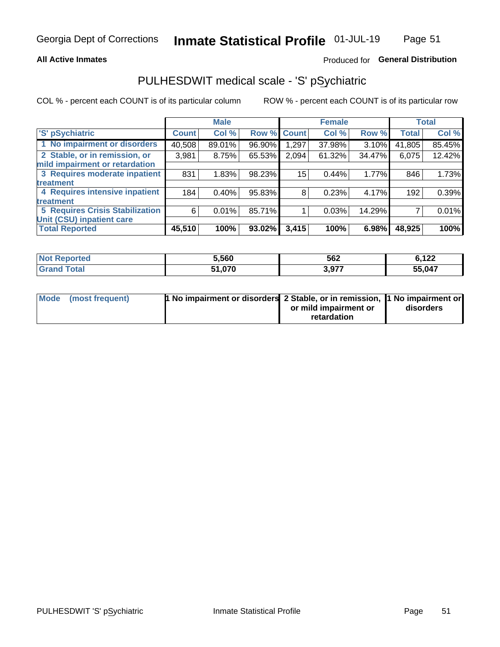### **All Active Inmates**

### Produced for General Distribution

## PULHESDWIT medical scale - 'S' pSychiatric

COL % - percent each COUNT is of its particular column

|                                        |              | <b>Male</b> |        |             | <b>Female</b> |        |              | <b>Total</b> |
|----------------------------------------|--------------|-------------|--------|-------------|---------------|--------|--------------|--------------|
| 'S' pSychiatric                        | <b>Count</b> | Col %       |        | Row % Count | Col %         | Row %  | <b>Total</b> | Col %        |
| 1 No impairment or disorders           | 40,508       | 89.01%      | 96.90% | 1,297       | 37.98%        | 3.10%  | 41,805       | 85.45%       |
| 2 Stable, or in remission, or          | 3,981        | 8.75%       | 65.53% | 2,094       | 61.32%        | 34.47% | 6,075        | 12.42%       |
| mild impairment or retardation         |              |             |        |             |               |        |              |              |
| 3 Requires moderate inpatient          | 831          | 1.83%       | 98.23% | 15          | 0.44%         | 1.77%  | 846          | 1.73%        |
| treatment                              |              |             |        |             |               |        |              |              |
| 4 Requires intensive inpatient         | 184          | 0.40%       | 95.83% | 8           | 0.23%         | 4.17%  | 192          | 0.39%        |
| treatment                              |              |             |        |             |               |        |              |              |
| <b>5 Requires Crisis Stabilization</b> | 6            | 0.01%       | 85.71% |             | 0.03%         | 14.29% |              | 0.01%        |
| Unit (CSU) inpatient care              |              |             |        |             |               |        |              |              |
| <b>Total Reported</b>                  | 45,510       | 100%        | 93.02% | 3,415       | 100%          | 6.98%  | 48,925       | 100%         |

| <b>Not Reported</b> | 5,560   | 562   | <b>C</b> 199<br><u><b>V.IZZ</b></u> |
|---------------------|---------|-------|-------------------------------------|
| <b>Total</b>        | 070     | 2077  | 55,047                              |
| Gran                | 1.V / V | J,JII |                                     |

| Mode | (most frequent) | <b>t No impairment or disorders 2 Stable, or in remission, 1 No impairment or</b> |                       |           |
|------|-----------------|-----------------------------------------------------------------------------------|-----------------------|-----------|
|      |                 |                                                                                   | or mild impairment or | disorders |
|      |                 |                                                                                   | retardation           |           |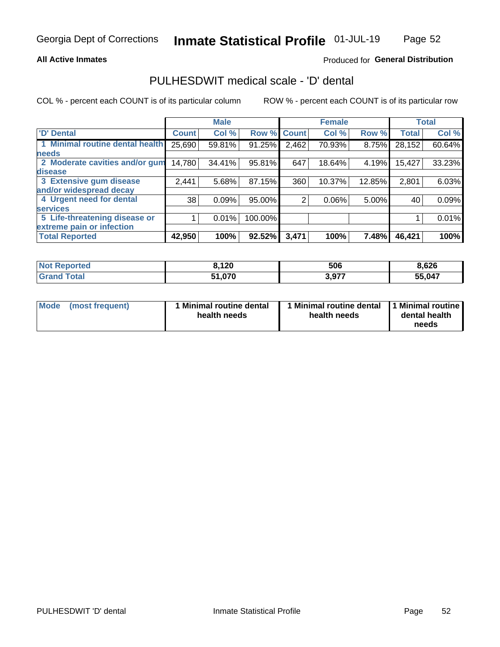### **All Active Inmates**

### Produced for General Distribution

## PULHESDWIT medical scale - 'D' dental

COL % - percent each COUNT is of its particular column

|                                 |              | <b>Male</b> |         |              | <b>Female</b> |        |              | <b>Total</b> |
|---------------------------------|--------------|-------------|---------|--------------|---------------|--------|--------------|--------------|
| <b>D'</b> Dental                | <b>Count</b> | Col %       | Row %   | <b>Count</b> | Col %         | Row %  | <b>Total</b> | Col %        |
| 1 Minimal routine dental health | 25,690       | 59.81%      | 91.25%  | 2,462        | 70.93%        | 8.75%  | 28,152       | 60.64%       |
| <b>needs</b>                    |              |             |         |              |               |        |              |              |
| 2 Moderate cavities and/or gum  | 14,780       | 34.41%      | 95.81%  | 647          | 18.64%        | 4.19%  | 15,427       | 33.23%       |
| disease                         |              |             |         |              |               |        |              |              |
| 3 Extensive gum disease         | 2,441        | 5.68%       | 87.15%  | 360          | 10.37%        | 12.85% | 2,801        | 6.03%        |
| and/or widespread decay         |              |             |         |              |               |        |              |              |
| 4 Urgent need for dental        | 38           | 0.09%       | 95.00%  | 2            | 0.06%         | 5.00%  | 40           | 0.09%        |
| <b>services</b>                 |              |             |         |              |               |        |              |              |
| 5 Life-threatening disease or   |              | 0.01%       | 100.00% |              |               |        |              | 0.01%        |
| extreme pain or infection       |              |             |         |              |               |        |              |              |
| <b>Total Reported</b>           | 42,950       | 100%        | 92.52%  | 3,471        | 100%          | 7.48%  | 46,421       | 100%         |

| <b>Not Reported</b> | ,120          | 506   | 8,626  |
|---------------------|---------------|-------|--------|
| Гоtal               | 51,070<br>E4. | 3,977 | 55,047 |

| 1 Minimal routine dental<br>Mode<br>(most frequent)<br>health needs | 1 Minimal routine dental 1 Minimal routine<br>health needs | dental health<br>needs |
|---------------------------------------------------------------------|------------------------------------------------------------|------------------------|
|---------------------------------------------------------------------|------------------------------------------------------------|------------------------|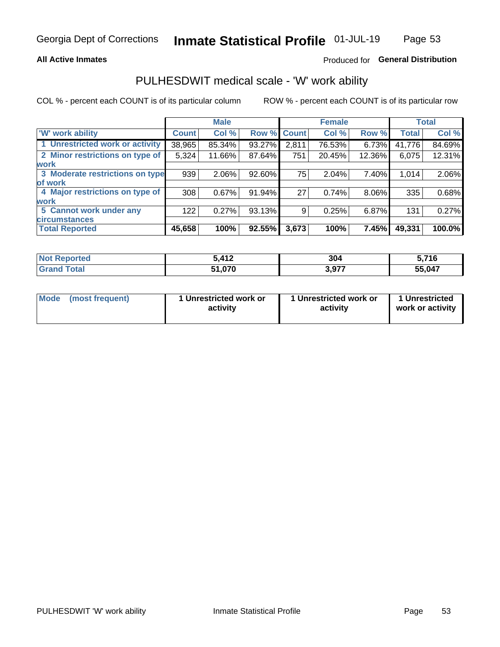### **All Active Inmates**

### Produced for General Distribution

## PULHESDWIT medical scale - 'W' work ability

COL % - percent each COUNT is of its particular column

|                                 |                    | <b>Male</b> |        |             | <b>Female</b> |          |              | <b>Total</b> |
|---------------------------------|--------------------|-------------|--------|-------------|---------------|----------|--------------|--------------|
| <b>W</b> work ability           | Count <sup>1</sup> | Col %       |        | Row % Count | Col %         | Row %    | <b>Total</b> | Col %        |
| 1 Unrestricted work or activity | 38,965             | 85.34%      | 93.27% | 2,811       | 76.53%        | $6.73\%$ | 41,776       | 84.69%       |
| 2 Minor restrictions on type of | 5,324              | 11.66%      | 87.64% | 751         | 20.45%        | 12.36%   | 6,075        | 12.31%       |
| <b>work</b>                     |                    |             |        |             |               |          |              |              |
| 3 Moderate restrictions on type | 939                | $2.06\%$    | 92.60% | 75          | 2.04%         | 7.40%    | 1,014        | 2.06%        |
| lof work                        |                    |             |        |             |               |          |              |              |
| 4 Major restrictions on type of | 308                | 0.67%       | 91.94% | 27          | 0.74%         | 8.06%    | 335          | 0.68%        |
| <b>work</b>                     |                    |             |        |             |               |          |              |              |
| 5 Cannot work under any         | 122                | 0.27%       | 93.13% | 9           | 0.25%         | 6.87%    | 131          | 0.27%        |
| <b>circumstances</b>            |                    |             |        |             |               |          |              |              |
| <b>Total Reported</b>           | 45,658             | 100%        | 92.55% | 3,673       | 100%          | 7.45%    | 49,331       | 100.0%       |

| <b>Not Reported</b> | 412,   | 304   | 5,716<br>J., |
|---------------------|--------|-------|--------------|
| Total<br>Grand      | 51,070 | 3,977 | 55,047       |

| <b>Mode</b>     | 1 Unrestricted work or | 1 Unrestricted work or | 1 Unrestricted   |
|-----------------|------------------------|------------------------|------------------|
| (most frequent) | activity               | activity               | work or activity |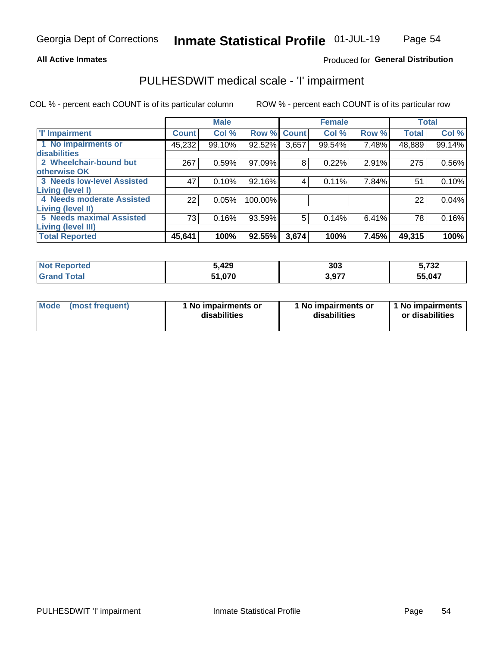### **All Active Inmates**

### Produced for General Distribution

## PULHESDWIT medical scale - 'I' impairment

COL % - percent each COUNT is of its particular column ROW % - percent each COUNT is of its particular row

|                                   |              | <b>Male</b> |             |       | <b>Female</b> |       |              | <b>Total</b> |
|-----------------------------------|--------------|-------------|-------------|-------|---------------|-------|--------------|--------------|
| 'l' Impairment                    | <b>Count</b> | Col %       | Row % Count |       | Col %         | Row % | <b>Total</b> | Col %        |
| 1 No impairments or               | 45,232       | 99.10%      | 92.52%      | 3,657 | 99.54%        | 7.48% | 48,889       | 99.14%       |
| disabilities                      |              |             |             |       |               |       |              |              |
| 2 Wheelchair-bound but            | 267          | 0.59%       | 97.09%      | 8     | 0.22%         | 2.91% | 275          | 0.56%        |
| otherwise OK                      |              |             |             |       |               |       |              |              |
| <b>3 Needs low-level Assisted</b> | 47           | 0.10%       | 92.16%      | 4     | 0.11%         | 7.84% | 51           | 0.10%        |
| Living (level I)                  |              |             |             |       |               |       |              |              |
| 4 Needs moderate Assisted         | 22           | 0.05%       | 100.00%     |       |               |       | 22           | 0.04%        |
| Living (level II)                 |              |             |             |       |               |       |              |              |
| <b>5 Needs maximal Assisted</b>   | 73           | 0.16%       | 93.59%      | 5     | 0.14%         | 6.41% | 78           | 0.16%        |
| <b>Living (level III)</b>         |              |             |             |       |               |       |              |              |
| <b>Total Reported</b>             | 45,641       | 100%        | 92.55%      | 3,674 | 100%          | 7.45% | 49,315       | 100%         |

| Reported<br><b>NOT</b> | 5,429  | 303 | F722<br>3,73Z |
|------------------------|--------|-----|---------------|
|                        | 51,070 | 077 | 55,047        |

| <b>Mode</b> | (most frequent) | <b>No impairments or</b><br>disabilities | 1 No impairments or<br>disabilities | 1 No impairments<br>or disabilities |
|-------------|-----------------|------------------------------------------|-------------------------------------|-------------------------------------|
|-------------|-----------------|------------------------------------------|-------------------------------------|-------------------------------------|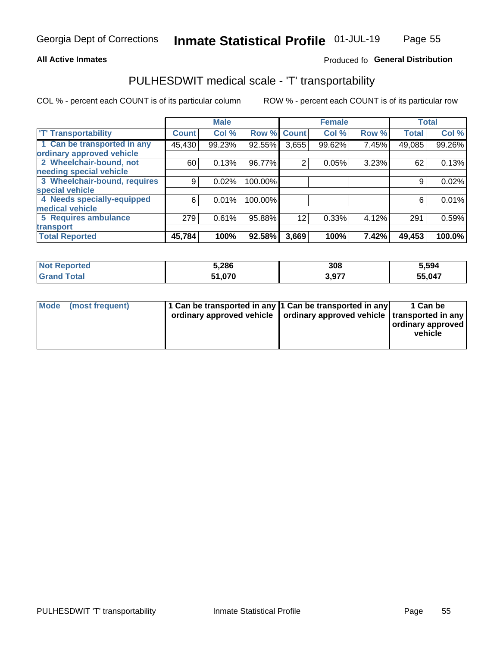### **All Active Inmates**

### Produced fo General Distribution

## PULHESDWIT medical scale - 'T' transportability

COL % - percent each COUNT is of its particular column

|                              |              | <b>Male</b> |         |              | <b>Female</b> |       |              | <b>Total</b> |
|------------------------------|--------------|-------------|---------|--------------|---------------|-------|--------------|--------------|
| <b>T' Transportability</b>   | <b>Count</b> | Col %       | Row %   | <b>Count</b> | Col %         | Row % | <b>Total</b> | Col %        |
| 1 Can be transported in any  | 45,430       | 99.23%      | 92.55%  | 3,655        | 99.62%        | 7.45% | 49,085       | 99.26%       |
| ordinary approved vehicle    |              |             |         |              |               |       |              |              |
| 2 Wheelchair-bound, not      | 60           | 0.13%       | 96.77%  | 2            | 0.05%         | 3.23% | 62           | 0.13%        |
| needing special vehicle      |              |             |         |              |               |       |              |              |
| 3 Wheelchair-bound, requires | 9            | 0.02%       | 100.00% |              |               |       | 9            | 0.02%        |
| special vehicle              |              |             |         |              |               |       |              |              |
| 4 Needs specially-equipped   | 6            | 0.01%       | 100.00% |              |               |       | 6            | 0.01%        |
| medical vehicle              |              |             |         |              |               |       |              |              |
| <b>5 Requires ambulance</b>  | 279          | 0.61%       | 95.88%  | 12           | 0.33%         | 4.12% | 291          | 0.59%        |
| transport                    |              |             |         |              |               |       |              |              |
| <b>Total Reported</b>        | 45,784       | 100%        | 92.58%  | 3,669        | 100%          | 7.42% | 49,453       | 100.0%       |

| :ported    | 5,286  | 308 | 5,594  |
|------------|--------|-----|--------|
| <b>ota</b> | 51.070 | 077 | 55,047 |

|  | Mode (most frequent) | 1 Can be transported in any 1 Can be transported in any<br>ordinary approved vehicle   ordinary approved vehicle   transported in any |  | 1 Can be<br>  ordinary approved  <br>vehicle |
|--|----------------------|---------------------------------------------------------------------------------------------------------------------------------------|--|----------------------------------------------|
|--|----------------------|---------------------------------------------------------------------------------------------------------------------------------------|--|----------------------------------------------|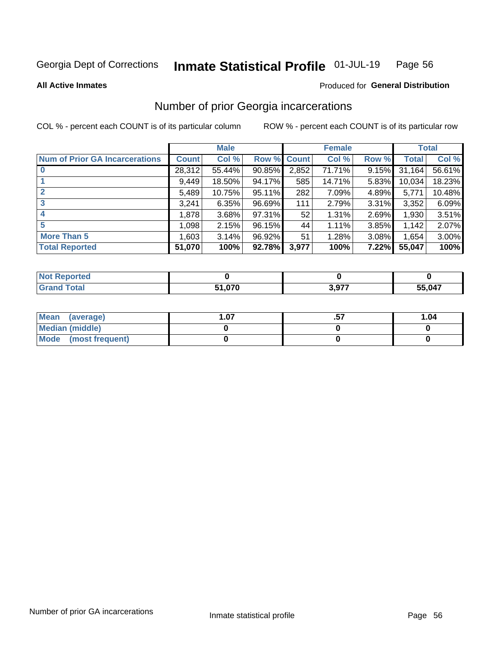#### Inmate Statistical Profile 01-JUL-19 Page 56

**All Active Inmates** 

### **Produced for General Distribution**

## Number of prior Georgia incarcerations

COL % - percent each COUNT is of its particular column

|                                       |              | <b>Male</b> |                    |       | <b>Female</b> |       |        | <b>Total</b> |
|---------------------------------------|--------------|-------------|--------------------|-------|---------------|-------|--------|--------------|
| <b>Num of Prior GA Incarcerations</b> | <b>Count</b> | Col %       | <b>Row % Count</b> |       | Col %         | Row % | Total  | Col %        |
| $\bf{0}$                              | 28,312       | 55.44%      | 90.85%             | 2,852 | 71.71%        | 9.15% | 31,164 | 56.61%       |
|                                       | 9,449        | 18.50%      | 94.17%             | 585   | 14.71%        | 5.83% | 10,034 | 18.23%       |
|                                       | 5,489        | 10.75%      | 95.11%             | 282   | 7.09%         | 4.89% | 5,771  | 10.48%       |
| 3                                     | 3,241        | 6.35%       | 96.69%             | 111   | 2.79%         | 3.31% | 3,352  | 6.09%        |
|                                       | 1,878        | 3.68%       | 97.31%             | 52    | 1.31%         | 2.69% | 1,930  | 3.51%        |
| 5                                     | 1,098        | 2.15%       | 96.15%             | 44    | 1.11%         | 3.85% | 1,142  | 2.07%        |
| <b>More Than 5</b>                    | 1,603        | 3.14%       | 96.92%             | 51    | 1.28%         | 3.08% | 1,654  | 3.00%        |
| <b>Total Reported</b>                 | 51,070       | 100%        | 92.78%             | 3,977 | 100%          | 7.22% | 55,047 | 100%         |

| <b>Reported</b><br><b>NOT</b> |        |                 |        |
|-------------------------------|--------|-----------------|--------|
| Total<br>' Gra                | 51,070 | 077<br>- 3,91 . | 55,047 |

| Mean (average)         | . .07 | 1.04 |
|------------------------|-------|------|
| <b>Median (middle)</b> |       |      |
| Mode (most frequent)   |       |      |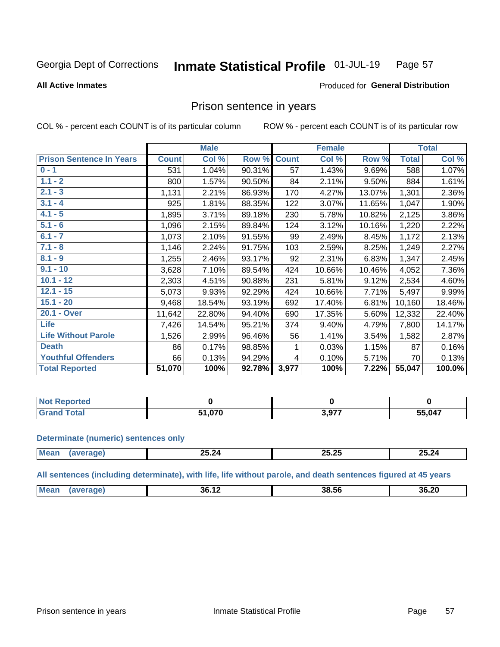#### Inmate Statistical Profile 01-JUL-19 Page 57

**All Active Inmates** 

### Produced for General Distribution

### Prison sentence in years

COL % - percent each COUNT is of its particular column

ROW % - percent each COUNT is of its particular row

|                                 |              | <b>Male</b> |        |              | <b>Female</b> |        |              | <b>Total</b> |
|---------------------------------|--------------|-------------|--------|--------------|---------------|--------|--------------|--------------|
| <b>Prison Sentence In Years</b> | <b>Count</b> | Col %       | Row %  | <b>Count</b> | Col %         | Row %  | <b>Total</b> | Col %        |
| $0 - 1$                         | 531          | 1.04%       | 90.31% | 57           | 1.43%         | 9.69%  | 588          | 1.07%        |
| $1.1 - 2$                       | 800          | 1.57%       | 90.50% | 84           | 2.11%         | 9.50%  | 884          | 1.61%        |
| $2.1 - 3$                       | 1,131        | 2.21%       | 86.93% | 170          | 4.27%         | 13.07% | 1,301        | 2.36%        |
| $3.1 - 4$                       | 925          | 1.81%       | 88.35% | 122          | 3.07%         | 11.65% | 1,047        | 1.90%        |
| $4.1 - 5$                       | 1,895        | 3.71%       | 89.18% | 230          | 5.78%         | 10.82% | 2,125        | 3.86%        |
| $5.1 - 6$                       | 1,096        | 2.15%       | 89.84% | 124          | 3.12%         | 10.16% | 1,220        | 2.22%        |
| $6.1 - 7$                       | 1,073        | 2.10%       | 91.55% | 99           | 2.49%         | 8.45%  | 1,172        | 2.13%        |
| $7.1 - 8$                       | 1,146        | 2.24%       | 91.75% | 103          | 2.59%         | 8.25%  | 1,249        | 2.27%        |
| $8.1 - 9$                       | 1,255        | 2.46%       | 93.17% | 92           | 2.31%         | 6.83%  | 1,347        | 2.45%        |
| $9.1 - 10$                      | 3,628        | 7.10%       | 89.54% | 424          | 10.66%        | 10.46% | 4,052        | 7.36%        |
| $10.1 - 12$                     | 2,303        | 4.51%       | 90.88% | 231          | 5.81%         | 9.12%  | 2,534        | 4.60%        |
| $12.1 - 15$                     | 5,073        | 9.93%       | 92.29% | 424          | 10.66%        | 7.71%  | 5,497        | 9.99%        |
| $15.1 - 20$                     | 9,468        | 18.54%      | 93.19% | 692          | 17.40%        | 6.81%  | 10,160       | 18.46%       |
| 20.1 - Over                     | 11,642       | 22.80%      | 94.40% | 690          | 17.35%        | 5.60%  | 12,332       | 22.40%       |
| <b>Life</b>                     | 7,426        | 14.54%      | 95.21% | 374          | 9.40%         | 4.79%  | 7,800        | 14.17%       |
| <b>Life Without Parole</b>      | 1,526        | 2.99%       | 96.46% | 56           | 1.41%         | 3.54%  | 1,582        | 2.87%        |
| <b>Death</b>                    | 86           | 0.17%       | 98.85% |              | 0.03%         | 1.15%  | 87           | 0.16%        |
| <b>Youthful Offenders</b>       | 66           | 0.13%       | 94.29% | 4            | 0.10%         | 5.71%  | 70           | 0.13%        |
| <b>Total Reported</b>           | 51,070       | 100%        | 92.78% | 3,977        | 100%          | 7.22%  | 55,047       | 100.0%       |

| ported<br>I NOT |     |     |        |
|-----------------|-----|-----|--------|
| .'nta'          | 070 | 077 | 55,047 |

#### **Determinate (numeric) sentences only**

| <b>Mear</b> | $- - - -$<br><b>25.24</b> | $\sim$<br>n.<br>20.LJ | 25.24 |
|-------------|---------------------------|-----------------------|-------|
|             |                           |                       |       |

All sentences (including determinate), with life, life without parole, and death sentences figured at 45 years

| Mean | 36.1. | 38.56 | 36.20 |
|------|-------|-------|-------|
|      |       |       |       |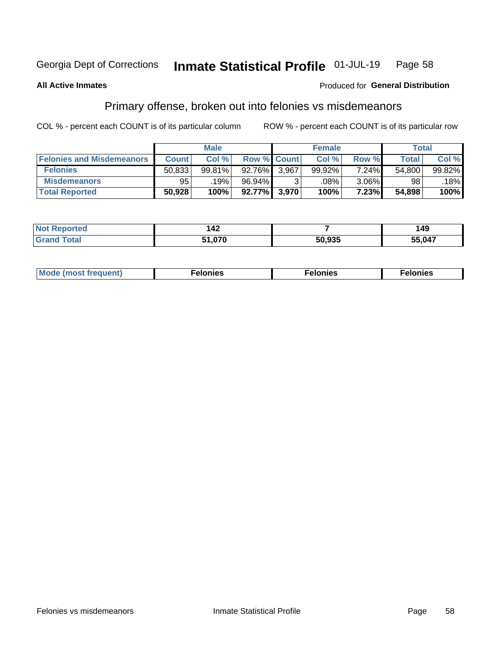#### Inmate Statistical Profile 01-JUL-19 Page 58

### **All Active Inmates**

### Produced for General Distribution

## Primary offense, broken out into felonies vs misdemeanors

COL % - percent each COUNT is of its particular column

|                                  |              | <b>Male</b> |           |                    | <b>Female</b> |          | Total  |        |
|----------------------------------|--------------|-------------|-----------|--------------------|---------------|----------|--------|--------|
| <b>Felonies and Misdemeanors</b> | <b>Count</b> | Col %       |           | <b>Row % Count</b> | Col %         | Row %    | Total  | Col %  |
| <b>Felonies</b>                  | 50,833       | 99.81%      | 92.76%    | 3.967              | 99.92%        | $7.24\%$ | 54,800 | 99.82% |
| <b>Misdemeanors</b>              | 95           | 19%         | 96.94%    |                    | .08%          | $3.06\%$ | 98     | 18%    |
| <b>Total Reported</b>            | 50,928       | 100%        | $92.77\%$ | 3,970              | 100%          | 7.23%    | 54,898 | 100%   |

| <b>Not</b><br><b>Reported</b> | $\Lambda$<br>14Z |        | 49     |
|-------------------------------|------------------|--------|--------|
| <b>Grand</b>                  | 24. A7C          | CO OOF | 55,047 |
| ™otal                         | , , , U / U      | ™.ສາລ  |        |

|  | Mo | . | a masa sa sa<br>. | onies<br>. |
|--|----|---|-------------------|------------|
|--|----|---|-------------------|------------|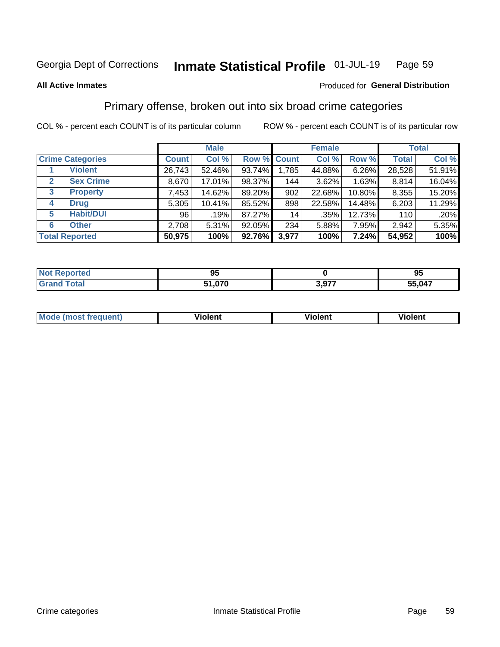#### Inmate Statistical Profile 01-JUL-19 Page 59

#### **All Active Inmates**

### Produced for General Distribution

## Primary offense, broken out into six broad crime categories

COL % - percent each COUNT is of its particular column

|                         |                  |              | <b>Male</b> |        |             | <b>Female</b> |        |              | <b>Total</b> |
|-------------------------|------------------|--------------|-------------|--------|-------------|---------------|--------|--------------|--------------|
| <b>Crime Categories</b> |                  | <b>Count</b> | Col %       |        | Row % Count | Col %         | Row %  | <b>Total</b> | Col %        |
|                         | <b>Violent</b>   | 26,743       | 52.46%      | 93.74% | 1,785       | 44.88%        | 6.26%  | 28,528       | 51.91%       |
| $\mathbf{2}$            | <b>Sex Crime</b> | 8,670        | 17.01%      | 98.37% | 144         | 3.62%         | 1.63%  | 8,814        | 16.04%       |
| 3                       | <b>Property</b>  | 7,453        | 14.62%      | 89.20% | 902         | 22.68%        | 10.80% | 8,355        | 15.20%       |
| 4                       | <b>Drug</b>      | 5,305        | 10.41%      | 85.52% | 898         | 22.58%        | 14.48% | 6,203        | 11.29%       |
| 5                       | <b>Habit/DUI</b> | 96           | .19%        | 87.27% | 14          | $.35\%$       | 12.73% | 110          | .20%         |
| 6                       | <b>Other</b>     | 2,708        | 5.31%       | 92.05% | 234         | 5.88%         | 7.95%  | 2,942        | 5.35%        |
| <b>Total Reported</b>   |                  | 50,975       | 100%        | 92.76% | 3,977       | 100%          | 7.24%  | 54,952       | 100%         |

| orred       | o<br>JJ.             |            | --<br>oб<br>ື |
|-------------|----------------------|------------|---------------|
| <b>otal</b> | $\sim$<br>E 4<br>, u | דלם י<br>. | .047<br>.Е    |

| Mc | .<br>$\cdots$ | VIOIEM |
|----|---------------|--------|
|    |               |        |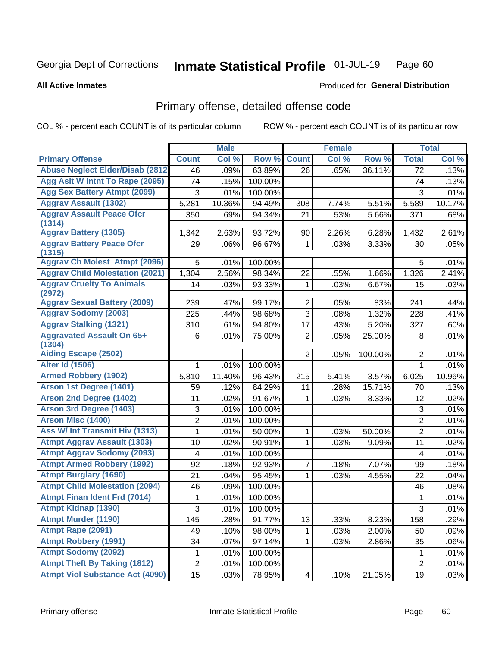#### Inmate Statistical Profile 01-JUL-19 Page 60

**All Active Inmates** 

#### Produced for General Distribution

## Primary offense, detailed offense code

COL % - percent each COUNT is of its particular column

|                                               |                     | <b>Male</b> |         |                | <b>Female</b> |         |                 | <b>Total</b> |
|-----------------------------------------------|---------------------|-------------|---------|----------------|---------------|---------|-----------------|--------------|
| <b>Primary Offense</b>                        | <b>Count</b>        | Col %       | Row %   | <b>Count</b>   | Col %         | Row %   | <b>Total</b>    | Col %        |
| <b>Abuse Neglect Elder/Disab (2812)</b>       | 46                  | .09%        | 63.89%  | 26             | .65%          | 36.11%  | $\overline{72}$ | .13%         |
| Agg Aslt W Intnt To Rape (2095)               | 74                  | .15%        | 100.00% |                |               |         | 74              | .13%         |
| <b>Agg Sex Battery Atmpt (2099)</b>           | 3                   | .01%        | 100.00% |                |               |         | 3               | .01%         |
| <b>Aggrav Assault (1302)</b>                  | 5,281               | 10.36%      | 94.49%  | 308            | 7.74%         | 5.51%   | 5,589           | 10.17%       |
| <b>Aggrav Assault Peace Ofcr</b>              | 350                 | .69%        | 94.34%  | 21             | .53%          | 5.66%   | 371             | .68%         |
| (1314)                                        |                     |             |         |                |               |         |                 |              |
| <b>Aggrav Battery (1305)</b>                  | 1,342               | 2.63%       | 93.72%  | 90             | 2.26%         | 6.28%   | 1,432           | 2.61%        |
| <b>Aggrav Battery Peace Ofcr</b><br>(1315)    | 29                  | .06%        | 96.67%  | 1              | .03%          | 3.33%   | 30              | .05%         |
| <b>Aggrav Ch Molest Atmpt (2096)</b>          | 5                   | .01%        | 100.00% |                |               |         | 5               | .01%         |
| <b>Aggrav Child Molestation (2021)</b>        | 1,304               | 2.56%       | 98.34%  | 22             | .55%          | 1.66%   | 1,326           | 2.41%        |
| <b>Aggrav Cruelty To Animals</b>              | 14                  | .03%        | 93.33%  | 1              | .03%          | 6.67%   | 15              | .03%         |
| (2972)<br><b>Aggrav Sexual Battery (2009)</b> | 239                 | .47%        | 99.17%  | $\overline{2}$ | .05%          | .83%    | 241             | .44%         |
| <b>Aggrav Sodomy (2003)</b>                   | 225                 | .44%        | 98.68%  | $\overline{3}$ | .08%          | 1.32%   | 228             | .41%         |
| <b>Aggrav Stalking (1321)</b>                 | 310                 | .61%        | 94.80%  | 17             | .43%          | 5.20%   | 327             | .60%         |
| <b>Aggravated Assault On 65+</b>              | 6                   | .01%        | 75.00%  | $\overline{2}$ | .05%          | 25.00%  | 8               | .01%         |
| (1304)                                        |                     |             |         |                |               |         |                 |              |
| <b>Aiding Escape (2502)</b>                   |                     |             |         | $\overline{2}$ | .05%          | 100.00% | $\overline{2}$  | .01%         |
| <b>Alter Id (1506)</b>                        | 1                   | .01%        | 100.00% |                |               |         | 1               | .01%         |
| <b>Armed Robbery (1902)</b>                   | 5,810               | 11.40%      | 96.43%  | 215            | 5.41%         | 3.57%   | 6,025           | 10.96%       |
| Arson 1st Degree (1401)                       | 59                  | .12%        | 84.29%  | 11             | .28%          | 15.71%  | 70              | .13%         |
| <b>Arson 2nd Degree (1402)</b>                | 11                  | .02%        | 91.67%  | 1              | .03%          | 8.33%   | 12              | .02%         |
| <b>Arson 3rd Degree (1403)</b>                | 3                   | .01%        | 100.00% |                |               |         | $\mathfrak{S}$  | .01%         |
| <b>Arson Misc (1400)</b>                      | 2                   | .01%        | 100.00% |                |               |         | $\overline{c}$  | .01%         |
| <b>Ass W/ Int Transmit Hiv (1313)</b>         | 1                   | .01%        | 50.00%  | 1              | .03%          | 50.00%  | $\overline{2}$  | .01%         |
| <b>Atmpt Aggrav Assault (1303)</b>            | 10                  | .02%        | 90.91%  | 1              | .03%          | 9.09%   | 11              | .02%         |
| <b>Atmpt Aggrav Sodomy (2093)</b>             | 4                   | .01%        | 100.00% |                |               |         | 4               | .01%         |
| <b>Atmpt Armed Robbery (1992)</b>             | 92                  | .18%        | 92.93%  | 7              | .18%          | 7.07%   | 99              | .18%         |
| <b>Atmpt Burglary (1690)</b>                  | 21                  | .04%        | 95.45%  | 1              | .03%          | 4.55%   | 22              | .04%         |
| <b>Atmpt Child Molestation (2094)</b>         | 46                  | .09%        | 100.00% |                |               |         | 46              | .08%         |
| <b>Atmpt Finan Ident Frd (7014)</b>           | 1                   | .01%        | 100.00% |                |               |         | $\mathbf 1$     | .01%         |
| <b>Atmpt Kidnap (1390)</b>                    | $\overline{\omega}$ | .01%        | 100.00% |                |               |         | $\overline{3}$  | .01%         |
| <b>Atmpt Murder (1190)</b>                    | 145                 | .28%        | 91.77%  | 13             | .33%          | 8.23%   | 158             | .29%         |
| Atmpt Rape (2091)                             | 49                  | .10%        | 98.00%  | $\mathbf{1}$   | .03%          | 2.00%   | 50              | .09%         |
| <b>Atmpt Robbery (1991)</b>                   | 34                  | .07%        | 97.14%  | $\mathbf{1}$   | .03%          | 2.86%   | 35              | .06%         |
| <b>Atmpt Sodomy (2092)</b>                    | 1                   | .01%        | 100.00% |                |               |         | 1               | .01%         |
| <b>Atmpt Theft By Taking (1812)</b>           | $\overline{c}$      | .01%        | 100.00% |                |               |         | $\overline{c}$  | .01%         |
| <b>Atmpt Viol Substance Act (4090)</b>        | 15                  | .03%        | 78.95%  | 4              | .10%          | 21.05%  | 19              | .03%         |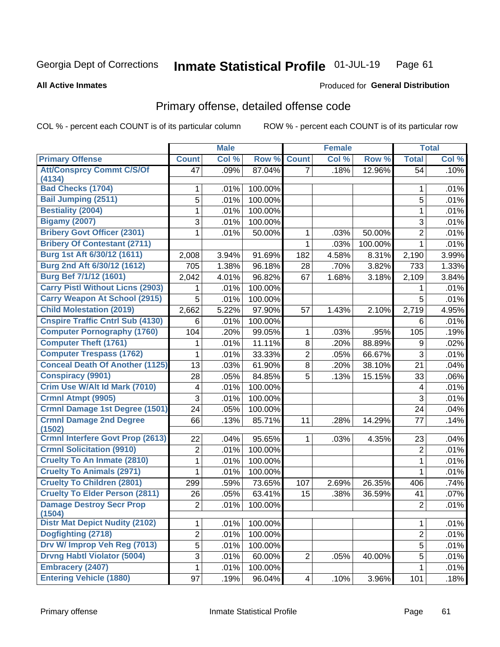#### Inmate Statistical Profile 01-JUL-19 Page 61

#### **All Active Inmates**

### **Produced for General Distribution**

## Primary offense, detailed offense code

COL % - percent each COUNT is of its particular column

|                                                                    |                | <b>Male</b>               |         |                | <b>Female</b> |         |                     | <b>Total</b> |
|--------------------------------------------------------------------|----------------|---------------------------|---------|----------------|---------------|---------|---------------------|--------------|
| <b>Primary Offense</b>                                             | <b>Count</b>   | $\overline{\text{Col 9}}$ | Row %   | <b>Count</b>   | Col %         | Row %   | <b>Total</b>        | Col %        |
| <b>Att/Consprcy Commt C/S/Of</b>                                   | 47             | .09%                      | 87.04%  | $\overline{7}$ | .18%          | 12.96%  | 54                  | .10%         |
| (4134)<br><b>Bad Checks (1704)</b>                                 |                | .01%                      | 100.00% |                |               |         | 1                   | .01%         |
| <b>Bail Jumping (2511)</b>                                         | 1<br>5         | .01%                      | 100.00% |                |               |         | 5                   | .01%         |
| <b>Bestiality (2004)</b>                                           | 1              | .01%                      | 100.00% |                |               |         | 1                   | .01%         |
| <b>Bigamy (2007)</b>                                               |                |                           |         |                |               |         |                     |              |
| <b>Bribery Govt Officer (2301)</b>                                 | 3              | .01%                      | 100.00% |                |               |         | 3<br>$\overline{2}$ | .01%         |
|                                                                    | 1              | .01%                      | 50.00%  | 1              | .03%          | 50.00%  |                     | .01%         |
| <b>Bribery Of Contestant (2711)</b><br>Burg 1st Aft 6/30/12 (1611) |                |                           |         | 1              | .03%          | 100.00% | 1                   | .01%         |
|                                                                    | 2,008          | 3.94%                     | 91.69%  | 182            | 4.58%         | 8.31%   | 2,190               | 3.99%        |
| Burg 2nd Aft 6/30/12 (1612)                                        | 705            | 1.38%                     | 96.18%  | 28             | .70%          | 3.82%   | 733                 | 1.33%        |
| Burg Bef 7/1/12 (1601)                                             | 2,042          | 4.01%                     | 96.82%  | 67             | 1.68%         | 3.18%   | 2,109               | 3.84%        |
| <b>Carry Pistl Without Licns (2903)</b>                            | 1              | .01%                      | 100.00% |                |               |         | 1                   | .01%         |
| <b>Carry Weapon At School (2915)</b>                               | 5              | .01%                      | 100.00% |                |               |         | 5                   | .01%         |
| <b>Child Molestation (2019)</b>                                    | 2,662          | 5.22%                     | 97.90%  | 57             | 1.43%         | 2.10%   | 2,719               | 4.95%        |
| <b>Cnspire Traffic Cntrl Sub (4130)</b>                            | 6              | .01%                      | 100.00% |                |               |         | 6                   | .01%         |
| <b>Computer Pornography (1760)</b>                                 | 104            | .20%                      | 99.05%  | 1              | .03%          | .95%    | 105                 | .19%         |
| <b>Computer Theft (1761)</b>                                       | 1              | .01%                      | 11.11%  | 8              | .20%          | 88.89%  | 9                   | .02%         |
| <b>Computer Trespass (1762)</b>                                    | 1              | .01%                      | 33.33%  | $\overline{2}$ | .05%          | 66.67%  | 3                   | .01%         |
| <b>Conceal Death Of Another (1125)</b>                             | 13             | .03%                      | 61.90%  | 8              | .20%          | 38.10%  | 21                  | .04%         |
| <b>Conspiracy (9901)</b>                                           | 28             | .05%                      | 84.85%  | 5              | .13%          | 15.15%  | 33                  | .06%         |
| Crim Use W/Alt Id Mark (7010)                                      | 4              | .01%                      | 100.00% |                |               |         | 4                   | .01%         |
| Crmnl Atmpt (9905)                                                 | 3              | .01%                      | 100.00% |                |               |         | 3                   | .01%         |
| <b>Crmnl Damage 1st Degree (1501)</b>                              | 24             | .05%                      | 100.00% |                |               |         | 24                  | .04%         |
| <b>Crmnl Damage 2nd Degree</b><br>(1502)                           | 66             | .13%                      | 85.71%  | 11             | .28%          | 14.29%  | 77                  | .14%         |
| <b>Crmnl Interfere Govt Prop (2613)</b>                            | 22             | .04%                      | 95.65%  | 1              | .03%          | 4.35%   | 23                  | .04%         |
| <b>Crmnl Solicitation (9910)</b>                                   | $\overline{2}$ | .01%                      | 100.00% |                |               |         | $\overline{2}$      | .01%         |
| <b>Cruelty To An Inmate (2810)</b>                                 | 1              | .01%                      | 100.00% |                |               |         | 1                   | .01%         |
| <b>Cruelty To Animals (2971)</b>                                   | 1              | .01%                      | 100.00% |                |               |         | 1                   | .01%         |
| <b>Cruelty To Children (2801)</b>                                  | 299            | .59%                      | 73.65%  | 107            | 2.69%         | 26.35%  | 406                 | .74%         |
| <b>Cruelty To Elder Person (2811)</b>                              | 26             | .05%                      | 63.41%  | 15             | .38%          | 36.59%  | 41                  | .07%         |
| <b>Damage Destroy Secr Prop</b><br>(1504)                          | 2              | .01%                      | 100.00% |                |               |         | $\overline{2}$      | .01%         |
| <b>Distr Mat Depict Nudity (2102)</b>                              | 1              | .01%                      | 100.00% |                |               |         | 1                   | .01%         |
| Dogfighting (2718)                                                 | $\overline{2}$ | .01%                      | 100.00% |                |               |         | $\overline{2}$      | .01%         |
| Drv W/ Improp Veh Reg (7013)                                       | $\overline{5}$ | .01%                      | 100.00% |                |               |         | 5                   | .01%         |
| <b>Drvng Habtl Violator (5004)</b>                                 | 3              | .01%                      | 60.00%  | $\overline{2}$ | .05%          | 40.00%  | 5                   | .01%         |
| <b>Embracery (2407)</b>                                            | 1              | .01%                      | 100.00% |                |               |         | 1                   | .01%         |
| <b>Entering Vehicle (1880)</b>                                     | 97             | .19%                      | 96.04%  | 4              | .10%          | 3.96%   | 101                 | .18%         |
|                                                                    |                |                           |         |                |               |         |                     |              |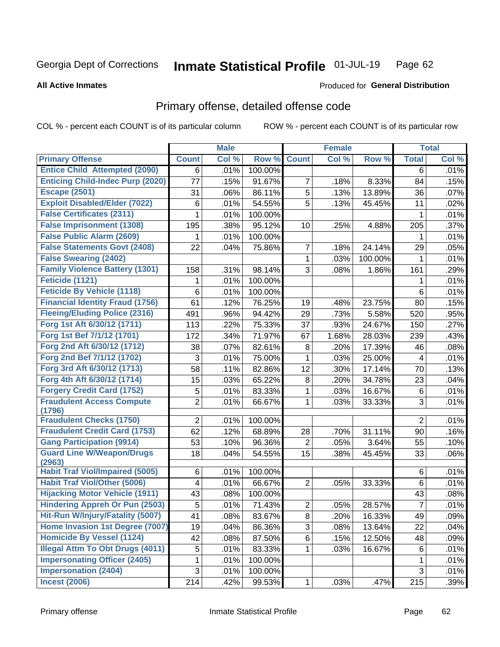#### Inmate Statistical Profile 01-JUL-19 Page 62

**All Active Inmates** 

### **Produced for General Distribution**

## Primary offense, detailed offense code

COL % - percent each COUNT is of its particular column

|                                            |                         | <b>Male</b> |         |                | <b>Female</b> |         |                | <b>Total</b> |
|--------------------------------------------|-------------------------|-------------|---------|----------------|---------------|---------|----------------|--------------|
| <b>Primary Offense</b>                     | <b>Count</b>            | Col %       | Row %   | <b>Count</b>   | Col %         | Row %   | <b>Total</b>   | Col %        |
| <b>Entice Child Attempted (2090)</b>       | 6                       | .01%        | 100.00% |                |               |         | 6              | .01%         |
| <b>Enticing Child-Indec Purp (2020)</b>    | 77                      | .15%        | 91.67%  | 7              | .18%          | 8.33%   | 84             | .15%         |
| <b>Escape (2501)</b>                       | 31                      | .06%        | 86.11%  | 5              | .13%          | 13.89%  | 36             | .07%         |
| <b>Exploit Disabled/Elder (7022)</b>       | $\,6$                   | .01%        | 54.55%  | 5              | .13%          | 45.45%  | 11             | .02%         |
| <b>False Certificates (2311)</b>           | 1                       | .01%        | 100.00% |                |               |         | 1              | .01%         |
| <b>False Imprisonment (1308)</b>           | 195                     | .38%        | 95.12%  | 10             | .25%          | 4.88%   | 205            | .37%         |
| <b>False Public Alarm (2609)</b>           | 1                       | .01%        | 100.00% |                |               |         | 1              | .01%         |
| <b>False Statements Govt (2408)</b>        | 22                      | .04%        | 75.86%  | 7              | .18%          | 24.14%  | 29             | .05%         |
| <b>False Swearing (2402)</b>               |                         |             |         | 1              | .03%          | 100.00% | 1              | .01%         |
| <b>Family Violence Battery (1301)</b>      | 158                     | .31%        | 98.14%  | 3              | .08%          | 1.86%   | 161            | .29%         |
| Feticide (1121)                            | 1                       | .01%        | 100.00% |                |               |         | 1              | .01%         |
| <b>Feticide By Vehicle (1118)</b>          | $\,6$                   | .01%        | 100.00% |                |               |         | 6              | .01%         |
| <b>Financial Identity Fraud (1756)</b>     | 61                      | .12%        | 76.25%  | 19             | .48%          | 23.75%  | 80             | .15%         |
| <b>Fleeing/Eluding Police (2316)</b>       | 491                     | .96%        | 94.42%  | 29             | .73%          | 5.58%   | 520            | .95%         |
| Forg 1st Aft 6/30/12 (1711)                | 113                     | .22%        | 75.33%  | 37             | .93%          | 24.67%  | 150            | .27%         |
| Forg 1st Bef 7/1/12 (1701)                 | 172                     | .34%        | 71.97%  | 67             | 1.68%         | 28.03%  | 239            | .43%         |
| Forg 2nd Aft 6/30/12 (1712)                | 38                      | .07%        | 82.61%  | 8              | .20%          | 17.39%  | 46             | .08%         |
| Forg 2nd Bef 7/1/12 (1702)                 | 3                       | .01%        | 75.00%  | 1              | .03%          | 25.00%  | 4              | .01%         |
| Forg 3rd Aft 6/30/12 (1713)                | 58                      | .11%        | 82.86%  | 12             | .30%          | 17.14%  | 70             | .13%         |
| Forg 4th Aft 6/30/12 (1714)                | 15                      | .03%        | 65.22%  | 8              | .20%          | 34.78%  | 23             | .04%         |
| <b>Forgery Credit Card (1752)</b>          | 5                       | .01%        | 83.33%  | 1              | .03%          | 16.67%  | $\,6$          | .01%         |
| <b>Fraudulent Access Compute</b>           | $\overline{2}$          | .01%        | 66.67%  | 1              | .03%          | 33.33%  | 3              | .01%         |
| (1796)                                     |                         |             |         |                |               |         |                |              |
| <b>Fraudulent Checks (1750)</b>            | $\overline{2}$          | .01%        | 100.00% |                |               |         | $\overline{2}$ | .01%         |
| <b>Fraudulent Credit Card (1753)</b>       | 62                      | .12%        | 68.89%  | 28             | .70%          | 31.11%  | 90             | .16%         |
| <b>Gang Participation (9914)</b>           | 53                      | .10%        | 96.36%  | 2              | .05%          | 3.64%   | 55             | .10%         |
| <b>Guard Line W/Weapon/Drugs</b><br>(2963) | 18                      | .04%        | 54.55%  | 15             | .38%          | 45.45%  | 33             | .06%         |
| <b>Habit Traf Viol/Impaired (5005)</b>     | 6                       | .01%        | 100.00% |                |               |         | 6              | .01%         |
| <b>Habit Traf Viol/Other (5006)</b>        | $\overline{\mathbf{4}}$ | .01%        | 66.67%  | $\overline{2}$ | .05%          | 33.33%  | $\,6$          | .01%         |
| <b>Hijacking Motor Vehicle (1911)</b>      | 43                      | .08%        | 100.00% |                |               |         | 43             | .08%         |
| <b>Hindering Appreh Or Pun (2503)</b>      | 5                       | .01%        | 71.43%  | $\overline{2}$ | .05%          | 28.57%  | $\overline{7}$ | $.01\%$      |
| Hit-Run W/Injury/Fatality (5007)           | 41                      | .08%        | 83.67%  | 8              | .20%          | 16.33%  | 49             | .09%         |
| Home Invasion 1st Degree (7007)            | 19                      | .04%        | 86.36%  | 3              | .08%          | 13.64%  | 22             | .04%         |
| <b>Homicide By Vessel (1124)</b>           | 42                      | .08%        | 87.50%  | 6              | .15%          | 12.50%  | 48             | .09%         |
| <b>Illegal Attm To Obt Drugs (4011)</b>    | $\sqrt{5}$              | .01%        | 83.33%  | 1              | .03%          | 16.67%  | 6              | .01%         |
| <b>Impersonating Officer (2405)</b>        | 1                       | .01%        | 100.00% |                |               |         | 1              | .01%         |
| <b>Impersonation (2404)</b>                | 3                       | .01%        | 100.00% |                |               |         | 3              | .01%         |
| <b>Incest (2006)</b>                       | 214                     | .42%        | 99.53%  | $\mathbf{1}$   | .03%          | .47%    | 215            | .39%         |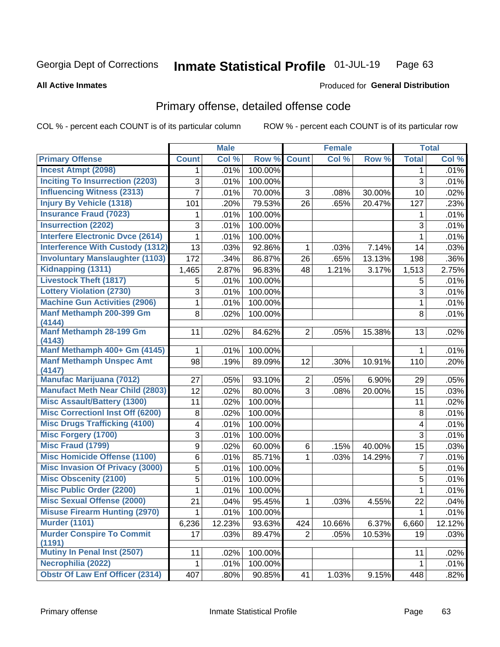#### Inmate Statistical Profile 01-JUL-19 Page 63

#### **All Active Inmates**

## **Produced for General Distribution**

## Primary offense, detailed offense code

COL % - percent each COUNT is of its particular column

|                                         |                | <b>Male</b> |         |                | <b>Female</b> |        |                | <b>Total</b> |
|-----------------------------------------|----------------|-------------|---------|----------------|---------------|--------|----------------|--------------|
| <b>Primary Offense</b>                  | <b>Count</b>   | Col %       | Row %   | <b>Count</b>   | Col %         | Row %  | <b>Total</b>   | Col %        |
| <b>Incest Atmpt (2098)</b>              | 1              | .01%        | 100.00% |                |               |        | $\mathbf 1$    | .01%         |
| <b>Inciting To Insurrection (2203)</b>  | 3              | .01%        | 100.00% |                |               |        | 3              | .01%         |
| <b>Influencing Witness (2313)</b>       | $\overline{7}$ | .01%        | 70.00%  | 3              | .08%          | 30.00% | 10             | .02%         |
| <b>Injury By Vehicle (1318)</b>         | 101            | .20%        | 79.53%  | 26             | .65%          | 20.47% | 127            | .23%         |
| <b>Insurance Fraud (7023)</b>           | 1              | .01%        | 100.00% |                |               |        | 1              | .01%         |
| <b>Insurrection (2202)</b>              | 3              | .01%        | 100.00% |                |               |        | 3              | .01%         |
| <b>Interfere Electronic Dvce (2614)</b> | 1              | .01%        | 100.00% |                |               |        | $\mathbf{1}$   | .01%         |
| <b>Interference With Custody (1312)</b> | 13             | .03%        | 92.86%  | 1              | .03%          | 7.14%  | 14             | .03%         |
| <b>Involuntary Manslaughter (1103)</b>  | 172            | .34%        | 86.87%  | 26             | .65%          | 13.13% | 198            | .36%         |
| Kidnapping (1311)                       | 1,465          | 2.87%       | 96.83%  | 48             | 1.21%         | 3.17%  | 1,513          | 2.75%        |
| <b>Livestock Theft (1817)</b>           | 5              | .01%        | 100.00% |                |               |        | 5              | .01%         |
| <b>Lottery Violation (2730)</b>         | 3              | .01%        | 100.00% |                |               |        | 3              | .01%         |
| <b>Machine Gun Activities (2906)</b>    | 1              | .01%        | 100.00% |                |               |        | $\mathbf{1}$   | .01%         |
| Manf Methamph 200-399 Gm                | 8              | .02%        | 100.00% |                |               |        | 8              | .01%         |
| (4144)<br>Manf Methamph 28-199 Gm       |                |             |         |                |               |        |                |              |
| (4143)                                  | 11             | .02%        | 84.62%  | $\overline{2}$ | .05%          | 15.38% | 13             | .02%         |
| Manf Methamph 400+ Gm (4145)            | 1              | .01%        | 100.00% |                |               |        | 1              | .01%         |
| <b>Manf Methamph Unspec Amt</b>         | 98             | .19%        | 89.09%  | 12             | .30%          | 10.91% | 110            | .20%         |
| (4147)                                  |                |             |         |                |               |        |                |              |
| <b>Manufac Marijuana (7012)</b>         | 27             | .05%        | 93.10%  | $\overline{2}$ | .05%          | 6.90%  | 29             | .05%         |
| <b>Manufact Meth Near Child (2803)</b>  | 12             | .02%        | 80.00%  | 3              | .08%          | 20.00% | 15             | .03%         |
| <b>Misc Assault/Battery (1300)</b>      | 11             | .02%        | 100.00% |                |               |        | 11             | .02%         |
| <b>Misc Correctionl Inst Off (6200)</b> | 8              | .02%        | 100.00% |                |               |        | 8              | .01%         |
| <b>Misc Drugs Trafficking (4100)</b>    | 4              | .01%        | 100.00% |                |               |        | 4              | .01%         |
| <b>Misc Forgery (1700)</b>              | 3              | .01%        | 100.00% |                |               |        | 3              | .01%         |
| <b>Misc Fraud (1799)</b>                | 9              | .02%        | 60.00%  | 6              | .15%          | 40.00% | 15             | .03%         |
| <b>Misc Homicide Offense (1100)</b>     | 6              | .01%        | 85.71%  | 1              | .03%          | 14.29% | $\overline{7}$ | .01%         |
| <b>Misc Invasion Of Privacy (3000)</b>  | 5              | .01%        | 100.00% |                |               |        | 5              | .01%         |
| <b>Misc Obscenity (2100)</b>            | 5              | .01%        | 100.00% |                |               |        | 5              | .01%         |
| <b>Misc Public Order (2200)</b>         | 1              | .01%        | 100.00% |                |               |        | $\mathbf{1}$   | .01%         |
| <b>Misc Sexual Offense (2000)</b>       | 21             | .04%        | 95.45%  | $\mathbf{1}$   | .03%          | 4.55%  | 22             | .04%         |
| <b>Misuse Firearm Hunting (2970)</b>    | 1              | .01%        | 100.00% |                |               |        | 1              | .01%         |
| <b>Murder (1101)</b>                    | 6,236          | 12.23%      | 93.63%  | 424            | 10.66%        | 6.37%  | 6,660          | 12.12%       |
| <b>Murder Conspire To Commit</b>        | 17             | .03%        | 89.47%  | 2 <sup>1</sup> | .05%          | 10.53% | 19             | .03%         |
| (1191)<br>Mutiny In Penal Inst (2507)   |                |             |         |                |               |        |                |              |
|                                         | 11             | .02%        | 100.00% |                |               |        | 11             | .02%         |
| Necrophilia (2022)                      | 1              | .01%        | 100.00% |                |               |        | $\mathbf 1$    | .01%         |
| <b>Obstr Of Law Enf Officer (2314)</b>  | 407            | .80%        | 90.85%  | 41             | 1.03%         | 9.15%  | 448            | .82%         |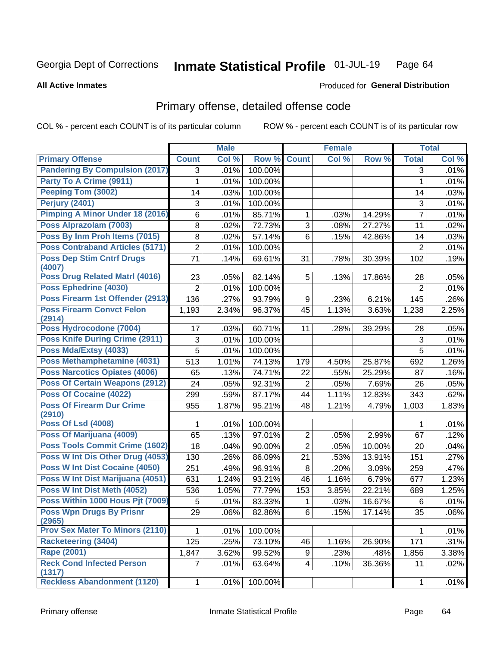#### Inmate Statistical Profile 01-JUL-19 Page 64

#### **All Active Inmates**

## **Produced for General Distribution**

## Primary offense, detailed offense code

COL % - percent each COUNT is of its particular column

|                                            |                           | <b>Male</b> |         |                | <b>Female</b> |        |                | <b>Total</b> |
|--------------------------------------------|---------------------------|-------------|---------|----------------|---------------|--------|----------------|--------------|
| <b>Primary Offense</b>                     | <b>Count</b>              | Col %       | Row %   | <b>Count</b>   | Col %         | Row %  | <b>Total</b>   | Col %        |
| <b>Pandering By Compulsion (2017)</b>      | 3                         | .01%        | 100.00% |                |               |        | 3              | .01%         |
| Party To A Crime (9911)                    | 1                         | .01%        | 100.00% |                |               |        | 1              | .01%         |
| Peeping Tom (3002)                         | 14                        | .03%        | 100.00% |                |               |        | 14             | .03%         |
| <b>Perjury (2401)</b>                      | 3                         | .01%        | 100.00% |                |               |        | $\sqrt{3}$     | .01%         |
| Pimping A Minor Under 18 (2016)            | 6                         | .01%        | 85.71%  | 1              | .03%          | 14.29% | $\overline{7}$ | .01%         |
| Poss Alprazolam (7003)                     | 8                         | .02%        | 72.73%  | $\overline{3}$ | .08%          | 27.27% | 11             | .02%         |
| Poss By Inm Proh Items (7015)              | 8                         | .02%        | 57.14%  | 6              | .15%          | 42.86% | 14             | .03%         |
| <b>Poss Contraband Articles (5171)</b>     | $\overline{2}$            | .01%        | 100.00% |                |               |        | $\overline{2}$ | .01%         |
| <b>Poss Dep Stim Cntrf Drugs</b><br>(4007) | 71                        | .14%        | 69.61%  | 31             | .78%          | 30.39% | 102            | .19%         |
| <b>Poss Drug Related Matri (4016)</b>      | 23                        | .05%        | 82.14%  | 5              | .13%          | 17.86% | 28             | .05%         |
| Poss Ephedrine (4030)                      | $\overline{2}$            | .01%        | 100.00% |                |               |        | $\overline{2}$ | .01%         |
| Poss Firearm 1st Offender (2913)           | 136                       | .27%        | 93.79%  | 9              | .23%          | 6.21%  | 145            | .26%         |
| <b>Poss Firearm Convct Felon</b>           | 1,193                     | 2.34%       | 96.37%  | 45             | 1.13%         | 3.63%  | 1,238          | 2.25%        |
| (2914)                                     |                           |             |         |                |               |        |                |              |
| Poss Hydrocodone (7004)                    | 17                        | .03%        | 60.71%  | 11             | .28%          | 39.29% | 28             | .05%         |
| <b>Poss Knife During Crime (2911)</b>      | $\ensuremath{\mathsf{3}}$ | .01%        | 100.00% |                |               |        | 3              | .01%         |
| Poss Mda/Extsy (4033)                      | 5                         | .01%        | 100.00% |                |               |        | 5              | .01%         |
| Poss Methamphetamine (4031)                | 513                       | 1.01%       | 74.13%  | 179            | 4.50%         | 25.87% | 692            | 1.26%        |
| Poss Narcotics Opiates (4006)              | 65                        | .13%        | 74.71%  | 22             | .55%          | 25.29% | 87             | .16%         |
| <b>Poss Of Certain Weapons (2912)</b>      | 24                        | .05%        | 92.31%  | $\overline{2}$ | .05%          | 7.69%  | 26             | .05%         |
| Poss Of Cocaine (4022)                     | 299                       | .59%        | 87.17%  | 44             | 1.11%         | 12.83% | 343            | .62%         |
| <b>Poss Of Firearm Dur Crime</b><br>(2910) | 955                       | 1.87%       | 95.21%  | 48             | 1.21%         | 4.79%  | 1,003          | 1.83%        |
| <b>Poss Of Lsd (4008)</b>                  | 1                         | .01%        | 100.00% |                |               |        | 1              | .01%         |
| Poss Of Marijuana (4009)                   | 65                        | .13%        | 97.01%  | $\overline{2}$ | .05%          | 2.99%  | 67             | .12%         |
| <b>Poss Tools Commit Crime (1602)</b>      | 18                        | .04%        | 90.00%  | $\overline{2}$ | .05%          | 10.00% | 20             | .04%         |
| Poss W Int Dis Other Drug (4053)           | 130                       | .26%        | 86.09%  | 21             | .53%          | 13.91% | 151            | .27%         |
| <b>Poss W Int Dist Cocaine (4050)</b>      | 251                       | .49%        | 96.91%  | 8              | .20%          | 3.09%  | 259            | .47%         |
| Poss W Int Dist Marijuana (4051)           | 631                       | 1.24%       | 93.21%  | 46             | 1.16%         | 6.79%  | 677            | 1.23%        |
| Poss W Int Dist Meth (4052)                | 536                       | 1.05%       | 77.79%  | 153            | 3.85%         | 22.21% | 689            | 1.25%        |
| Poss Within 1000 Hous Pjt (7009)           | 5                         | .01%        | 83.33%  | 1              | .03%          | 16.67% | 6              | .01%         |
| <b>Poss Wpn Drugs By Prisnr</b><br>(2965)  | 29                        | .06%        | 82.86%  | 6              | .15%          | 17.14% | 35             | .06%         |
| <b>Prov Sex Mater To Minors (2110)</b>     |                           | .01%        | 100.00% |                |               |        |                | .01%         |
| <b>Racketeering (3404)</b>                 | 125                       | .25%        | 73.10%  | 46             | 1.16%         | 26.90% | 171            | .31%         |
| <b>Rape (2001)</b>                         | 1,847                     | 3.62%       | 99.52%  | 9              | .23%          | .48%   | 1,856          | 3.38%        |
| <b>Reck Cond Infected Person</b><br>(1317) | 7                         | .01%        | 63.64%  | $\overline{4}$ | .10%          | 36.36% | 11             | .02%         |
| <b>Reckless Abandonment (1120)</b>         | 1                         | .01%        | 100.00% |                |               |        | 1              | .01%         |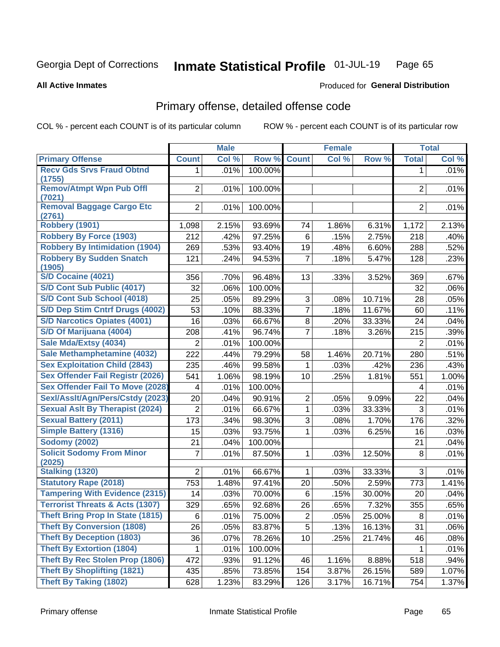#### Inmate Statistical Profile 01-JUL-19 Page 65

**Produced for General Distribution** 

#### **All Active Inmates**

## Primary offense, detailed offense code

COL % - percent each COUNT is of its particular column

|                                            |                | <b>Male</b> |         |                 | <b>Female</b> |        |                | <b>Total</b> |
|--------------------------------------------|----------------|-------------|---------|-----------------|---------------|--------|----------------|--------------|
| <b>Primary Offense</b>                     | <b>Count</b>   | Col %       | Row %   | <b>Count</b>    | Col %         | Row %  | <b>Total</b>   | Col %        |
| <b>Recv Gds Srvs Fraud Obtnd</b>           | $\mathbf 1$    | .01%        | 100.00% |                 |               |        | $\mathbf{1}$   | .01%         |
| (1755)                                     |                |             |         |                 |               |        |                |              |
| <b>Remov/Atmpt Wpn Pub Offl</b><br>(7021)  | $\overline{2}$ | .01%        | 100.00% |                 |               |        | $\overline{2}$ | .01%         |
| <b>Removal Baggage Cargo Etc</b>           | $\overline{2}$ | .01%        | 100.00% |                 |               |        | $\overline{2}$ | .01%         |
| (2761)                                     |                |             |         |                 |               |        |                |              |
| <b>Robbery (1901)</b>                      | 1,098          | 2.15%       | 93.69%  | 74              | 1.86%         | 6.31%  | 1,172          | 2.13%        |
| <b>Robbery By Force (1903)</b>             | 212            | .42%        | 97.25%  | 6               | .15%          | 2.75%  | 218            | .40%         |
| <b>Robbery By Intimidation (1904)</b>      | 269            | .53%        | 93.40%  | 19              | .48%          | 6.60%  | 288            | .52%         |
| <b>Robbery By Sudden Snatch</b><br>(1905)  | 121            | .24%        | 94.53%  | $\overline{7}$  | .18%          | 5.47%  | 128            | .23%         |
| S/D Cocaine (4021)                         | 356            | .70%        | 96.48%  | 13              | .33%          | 3.52%  | 369            | .67%         |
| S/D Cont Sub Public (4017)                 | 32             | .06%        | 100.00% |                 |               |        | 32             | .06%         |
| S/D Cont Sub School (4018)                 | 25             | .05%        | 89.29%  | 3               | .08%          | 10.71% | 28             | .05%         |
| S/D Dep Stim Cntrf Drugs (4002)            | 53             | .10%        | 88.33%  | $\overline{7}$  | .18%          | 11.67% | 60             | .11%         |
| <b>S/D Narcotics Opiates (4001)</b>        | 16             | .03%        | 66.67%  | 8               | .20%          | 33.33% | 24             | .04%         |
| S/D Of Marijuana (4004)                    | 208            | .41%        | 96.74%  | $\overline{7}$  | .18%          | 3.26%  | 215            | .39%         |
| Sale Mda/Extsy (4034)                      | $\overline{2}$ | .01%        | 100.00% |                 |               |        | $\overline{2}$ | .01%         |
| Sale Methamphetamine (4032)                | 222            | .44%        | 79.29%  | 58              | 1.46%         | 20.71% | 280            | .51%         |
| <b>Sex Exploitation Child (2843)</b>       | 235            | .46%        | 99.58%  | $\mathbf{1}$    | .03%          | .42%   | 236            | .43%         |
| Sex Offender Fail Registr (2026)           | 541            | 1.06%       | 98.19%  | 10              | .25%          | 1.81%  | 551            | 1.00%        |
| <b>Sex Offender Fail To Move (2028)</b>    | 4              | .01%        | 100.00% |                 |               |        | $\overline{4}$ | .01%         |
| Sexl/Asslt/Agn/Pers/Cstdy (2023)           | 20             | .04%        | 90.91%  | $\overline{2}$  | .05%          | 9.09%  | 22             | .04%         |
| <b>Sexual Aslt By Therapist (2024)</b>     | $\overline{2}$ | .01%        | 66.67%  | $\mathbf{1}$    | .03%          | 33.33% | 3              | .01%         |
| <b>Sexual Battery (2011)</b>               | 173            | .34%        | 98.30%  | 3               | .08%          | 1.70%  | 176            | .32%         |
| <b>Simple Battery (1316)</b>               | 15             | .03%        | 93.75%  | $\mathbf{1}$    | .03%          | 6.25%  | 16             | .03%         |
| <b>Sodomy (2002)</b>                       | 21             | .04%        | 100.00% |                 |               |        | 21             | .04%         |
| <b>Solicit Sodomy From Minor</b><br>(2025) | $\overline{7}$ | .01%        | 87.50%  | $\mathbf 1$     | .03%          | 12.50% | 8              | .01%         |
| <b>Stalking (1320)</b>                     | $\overline{2}$ | .01%        | 66.67%  | $\mathbf{1}$    | .03%          | 33.33% | 3              | .01%         |
| <b>Statutory Rape (2018)</b>               | 753            | 1.48%       | 97.41%  | 20              | .50%          | 2.59%  | 773            | 1.41%        |
| <b>Tampering With Evidence (2315)</b>      | 14             | .03%        | 70.00%  | 6               | .15%          | 30.00% | 20             | .04%         |
| <b>Terrorist Threats &amp; Acts (1307)</b> | 329            | .65%        | 92.68%  | 26              | .65%          | 7.32%  | 355            | .65%         |
| <b>Theft Bring Prop In State (1815)</b>    | 6              | .01%        | 75.00%  | $\overline{2}$  | .05%          | 25.00% | 8              | .01%         |
| <b>Theft By Conversion (1808)</b>          | 26             | .05%        | 83.87%  | 5               | .13%          | 16.13% | 31             | .06%         |
| <b>Theft By Deception (1803)</b>           | 36             | .07%        | 78.26%  | 10 <sup>1</sup> | .25%          | 21.74% | 46             | .08%         |
| <b>Theft By Extortion (1804)</b>           | 1              | .01%        | 100.00% |                 |               |        | $\mathbf{1}$   | .01%         |
| Theft By Rec Stolen Prop (1806)            | 472            | .93%        | 91.12%  | 46              | 1.16%         | 8.88%  | 518            | .94%         |
| <b>Theft By Shoplifting (1821)</b>         | 435            | .85%        | 73.85%  | 154             | 3.87%         | 26.15% | 589            | 1.07%        |
| <b>Theft By Taking (1802)</b>              | 628            | 1.23%       | 83.29%  | 126             | 3.17%         | 16.71% | 754            | 1.37%        |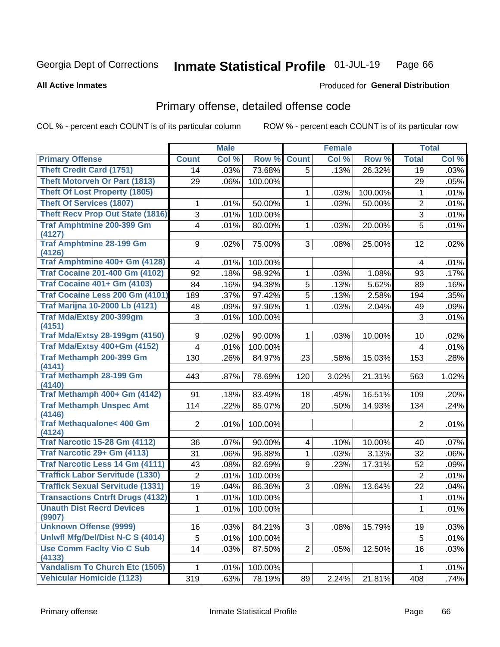#### Inmate Statistical Profile 01-JUL-19 Page 66

#### **All Active Inmates**

## **Produced for General Distribution**

## Primary offense, detailed offense code

COL % - percent each COUNT is of its particular column

|                                                 |                | <b>Male</b> |         |                | <b>Female</b> |         |                | <b>Total</b> |
|-------------------------------------------------|----------------|-------------|---------|----------------|---------------|---------|----------------|--------------|
| <b>Primary Offense</b>                          | <b>Count</b>   | Col %       | Row %   | <b>Count</b>   | Col %         | Row %   | <b>Total</b>   | Col %        |
| <b>Theft Credit Card (1751)</b>                 | 14             | .03%        | 73.68%  | 5              | .13%          | 26.32%  | 19             | .03%         |
| <b>Theft Motorveh Or Part (1813)</b>            | 29             | .06%        | 100.00% |                |               |         | 29             | .05%         |
| <b>Theft Of Lost Property (1805)</b>            |                |             |         | 1              | .03%          | 100.00% | 1              | .01%         |
| <b>Theft Of Services (1807)</b>                 | 1              | .01%        | 50.00%  | 1              | .03%          | 50.00%  | $\overline{2}$ | .01%         |
| <b>Theft Recv Prop Out State (1816)</b>         | 3              | .01%        | 100.00% |                |               |         | $\mathfrak{B}$ | .01%         |
| <b>Traf Amphtmine 200-399 Gm</b>                | 4              | .01%        | 80.00%  | 1              | .03%          | 20.00%  | 5              | .01%         |
| (4127)                                          |                |             |         |                |               |         |                |              |
| <b>Traf Amphtmine 28-199 Gm</b>                 | 9              | .02%        | 75.00%  | 3              | .08%          | 25.00%  | 12             | .02%         |
| (4126)<br>Traf Amphtmine 400+ Gm (4128)         | 4              | .01%        | 100.00% |                |               |         | 4              | .01%         |
| <b>Traf Cocaine 201-400 Gm (4102)</b>           | 92             | .18%        | 98.92%  | 1              | .03%          | 1.08%   | 93             | .17%         |
| <b>Traf Cocaine 401+ Gm (4103)</b>              | 84             | .16%        | 94.38%  | $\overline{5}$ | .13%          | 5.62%   | 89             | .16%         |
| Traf Cocaine Less 200 Gm (4101)                 | 189            | .37%        | 97.42%  | 5              | .13%          | 2.58%   | 194            | .35%         |
| <b>Traf Marijna 10-2000 Lb (4121)</b>           | 48             | .09%        | 97.96%  | 1              | .03%          | 2.04%   | 49             | .09%         |
| Traf Mda/Extsy 200-399gm                        | 3              | .01%        | 100.00% |                |               |         | 3              | .01%         |
| (4151)                                          |                |             |         |                |               |         |                |              |
| <b>Traf Mda/Extsy 28-199gm (4150)</b>           | 9              | .02%        | 90.00%  | 1              | .03%          | 10.00%  | 10             | .02%         |
| Traf Mda/Extsy 400+Gm (4152)                    | 4              | .01%        | 100.00% |                |               |         | 4              | .01%         |
| Traf Methamph 200-399 Gm                        | 130            | .26%        | 84.97%  | 23             | .58%          | 15.03%  | 153            | .28%         |
| (4141)                                          |                |             |         |                |               |         |                |              |
| <b>Traf Methamph 28-199 Gm</b>                  | 443            | .87%        | 78.69%  | 120            | 3.02%         | 21.31%  | 563            | 1.02%        |
| (4140)<br>Traf Methamph 400+ Gm (4142)          |                |             |         |                |               |         |                |              |
| <b>Traf Methamph Unspec Amt</b>                 | 91             | .18%        | 83.49%  | 18             | .45%          | 16.51%  | 109            | .20%         |
| (4146)                                          | 114            | .22%        | 85.07%  | 20             | .50%          | 14.93%  | 134            | .24%         |
| <b>Traf Methaqualone&lt; 400 Gm</b>             | $\overline{2}$ | .01%        | 100.00% |                |               |         | $\overline{2}$ | .01%         |
| (4124)                                          |                |             |         |                |               |         |                |              |
| <b>Traf Narcotic 15-28 Gm (4112)</b>            | 36             | .07%        | 90.00%  | 4              | .10%          | 10.00%  | 40             | .07%         |
| Traf Narcotic 29+ Gm (4113)                     | 31             | .06%        | 96.88%  | 1              | .03%          | 3.13%   | 32             | .06%         |
| Traf Narcotic Less 14 Gm (4111)                 | 43             | .08%        | 82.69%  | 9              | .23%          | 17.31%  | 52             | .09%         |
| <b>Traffick Labor Servitude (1330)</b>          | $\overline{2}$ | .01%        | 100.00% |                |               |         | $\overline{c}$ | .01%         |
| <b>Traffick Sexual Servitude (1331)</b>         | 19             | .04%        | 86.36%  | 3              | .08%          | 13.64%  | 22             | .04%         |
| <b>Transactions Cntrft Drugs (4132)</b>         | 1              | .01%        | 100.00% |                |               |         | $\mathbf 1$    | .01%         |
| <b>Unauth Dist Recrd Devices</b>                | $1\vert$       | .01%        | 100.00% |                |               |         | $\mathbf{1}$   | .01%         |
| (9907)                                          |                |             |         |                |               |         |                |              |
| <b>Unknown Offense (9999)</b>                   | 16             | .03%        | 84.21%  | 3 <sup>1</sup> | .08%          | 15.79%  | 19             | .03%         |
| Uniwfl Mfg/Del/Dist N-C S (4014)                | 5              | .01%        | 100.00% |                |               |         | 5              | .01%         |
| <b>Use Comm Facity Vio C Sub</b>                | 14             | .03%        | 87.50%  | $\overline{2}$ | .05%          | 12.50%  | 16             | .03%         |
| (4133)<br><b>Vandalism To Church Etc (1505)</b> |                | .01%        | 100.00% |                |               |         | 1              | .01%         |
| <b>Vehicular Homicide (1123)</b>                | 319            | .63%        | 78.19%  | 89             | 2.24%         | 21.81%  | 408            | .74%         |
|                                                 |                |             |         |                |               |         |                |              |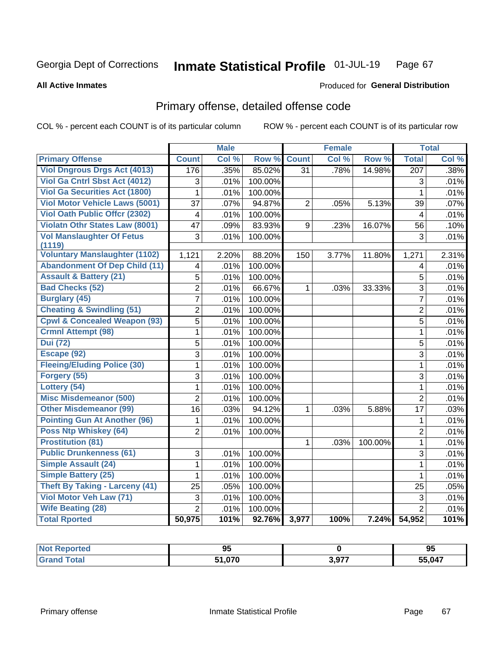#### Inmate Statistical Profile 01-JUL-19 Page 67

**All Active Inmates** 

### **Produced for General Distribution**

## Primary offense, detailed offense code

COL % - percent each COUNT is of its particular column

|                                         |                 | <b>Male</b> |         |                | <b>Female</b> |         |                  | <b>Total</b> |
|-----------------------------------------|-----------------|-------------|---------|----------------|---------------|---------|------------------|--------------|
| <b>Primary Offense</b>                  | <b>Count</b>    | Col %       | Row %   | <b>Count</b>   | Col %         | Row %   | <b>Total</b>     | Col %        |
| <b>Viol Dngrous Drgs Act (4013)</b>     | 176             | .35%        | 85.02%  | 31             | .78%          | 14.98%  | $\overline{207}$ | .38%         |
| Viol Ga Cntrl Sbst Act (4012)           | 3               | .01%        | 100.00% |                |               |         | 3                | .01%         |
| <b>Viol Ga Securities Act (1800)</b>    | $\mathbf{1}$    | .01%        | 100.00% |                |               |         | $\mathbf 1$      | .01%         |
| <b>Viol Motor Vehicle Laws (5001)</b>   | 37              | .07%        | 94.87%  | $\overline{2}$ | .05%          | 5.13%   | 39               | .07%         |
| <b>Viol Oath Public Offcr (2302)</b>    | 4               | .01%        | 100.00% |                |               |         | 4                | .01%         |
| <b>Violatn Othr States Law (8001)</b>   | $\overline{47}$ | .09%        | 83.93%  | 9              | .23%          | 16.07%  | 56               | .10%         |
| <b>Vol Manslaughter Of Fetus</b>        | $\overline{3}$  | .01%        | 100.00% |                |               |         | $\overline{3}$   | .01%         |
| (1119)                                  |                 |             |         |                |               |         |                  |              |
| <b>Voluntary Manslaughter (1102)</b>    | 1,121           | 2.20%       | 88.20%  | 150            | 3.77%         | 11.80%  | 1,271            | 2.31%        |
| <b>Abandonment Of Dep Child (11)</b>    | 4               | .01%        | 100.00% |                |               |         | 4                | .01%         |
| <b>Assault &amp; Battery (21)</b>       | 5               | .01%        | 100.00% |                |               |         | 5                | .01%         |
| <b>Bad Checks (52)</b>                  | $\overline{2}$  | .01%        | 66.67%  | 1              | .03%          | 33.33%  | $\overline{3}$   | .01%         |
| <b>Burglary (45)</b>                    | $\overline{7}$  | .01%        | 100.00% |                |               |         | $\overline{7}$   | .01%         |
| <b>Cheating &amp; Swindling (51)</b>    | $\overline{2}$  | .01%        | 100.00% |                |               |         | $\overline{2}$   | .01%         |
| <b>Cpwl &amp; Concealed Weapon (93)</b> | $\overline{5}$  | .01%        | 100.00% |                |               |         | $\overline{5}$   | .01%         |
| <b>Crmnl Attempt (98)</b>               | 1               | .01%        | 100.00% |                |               |         | $\mathbf{1}$     | .01%         |
| <b>Dui</b> (72)                         | 5               | .01%        | 100.00% |                |               |         | $\overline{5}$   | .01%         |
| Escape (92)                             | $\overline{3}$  | .01%        | 100.00% |                |               |         | $\overline{3}$   | .01%         |
| <b>Fleeing/Eluding Police (30)</b>      | $\mathbf{1}$    | .01%        | 100.00% |                |               |         | $\mathbf{1}$     | .01%         |
| Forgery (55)                            | 3               | .01%        | 100.00% |                |               |         | 3                | .01%         |
| Lottery (54)                            | $\mathbf 1$     | .01%        | 100.00% |                |               |         | $\mathbf{1}$     | .01%         |
| <b>Misc Misdemeanor (500)</b>           | $\overline{2}$  | .01%        | 100.00% |                |               |         | $\overline{2}$   | .01%         |
| Other Misdemeanor (99)                  | 16              | .03%        | 94.12%  | $\mathbf{1}$   | .03%          | 5.88%   | 17               | .03%         |
| <b>Pointing Gun At Another (96)</b>     | 1               | .01%        | 100.00% |                |               |         | 1                | .01%         |
| Poss Ntp Whiskey (64)                   | $\overline{2}$  | .01%        | 100.00% |                |               |         | $\overline{2}$   | .01%         |
| <b>Prostitution (81)</b>                |                 |             |         | $\mathbf 1$    | .03%          | 100.00% | $\mathbf{1}$     | .01%         |
| <b>Public Drunkenness (61)</b>          | 3               | .01%        | 100.00% |                |               |         | 3                | .01%         |
| Simple Assault (24)                     | $\mathbf{1}$    | .01%        | 100.00% |                |               |         | $\mathbf{1}$     | .01%         |
| <b>Simple Battery (25)</b>              | $\mathbf{1}$    | .01%        | 100.00% |                |               |         | $\mathbf{1}$     | .01%         |
| <b>Theft By Taking - Larceny (41)</b>   | 25              | .05%        | 100.00% |                |               |         | 25               | .05%         |
| Viol Motor Veh Law (71)                 | 3               | .01%        | 100.00% |                |               |         | $\mathfrak{S}$   | .01%         |
| <b>Wife Beating (28)</b>                | $\overline{2}$  | .01%        | 100.00% |                |               |         | $\overline{2}$   | .01%         |
| <b>Total Rported</b>                    | 50,975          | 101%        | 92.76%  | 3,977          | 100%          | 7.24%   | 54,952           | 101%         |

| NOI<br>ргес.<br>. | ΩF<br>ື |       | 95     |
|-------------------|---------|-------|--------|
|                   | 070     | 3,977 | 55,047 |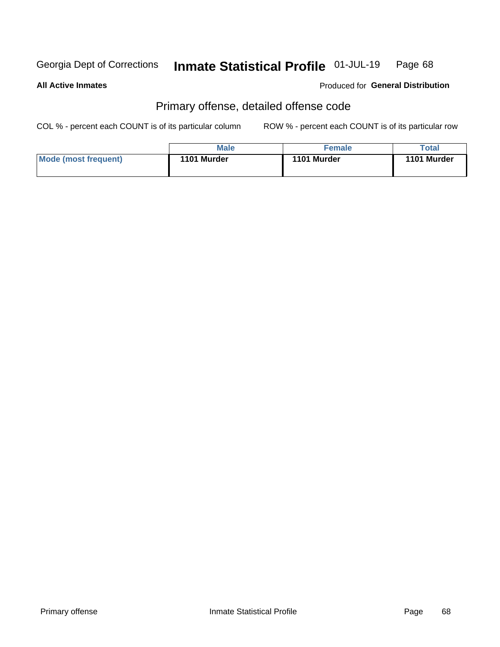#### Inmate Statistical Profile 01-JUL-19 Page 68

**All Active Inmates** 

**Produced for General Distribution** 

## Primary offense, detailed offense code

COL % - percent each COUNT is of its particular column

|                      | Male        | <b>Female</b> | Total       |
|----------------------|-------------|---------------|-------------|
| Mode (most frequent) | 1101 Murder | 1101 Murder   | 1101 Murder |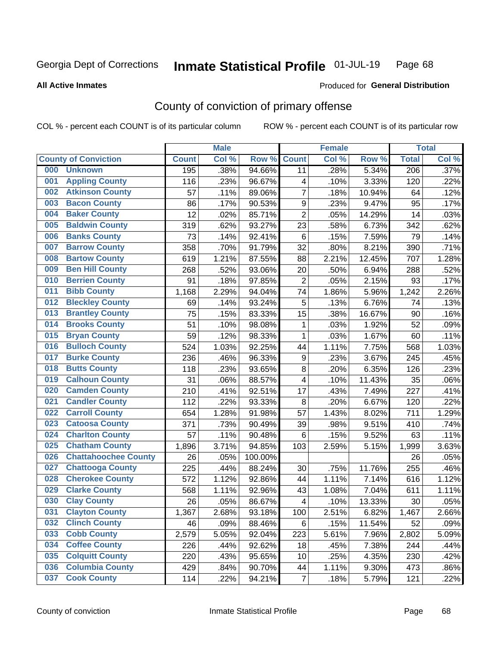#### Inmate Statistical Profile 01-JUL-19 Page 68

#### **All Active Inmates**

## Produced for General Distribution

## County of conviction of primary offense

COL % - percent each COUNT is of its particular column

|     |                             |              | <b>Male</b> |         |                         | <b>Female</b> |        |                  | <b>Total</b> |
|-----|-----------------------------|--------------|-------------|---------|-------------------------|---------------|--------|------------------|--------------|
|     | <b>County of Conviction</b> | <b>Count</b> | Col %       | Row %   | <b>Count</b>            | Col %         | Row %  | <b>Total</b>     | Col %        |
| 000 | <b>Unknown</b>              | 195          | .38%        | 94.66%  | 11                      | .28%          | 5.34%  | $\overline{206}$ | .37%         |
| 001 | <b>Appling County</b>       | 116          | .23%        | 96.67%  | 4                       | .10%          | 3.33%  | 120              | .22%         |
| 002 | <b>Atkinson County</b>      | 57           | .11%        | 89.06%  | $\overline{7}$          | .18%          | 10.94% | 64               | .12%         |
| 003 | <b>Bacon County</b>         | 86           | .17%        | 90.53%  | $\boldsymbol{9}$        | .23%          | 9.47%  | 95               | .17%         |
| 004 | <b>Baker County</b>         | 12           | .02%        | 85.71%  | $\overline{2}$          | .05%          | 14.29% | 14               | .03%         |
| 005 | <b>Baldwin County</b>       | 319          | .62%        | 93.27%  | 23                      | .58%          | 6.73%  | 342              | .62%         |
| 006 | <b>Banks County</b>         | 73           | .14%        | 92.41%  | 6                       | .15%          | 7.59%  | 79               | .14%         |
| 007 | <b>Barrow County</b>        | 358          | .70%        | 91.79%  | 32                      | .80%          | 8.21%  | 390              | .71%         |
| 008 | <b>Bartow County</b>        | 619          | 1.21%       | 87.55%  | 88                      | 2.21%         | 12.45% | 707              | 1.28%        |
| 009 | <b>Ben Hill County</b>      | 268          | .52%        | 93.06%  | 20                      | .50%          | 6.94%  | 288              | .52%         |
| 010 | <b>Berrien County</b>       | 91           | .18%        | 97.85%  | $\overline{2}$          | .05%          | 2.15%  | 93               | .17%         |
| 011 | <b>Bibb County</b>          | 1,168        | 2.29%       | 94.04%  | 74                      | 1.86%         | 5.96%  | 1,242            | 2.26%        |
| 012 | <b>Bleckley County</b>      | 69           | .14%        | 93.24%  | 5                       | .13%          | 6.76%  | 74               | .13%         |
| 013 | <b>Brantley County</b>      | 75           | .15%        | 83.33%  | 15                      | .38%          | 16.67% | 90               | .16%         |
| 014 | <b>Brooks County</b>        | 51           | .10%        | 98.08%  | 1                       | .03%          | 1.92%  | 52               | .09%         |
| 015 | <b>Bryan County</b>         | 59           | .12%        | 98.33%  | $\mathbf{1}$            | .03%          | 1.67%  | 60               | .11%         |
| 016 | <b>Bulloch County</b>       | 524          | 1.03%       | 92.25%  | 44                      | 1.11%         | 7.75%  | 568              | 1.03%        |
| 017 | <b>Burke County</b>         | 236          | .46%        | 96.33%  | 9                       | .23%          | 3.67%  | 245              | .45%         |
| 018 | <b>Butts County</b>         | 118          | .23%        | 93.65%  | 8                       | .20%          | 6.35%  | 126              | .23%         |
| 019 | <b>Calhoun County</b>       | 31           | .06%        | 88.57%  | 4                       | .10%          | 11.43% | 35               | .06%         |
| 020 | <b>Camden County</b>        | 210          | .41%        | 92.51%  | 17                      | .43%          | 7.49%  | 227              | .41%         |
| 021 | <b>Candler County</b>       | 112          | .22%        | 93.33%  | 8                       | .20%          | 6.67%  | 120              | .22%         |
| 022 | <b>Carroll County</b>       | 654          | 1.28%       | 91.98%  | 57                      | 1.43%         | 8.02%  | 711              | 1.29%        |
| 023 | <b>Catoosa County</b>       | 371          | .73%        | 90.49%  | 39                      | .98%          | 9.51%  | 410              | .74%         |
| 024 | <b>Charlton County</b>      | 57           | .11%        | 90.48%  | 6                       | .15%          | 9.52%  | 63               | .11%         |
| 025 | <b>Chatham County</b>       | 1,896        | 3.71%       | 94.85%  | 103                     | 2.59%         | 5.15%  | 1,999            | 3.63%        |
| 026 | <b>Chattahoochee County</b> | 26           | .05%        | 100.00% |                         |               |        | 26               | .05%         |
| 027 | <b>Chattooga County</b>     | 225          | .44%        | 88.24%  | 30                      | .75%          | 11.76% | 255              | .46%         |
| 028 | <b>Cherokee County</b>      | 572          | 1.12%       | 92.86%  | 44                      | 1.11%         | 7.14%  | 616              | 1.12%        |
| 029 | <b>Clarke County</b>        | 568          | 1.11%       | 92.96%  | 43                      | 1.08%         | 7.04%  | 611              | 1.11%        |
| 030 | <b>Clay County</b>          | 26           | .05%        | 86.67%  | $\overline{\mathbf{4}}$ | .10%          | 13.33% | 30               | .05%         |
| 031 | <b>Clayton County</b>       | 1,367        | 2.68%       | 93.18%  | 100                     | 2.51%         | 6.82%  | 1,467            | 2.66%        |
| 032 | <b>Clinch County</b>        | 46           | .09%        | 88.46%  | 6                       | .15%          | 11.54% | 52               | .09%         |
| 033 | <b>Cobb County</b>          | 2,579        | 5.05%       | 92.04%  | 223                     | 5.61%         | 7.96%  | 2,802            | 5.09%        |
| 034 | <b>Coffee County</b>        | 226          | .44%        | 92.62%  | 18                      | .45%          | 7.38%  | 244              | .44%         |
| 035 | <b>Colquitt County</b>      | 220          | .43%        | 95.65%  | 10                      | .25%          | 4.35%  | 230              | .42%         |
| 036 | <b>Columbia County</b>      | 429          | .84%        | 90.70%  | 44                      | 1.11%         | 9.30%  | 473              | .86%         |
| 037 | <b>Cook County</b>          | 114          | .22%        | 94.21%  | $\overline{7}$          | .18%          | 5.79%  | 121              | .22%         |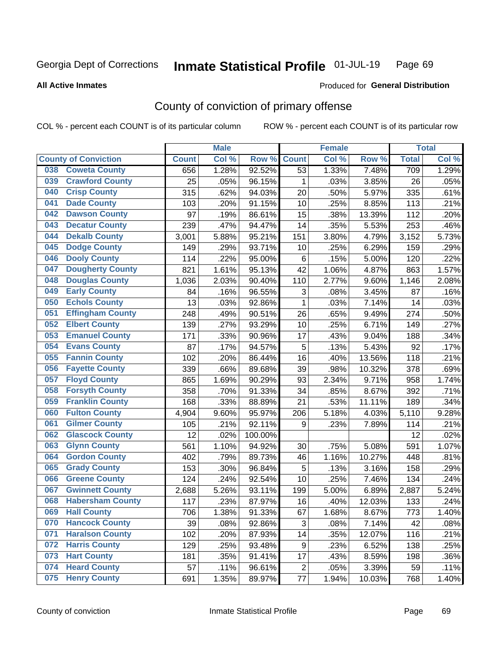#### Inmate Statistical Profile 01-JUL-19 Page 69

#### **All Active Inmates**

### Produced for General Distribution

## County of conviction of primary offense

COL % - percent each COUNT is of its particular column

|                                |              | <b>Male</b> |         |                | <b>Female</b> |        |              | <b>Total</b> |
|--------------------------------|--------------|-------------|---------|----------------|---------------|--------|--------------|--------------|
| <b>County of Conviction</b>    | <b>Count</b> | Col %       | Row %   | <b>Count</b>   | Col %         | Row %  | <b>Total</b> | Col %        |
| <b>Coweta County</b><br>038    | 656          | 1.28%       | 92.52%  | 53             | 1.33%         | 7.48%  | 709          | 1.29%        |
| <b>Crawford County</b><br>039  | 25           | .05%        | 96.15%  | 1              | .03%          | 3.85%  | 26           | .05%         |
| <b>Crisp County</b><br>040     | 315          | .62%        | 94.03%  | 20             | .50%          | 5.97%  | 335          | .61%         |
| <b>Dade County</b><br>041      | 103          | .20%        | 91.15%  | 10             | .25%          | 8.85%  | 113          | .21%         |
| <b>Dawson County</b><br>042    | 97           | .19%        | 86.61%  | 15             | .38%          | 13.39% | 112          | .20%         |
| 043<br><b>Decatur County</b>   | 239          | .47%        | 94.47%  | 14             | .35%          | 5.53%  | 253          | .46%         |
| <b>Dekalb County</b><br>044    | 3,001        | 5.88%       | 95.21%  | 151            | 3.80%         | 4.79%  | 3,152        | 5.73%        |
| <b>Dodge County</b><br>045     | 149          | .29%        | 93.71%  | 10             | .25%          | 6.29%  | 159          | .29%         |
| <b>Dooly County</b><br>046     | 114          | .22%        | 95.00%  | 6              | .15%          | 5.00%  | 120          | .22%         |
| 047<br><b>Dougherty County</b> | 821          | 1.61%       | 95.13%  | 42             | 1.06%         | 4.87%  | 863          | 1.57%        |
| <b>Douglas County</b><br>048   | 1,036        | 2.03%       | 90.40%  | 110            | 2.77%         | 9.60%  | 1,146        | 2.08%        |
| <b>Early County</b><br>049     | 84           | .16%        | 96.55%  | 3              | .08%          | 3.45%  | 87           | .16%         |
| <b>Echols County</b><br>050    | 13           | .03%        | 92.86%  | $\mathbf{1}$   | .03%          | 7.14%  | 14           | .03%         |
| 051<br><b>Effingham County</b> | 248          | .49%        | 90.51%  | 26             | .65%          | 9.49%  | 274          | .50%         |
| <b>Elbert County</b><br>052    | 139          | .27%        | 93.29%  | 10             | .25%          | 6.71%  | 149          | .27%         |
| <b>Emanuel County</b><br>053   | 171          | .33%        | 90.96%  | 17             | .43%          | 9.04%  | 188          | .34%         |
| <b>Evans County</b><br>054     | 87           | .17%        | 94.57%  | 5              | .13%          | 5.43%  | 92           | .17%         |
| <b>Fannin County</b><br>055    | 102          | .20%        | 86.44%  | 16             | .40%          | 13.56% | 118          | .21%         |
| <b>Fayette County</b><br>056   | 339          | .66%        | 89.68%  | 39             | .98%          | 10.32% | 378          | .69%         |
| <b>Floyd County</b><br>057     | 865          | 1.69%       | 90.29%  | 93             | 2.34%         | 9.71%  | 958          | 1.74%        |
| <b>Forsyth County</b><br>058   | 358          | .70%        | 91.33%  | 34             | .85%          | 8.67%  | 392          | .71%         |
| <b>Franklin County</b><br>059  | 168          | .33%        | 88.89%  | 21             | .53%          | 11.11% | 189          | .34%         |
| <b>Fulton County</b><br>060    | 4,904        | 9.60%       | 95.97%  | 206            | 5.18%         | 4.03%  | 5,110        | 9.28%        |
| <b>Gilmer County</b><br>061    | 105          | .21%        | 92.11%  | 9              | .23%          | 7.89%  | 114          | .21%         |
| <b>Glascock County</b><br>062  | 12           | .02%        | 100.00% |                |               |        | 12           | .02%         |
| 063<br><b>Glynn County</b>     | 561          | 1.10%       | 94.92%  | 30             | .75%          | 5.08%  | 591          | 1.07%        |
| <b>Gordon County</b><br>064    | 402          | .79%        | 89.73%  | 46             | 1.16%         | 10.27% | 448          | .81%         |
| <b>Grady County</b><br>065     | 153          | .30%        | 96.84%  | 5              | .13%          | 3.16%  | 158          | .29%         |
| <b>Greene County</b><br>066    | 124          | .24%        | 92.54%  | 10             | .25%          | 7.46%  | 134          | .24%         |
| <b>Gwinnett County</b><br>067  | 2,688        | 5.26%       | 93.11%  | 199            | 5.00%         | 6.89%  | 2,887        | 5.24%        |
| <b>Habersham County</b><br>068 | 117          | .23%        | 87.97%  | 16             | .40%          | 12.03% | 133          | .24%         |
| 069<br><b>Hall County</b>      | 706          | 1.38%       | 91.33%  | 67             | 1.68%         | 8.67%  | 773          | 1.40%        |
| <b>Hancock County</b><br>070   | 39           | .08%        | 92.86%  | 3              | .08%          | 7.14%  | 42           | .08%         |
| <b>Haralson County</b><br>071  | 102          | .20%        | 87.93%  | 14             | .35%          | 12.07% | 116          | .21%         |
| 072<br><b>Harris County</b>    | 129          | .25%        | 93.48%  | 9              | .23%          | 6.52%  | 138          | .25%         |
| <b>Hart County</b><br>073      | 181          | .35%        | 91.41%  | 17             | .43%          | 8.59%  | 198          | .36%         |
| <b>Heard County</b><br>074     | 57           | .11%        | 96.61%  | $\overline{2}$ | .05%          | 3.39%  | 59           | .11%         |
| <b>Henry County</b><br>075     | 691          | 1.35%       | 89.97%  | 77             | 1.94%         | 10.03% | 768          | 1.40%        |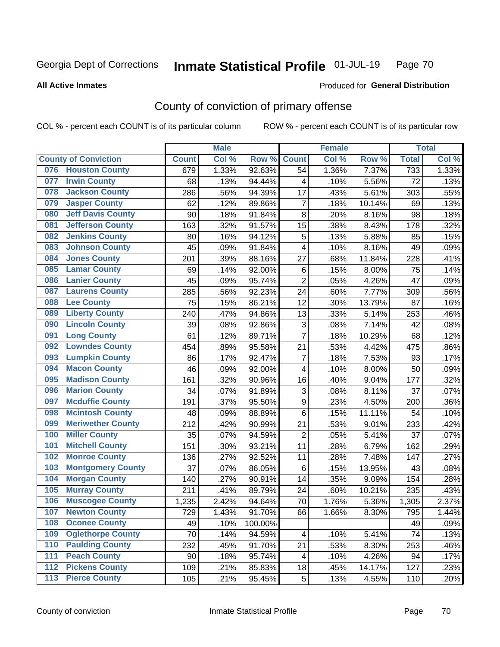#### Inmate Statistical Profile 01-JUL-19 Page 70

**All Active Inmates** 

#### Produced for General Distribution

## County of conviction of primary offense

COL % - percent each COUNT is of its particular column

|                                           |              | <b>Male</b> |         |                | <b>Female</b> |        |              | <b>Total</b> |
|-------------------------------------------|--------------|-------------|---------|----------------|---------------|--------|--------------|--------------|
| <b>County of Conviction</b>               | <b>Count</b> | Col %       | Row %   | <b>Count</b>   | Col %         | Row %  | <b>Total</b> | Col %        |
| 076 Houston County                        | 679          | 1.33%       | 92.63%  | 54             | 1.36%         | 7.37%  | 733          | 1.33%        |
| <b>Irwin County</b><br>077                | 68           | .13%        | 94.44%  | 4              | .10%          | 5.56%  | 72           | .13%         |
| <b>Jackson County</b><br>078              | 286          | .56%        | 94.39%  | 17             | .43%          | 5.61%  | 303          | .55%         |
| <b>Jasper County</b><br>079               | 62           | .12%        | 89.86%  | $\overline{7}$ | .18%          | 10.14% | 69           | .13%         |
| <b>Jeff Davis County</b><br>080           | 90           | .18%        | 91.84%  | 8              | .20%          | 8.16%  | 98           | .18%         |
| <b>Jefferson County</b><br>081            | 163          | .32%        | 91.57%  | 15             | .38%          | 8.43%  | 178          | .32%         |
| <b>Jenkins County</b><br>082              | 80           | .16%        | 94.12%  | 5              | .13%          | 5.88%  | 85           | .15%         |
| <b>Johnson County</b><br>083              | 45           | .09%        | 91.84%  | 4              | .10%          | 8.16%  | 49           | .09%         |
| <b>Jones County</b><br>084                | 201          | .39%        | 88.16%  | 27             | .68%          | 11.84% | 228          | .41%         |
| <b>Lamar County</b><br>085                | 69           | .14%        | 92.00%  | 6              | .15%          | 8.00%  | 75           | .14%         |
| <b>Lanier County</b><br>086               | 45           | .09%        | 95.74%  | $\overline{2}$ | .05%          | 4.26%  | 47           | .09%         |
| <b>Laurens County</b><br>087              | 285          | .56%        | 92.23%  | 24             | .60%          | 7.77%  | 309          | .56%         |
| <b>Lee County</b><br>088                  | 75           | .15%        | 86.21%  | 12             | .30%          | 13.79% | 87           | .16%         |
| <b>Liberty County</b><br>089              | 240          | .47%        | 94.86%  | 13             | .33%          | 5.14%  | 253          | .46%         |
| <b>Lincoln County</b><br>090              | 39           | .08%        | 92.86%  | 3              | .08%          | 7.14%  | 42           | .08%         |
| <b>Long County</b><br>091                 | 61           | .12%        | 89.71%  | $\overline{7}$ | .18%          | 10.29% | 68           | .12%         |
| <b>Lowndes County</b><br>092              | 454          | .89%        | 95.58%  | 21             | .53%          | 4.42%  | 475          | .86%         |
| <b>Lumpkin County</b><br>093              | 86           | .17%        | 92.47%  | $\overline{7}$ | .18%          | 7.53%  | 93           | .17%         |
| <b>Macon County</b><br>094                | 46           | .09%        | 92.00%  | 4              | .10%          | 8.00%  | 50           | .09%         |
| <b>Madison County</b><br>095              | 161          | .32%        | 90.96%  | 16             | .40%          | 9.04%  | 177          | .32%         |
| <b>Marion County</b><br>096               | 34           | .07%        | 91.89%  | 3              | .08%          | 8.11%  | 37           | .07%         |
| <b>Mcduffie County</b><br>097             | 191          | .37%        | 95.50%  | 9              | .23%          | 4.50%  | 200          | .36%         |
| <b>Mcintosh County</b><br>098             | 48           | .09%        | 88.89%  | 6              | .15%          | 11.11% | 54           | .10%         |
| <b>Meriwether County</b><br>099           | 212          | .42%        | 90.99%  | 21             | .53%          | 9.01%  | 233          | .42%         |
| <b>Miller County</b><br>100               | 35           | .07%        | 94.59%  | $\overline{c}$ | .05%          | 5.41%  | 37           | .07%         |
| <b>Mitchell County</b><br>101             | 151          | .30%        | 93.21%  | 11             | .28%          | 6.79%  | 162          | .29%         |
| <b>Monroe County</b><br>102               | 136          | .27%        | 92.52%  | 11             | .28%          | 7.48%  | 147          | .27%         |
| 103<br><b>Montgomery County</b>           | 37           | .07%        | 86.05%  | 6              | .15%          | 13.95% | 43           | .08%         |
| <b>Morgan County</b><br>104               | 140          | .27%        | 90.91%  | 14             | .35%          | 9.09%  | 154          | .28%         |
| <b>Murray County</b><br>105               | 211          | .41%        | 89.79%  | 24             | .60%          | 10.21% | 235          | .43%         |
| <b>Muscogee County</b><br>106             | 1,235        | 2.42%       | 94.64%  | 70             | 1.76%         | 5.36%  | 1,305        | 2.37%        |
| 107<br><b>Newton County</b>               | 729          | 1.43%       | 91.70%  | 66             | 1.66%         | 8.30%  | 795          | 1.44%        |
| <b>Oconee County</b><br>108               | 49           | .10%        | 100.00% |                |               |        | 49           | .09%         |
| <b>Oglethorpe County</b><br>109           | 70           | .14%        | 94.59%  | 4              | .10%          | 5.41%  | 74           | .13%         |
| <b>Paulding County</b><br>110             | 232          | .45%        | 91.70%  | 21             | .53%          | 8.30%  | 253          | .46%         |
| 111<br><b>Peach County</b>                | 90           | .18%        | 95.74%  | 4              | .10%          | 4.26%  | 94           | .17%         |
| <b>Pickens County</b><br>$\overline{112}$ | 109          | .21%        | 85.83%  | 18             | .45%          | 14.17% | 127          | .23%         |
| <b>Pierce County</b><br>113               | 105          | .21%        | 95.45%  | 5              | .13%          | 4.55%  | 110          | .20%         |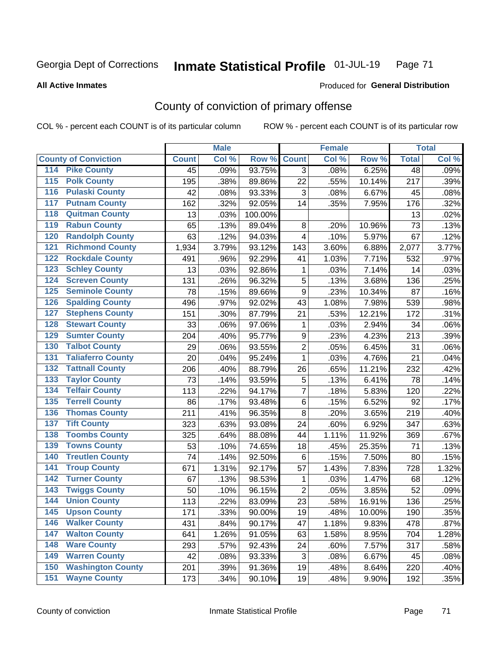#### Inmate Statistical Profile 01-JUL-19 Page 71

#### **All Active Inmates**

## Produced for General Distribution

## County of conviction of primary offense

COL % - percent each COUNT is of its particular column

|                                          |              | <b>Male</b> |         |                  | <b>Female</b> |        |              | <b>Total</b> |
|------------------------------------------|--------------|-------------|---------|------------------|---------------|--------|--------------|--------------|
| <b>County of Conviction</b>              | <b>Count</b> | Col %       | Row %   | <b>Count</b>     | Col %         | Row %  | <b>Total</b> | Col %        |
| <b>Pike County</b><br>114                | 45           | .09%        | 93.75%  | $\overline{3}$   | .08%          | 6.25%  | 48           | .09%         |
| <b>Polk County</b><br>$\overline{115}$   | 195          | .38%        | 89.86%  | 22               | .55%          | 10.14% | 217          | .39%         |
| <b>Pulaski County</b><br>116             | 42           | .08%        | 93.33%  | 3                | .08%          | 6.67%  | 45           | .08%         |
| <b>Putnam County</b><br>117              | 162          | .32%        | 92.05%  | 14               | .35%          | 7.95%  | 176          | .32%         |
| <b>Quitman County</b><br>118             | 13           | .03%        | 100.00% |                  |               |        | 13           | .02%         |
| <b>Rabun County</b><br>119               | 65           | .13%        | 89.04%  | $\,8\,$          | .20%          | 10.96% | 73           | .13%         |
| <b>Randolph County</b><br>120            | 63           | .12%        | 94.03%  | $\overline{4}$   | .10%          | 5.97%  | 67           | .12%         |
| <b>Richmond County</b><br>121            | 1,934        | 3.79%       | 93.12%  | 143              | 3.60%         | 6.88%  | 2,077        | 3.77%        |
| <b>Rockdale County</b><br>122            | 491          | .96%        | 92.29%  | 41               | 1.03%         | 7.71%  | 532          | .97%         |
| 123<br><b>Schley County</b>              | 13           | .03%        | 92.86%  | 1                | .03%          | 7.14%  | 14           | .03%         |
| <b>Screven County</b><br>124             | 131          | .26%        | 96.32%  | 5                | .13%          | 3.68%  | 136          | .25%         |
| <b>Seminole County</b><br>125            | 78           | .15%        | 89.66%  | 9                | .23%          | 10.34% | 87           | .16%         |
| <b>Spalding County</b><br>126            | 496          | .97%        | 92.02%  | 43               | 1.08%         | 7.98%  | 539          | .98%         |
| 127<br><b>Stephens County</b>            | 151          | .30%        | 87.79%  | 21               | .53%          | 12.21% | 172          | .31%         |
| <b>Stewart County</b><br>128             | 33           | .06%        | 97.06%  | $\mathbf 1$      | .03%          | 2.94%  | 34           | .06%         |
| <b>Sumter County</b><br>129              | 204          | .40%        | 95.77%  | $\boldsymbol{9}$ | .23%          | 4.23%  | 213          | .39%         |
| <b>Talbot County</b><br>130              | 29           | .06%        | 93.55%  | $\overline{2}$   | .05%          | 6.45%  | 31           | .06%         |
| <b>Taliaferro County</b><br>131          | 20           | .04%        | 95.24%  | $\mathbf{1}$     | .03%          | 4.76%  | 21           | .04%         |
| <b>Tattnall County</b><br>132            | 206          | .40%        | 88.79%  | 26               | .65%          | 11.21% | 232          | .42%         |
| 133<br><b>Taylor County</b>              | 73           | .14%        | 93.59%  | $\mathbf 5$      | .13%          | 6.41%  | 78           | .14%         |
| <b>Telfair County</b><br>134             | 113          | .22%        | 94.17%  | $\overline{7}$   | .18%          | 5.83%  | 120          | .22%         |
| <b>Terrell County</b><br>135             | 86           | .17%        | 93.48%  | $\,6$            | .15%          | 6.52%  | 92           | .17%         |
| <b>Thomas County</b><br>136              | 211          | .41%        | 96.35%  | 8                | .20%          | 3.65%  | 219          | .40%         |
| <b>Tift County</b><br>137                | 323          | .63%        | 93.08%  | 24               | .60%          | 6.92%  | 347          | .63%         |
| <b>Toombs County</b><br>138              | 325          | .64%        | 88.08%  | 44               | 1.11%         | 11.92% | 369          | .67%         |
| <b>Towns County</b><br>139               | 53           | .10%        | 74.65%  | 18               | .45%          | 25.35% | 71           | .13%         |
| <b>Treutlen County</b><br>140            | 74           | .14%        | 92.50%  | $\,6$            | .15%          | 7.50%  | 80           | .15%         |
| <b>Troup County</b><br>141               | 671          | 1.31%       | 92.17%  | 57               | 1.43%         | 7.83%  | 728          | 1.32%        |
| <b>Turner County</b><br>142              | 67           | .13%        | 98.53%  | 1                | .03%          | 1.47%  | 68           | .12%         |
| $\overline{143}$<br><b>Twiggs County</b> | 50           | .10%        | 96.15%  | $\overline{2}$   | .05%          | 3.85%  | 52           | .09%         |
| <b>Union County</b><br>144               | 113          | .22%        | 83.09%  | 23               | .58%          | 16.91% | 136          | .25%         |
| 145<br><b>Upson County</b>               | 171          | .33%        | 90.00%  | 19               | .48%          | 10.00% | 190          | .35%         |
| <b>Walker County</b><br>146              | 431          | .84%        | 90.17%  | 47               | 1.18%         | 9.83%  | 478          | .87%         |
| 147<br><b>Walton County</b>              | 641          | 1.26%       | 91.05%  | 63               | 1.58%         | 8.95%  | 704          | 1.28%        |
| <b>Ware County</b><br>148                | 293          | .57%        | 92.43%  | 24               | .60%          | 7.57%  | 317          | .58%         |
| <b>Warren County</b><br>149              | 42           | .08%        | 93.33%  | 3                | .08%          | 6.67%  | 45           | .08%         |
| <b>Washington County</b><br>150          | 201          | .39%        | 91.36%  | 19               | .48%          | 8.64%  | 220          | .40%         |
| <b>Wayne County</b><br>151               | 173          | .34%        | 90.10%  | 19               | .48%          | 9.90%  | 192          | .35%         |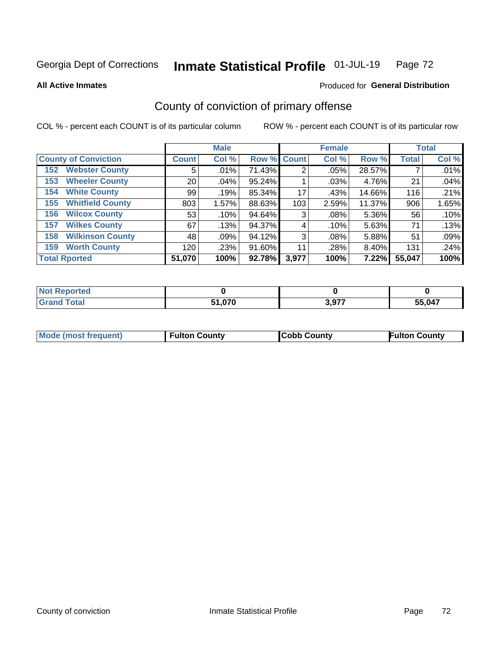#### Inmate Statistical Profile 01-JUL-19 Page 72

**All Active Inmates** 

### **Produced for General Distribution**

## County of conviction of primary offense

COL % - percent each COUNT is of its particular column

|                                |                 | <b>Male</b> |             |       | <b>Female</b> |          |              | <b>Total</b> |
|--------------------------------|-----------------|-------------|-------------|-------|---------------|----------|--------------|--------------|
| <b>County of Conviction</b>    | <b>Count</b>    | Col %       | Row % Count |       | Col %         | Row %    | <b>Total</b> | Col %        |
| <b>Webster County</b><br>152   | 5               | .01%        | 71.43%      | 2     | $.05\%$       | 28.57%   |              | .01%         |
| <b>Wheeler County</b><br>153   | 20 <sub>1</sub> | $.04\%$     | $95.24\%$   |       | .03%          | 4.76%    | 21           | .04%         |
| <b>White County</b><br>154     | 99              | .19%        | 85.34%      | 17    | .43%          | 14.66%   | 116          | .21%         |
| <b>Whitfield County</b><br>155 | 803             | 1.57%       | 88.63%      | 103   | 2.59%         | 11.37%   | 906          | 1.65%        |
| <b>Wilcox County</b><br>156    | 53              | .10%        | 94.64%      | 3     | .08%          | 5.36%    | 56           | .10%         |
| <b>Wilkes County</b><br>157    | 67              | .13%        | 94.37%      | 4     | .10%          | 5.63%    | 71           | .13%         |
| <b>Wilkinson County</b><br>158 | 48              | .09%        | 94.12%      | 3     | $.08\%$       | 5.88%    | 51           | .09%         |
| <b>Worth County</b><br>159     | 120             | .23%        | 91.60%      | 11    | .28%          | 8.40%    | 131          | .24%         |
| <b>Total Rported</b>           | 51,070          | 100%        | 92.78%      | 3,977 | 100%          | $7.22\%$ | 55,047       | 100%         |

| <b>Not Reported</b> |               |       |        |
|---------------------|---------------|-------|--------|
| <b>Grand Total</b>  | 51,070<br>E4. | 3,977 | 55,047 |

| Mode (most frequent) | <b>Fulton County</b> | <b>Cobb County</b> | <b>Fulton County</b> |
|----------------------|----------------------|--------------------|----------------------|
|                      |                      |                    |                      |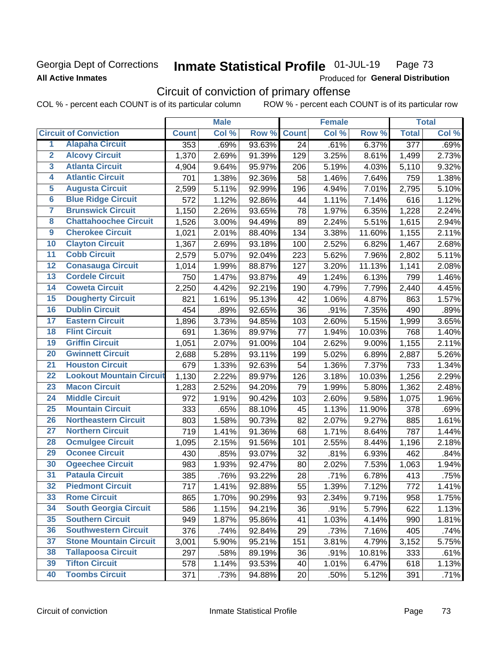## Georgia Dept of Corrections **All Active Inmates**

#### Inmate Statistical Profile 01-JUL-19 Page 73

Produced for General Distribution

# Circuit of conviction of primary offense

|                         |                                 | <b>Male</b>  |       |        | <b>Female</b>   |       |        | <b>Total</b>     |       |
|-------------------------|---------------------------------|--------------|-------|--------|-----------------|-------|--------|------------------|-------|
|                         | <b>Circuit of Conviction</b>    | <b>Count</b> | Col % | Row %  | <b>Count</b>    | Col % | Row %  | <b>Total</b>     | Col % |
| 1                       | <b>Alapaha Circuit</b>          | 353          | .69%  | 93.63% | $\overline{24}$ | .61%  | 6.37%  | $\overline{377}$ | .69%  |
| $\overline{2}$          | <b>Alcovy Circuit</b>           | 1,370        | 2.69% | 91.39% | 129             | 3.25% | 8.61%  | 1,499            | 2.73% |
| $\overline{\mathbf{3}}$ | <b>Atlanta Circuit</b>          | 4,904        | 9.64% | 95.97% | 206             | 5.19% | 4.03%  | 5,110            | 9.32% |
| 4                       | <b>Atlantic Circuit</b>         | 701          | 1.38% | 92.36% | 58              | 1.46% | 7.64%  | 759              | 1.38% |
| 5                       | <b>Augusta Circuit</b>          | 2,599        | 5.11% | 92.99% | 196             | 4.94% | 7.01%  | 2,795            | 5.10% |
| $\overline{6}$          | <b>Blue Ridge Circuit</b>       | 572          | 1.12% | 92.86% | 44              | 1.11% | 7.14%  | 616              | 1.12% |
| 7                       | <b>Brunswick Circuit</b>        | 1,150        | 2.26% | 93.65% | 78              | 1.97% | 6.35%  | 1,228            | 2.24% |
| 8                       | <b>Chattahoochee Circuit</b>    | 1,526        | 3.00% | 94.49% | 89              | 2.24% | 5.51%  | 1,615            | 2.94% |
| 9                       | <b>Cherokee Circuit</b>         | 1,021        | 2.01% | 88.40% | 134             | 3.38% | 11.60% | 1,155            | 2.11% |
| 10                      | <b>Clayton Circuit</b>          | 1,367        | 2.69% | 93.18% | 100             | 2.52% | 6.82%  | 1,467            | 2.68% |
| $\overline{11}$         | <b>Cobb Circuit</b>             | 2,579        | 5.07% | 92.04% | 223             | 5.62% | 7.96%  | 2,802            | 5.11% |
| 12                      | <b>Conasauga Circuit</b>        | 1,014        | 1.99% | 88.87% | 127             | 3.20% | 11.13% | 1,141            | 2.08% |
| 13                      | <b>Cordele Circuit</b>          | 750          | 1.47% | 93.87% | 49              | 1.24% | 6.13%  | 799              | 1.46% |
| 14                      | <b>Coweta Circuit</b>           | 2,250        | 4.42% | 92.21% | 190             | 4.79% | 7.79%  | 2,440            | 4.45% |
| 15                      | <b>Dougherty Circuit</b>        | 821          | 1.61% | 95.13% | 42              | 1.06% | 4.87%  | 863              | 1.57% |
| 16                      | <b>Dublin Circuit</b>           | 454          | .89%  | 92.65% | 36              | .91%  | 7.35%  | 490              | .89%  |
| 17                      | <b>Eastern Circuit</b>          | 1,896        | 3.73% | 94.85% | 103             | 2.60% | 5.15%  | 1,999            | 3.65% |
| 18                      | <b>Flint Circuit</b>            | 691          | 1.36% | 89.97% | 77              | 1.94% | 10.03% | 768              | 1.40% |
| 19                      | <b>Griffin Circuit</b>          | 1,051        | 2.07% | 91.00% | 104             | 2.62% | 9.00%  | 1,155            | 2.11% |
| 20                      | <b>Gwinnett Circuit</b>         | 2,688        | 5.28% | 93.11% | 199             | 5.02% | 6.89%  | 2,887            | 5.26% |
| $\overline{21}$         | <b>Houston Circuit</b>          | 679          | 1.33% | 92.63% | 54              | 1.36% | 7.37%  | 733              | 1.34% |
| $\overline{22}$         | <b>Lookout Mountain Circuit</b> | 1,130        | 2.22% | 89.97% | 126             | 3.18% | 10.03% | 1,256            | 2.29% |
| 23                      | <b>Macon Circuit</b>            | 1,283        | 2.52% | 94.20% | 79              | 1.99% | 5.80%  | 1,362            | 2.48% |
| 24                      | <b>Middle Circuit</b>           | 972          | 1.91% | 90.42% | 103             | 2.60% | 9.58%  | 1,075            | 1.96% |
| $\overline{25}$         | <b>Mountain Circuit</b>         | 333          | .65%  | 88.10% | 45              | 1.13% | 11.90% | 378              | .69%  |
| 26                      | <b>Northeastern Circuit</b>     | 803          | 1.58% | 90.73% | 82              | 2.07% | 9.27%  | 885              | 1.61% |
| $\overline{27}$         | <b>Northern Circuit</b>         | 719          | 1.41% | 91.36% | 68              | 1.71% | 8.64%  | 787              | 1.44% |
| 28                      | <b>Ocmulgee Circuit</b>         | 1,095        | 2.15% | 91.56% | 101             | 2.55% | 8.44%  | 1,196            | 2.18% |
| 29                      | <b>Oconee Circuit</b>           | 430          | .85%  | 93.07% | 32              | .81%  | 6.93%  | 462              | .84%  |
| 30                      | <b>Ogeechee Circuit</b>         | 983          | 1.93% | 92.47% | 80              | 2.02% | 7.53%  | 1,063            | 1.94% |
| $\overline{31}$         | <b>Pataula Circuit</b>          | 385          | .76%  | 93.22% | 28              | .71%  | 6.78%  | 413              | .75%  |
| 32                      | <b>Piedmont Circuit</b>         | 717          | 1.41% | 92.88% | 55              | 1.39% | 7.12%  | 772              | 1.41% |
| 33                      | <b>Rome Circuit</b>             | 865          | 1.70% | 90.29% | 93              | 2.34% | 9.71%  | 958              | 1.75% |
| 34                      | <b>South Georgia Circuit</b>    | 586          | 1.15% | 94.21% | 36              | .91%  | 5.79%  | 622              | 1.13% |
| 35                      | <b>Southern Circuit</b>         | 949          | 1.87% | 95.86% | 41              | 1.03% | 4.14%  | 990              | 1.81% |
| 36                      | <b>Southwestern Circuit</b>     | 376          | .74%  | 92.84% | 29              | .73%  | 7.16%  | 405              | .74%  |
| 37                      | <b>Stone Mountain Circuit</b>   | 3,001        | 5.90% | 95.21% | 151             | 3.81% | 4.79%  | 3,152            | 5.75% |
| 38                      | <b>Tallapoosa Circuit</b>       | 297          | .58%  | 89.19% | 36              | .91%  | 10.81% | 333              | .61%  |
| 39                      | <b>Tifton Circuit</b>           | 578          | 1.14% | 93.53% | 40              | 1.01% | 6.47%  | 618              | 1.13% |
| 40                      | <b>Toombs Circuit</b>           | 371          | .73%  | 94.88% | 20              | .50%  | 5.12%  | 391              | .71%  |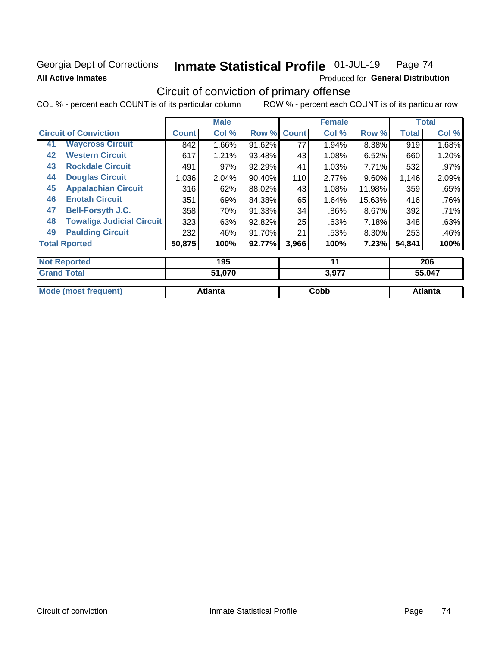## Georgia Dept of Corrections **All Active Inmates**

#### Inmate Statistical Profile 01-JUL-19 Page 74

Produced for General Distribution

## Circuit of conviction of primary offense

|                                        | <b>Male</b>  |        |        |              | <b>Female</b> |        | <b>Total</b> |        |
|----------------------------------------|--------------|--------|--------|--------------|---------------|--------|--------------|--------|
| <b>Circuit of Conviction</b>           | <b>Count</b> | Col %  | Row %  | <b>Count</b> | Col %         | Row %  | <b>Total</b> | Col %  |
| <b>Waycross Circuit</b><br>41          | 842          | 1.66%  | 91.62% | 77           | 1.94%         | 8.38%  | 919          | 1.68%  |
| <b>Western Circuit</b><br>42           | 617          | 1.21%  | 93.48% | 43           | 1.08%         | 6.52%  | 660          | 1.20%  |
| <b>Rockdale Circuit</b><br>43          | 491          | .97%   | 92.29% | 41           | 1.03%         | 7.71%  | 532          | .97%   |
| <b>Douglas Circuit</b><br>44           | 1,036        | 2.04%  | 90.40% | 110          | 2.77%         | 9.60%  | 1,146        | 2.09%  |
| <b>Appalachian Circuit</b><br>45       | 316          | .62%   | 88.02% | 43           | 1.08%         | 11.98% | 359          | .65%   |
| <b>Enotah Circuit</b><br>46            | 351          | .69%   | 84.38% | 65           | 1.64%         | 15.63% | 416          | .76%   |
| <b>Bell-Forsyth J.C.</b><br>47         | 358          | .70%   | 91.33% | 34           | .86%          | 8.67%  | 392          | .71%   |
| <b>Towaliga Judicial Circuit</b><br>48 | 323          | .63%   | 92.82% | 25           | .63%          | 7.18%  | 348          | .63%   |
| <b>Paulding Circuit</b><br>49          | 232          | .46%   | 91.70% | 21           | .53%          | 8.30%  | 253          | .46%   |
| <b>Total Rported</b>                   | 50,875       | 100%   | 92.77% | 3,966        | 100%          | 7.23%  | 54,841       | 100%   |
| <b>Not Reported</b>                    |              | 195    |        |              | 11            |        |              | 206    |
| <b>Grand Total</b>                     |              | 51 070 |        |              | 3077          |        |              | 55 017 |

| ا שוטו וטנ <b>מו</b> | ט וט, וכ | J.J I I | 33.U47  |
|----------------------|----------|---------|---------|
|                      |          |         |         |
| Mode (most frequent) | Atlanta  | Cobb    | Atlanta |
|                      |          |         |         |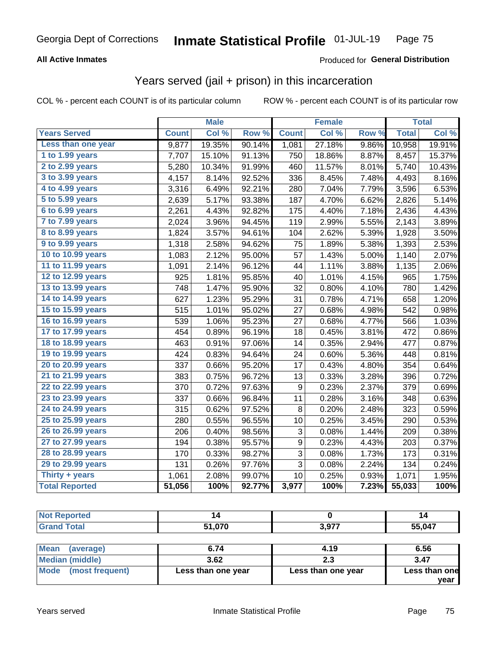### **All Active Inmates**

### Produced for **General Distribution**

## Years served (jail + prison) in this incarceration

|                       |              | <b>Male</b> |        | <b>Female</b>    |        | <b>Total</b>     |              |        |
|-----------------------|--------------|-------------|--------|------------------|--------|------------------|--------------|--------|
| <b>Years Served</b>   | <b>Count</b> | Col %       | Row %  | <b>Count</b>     | Col %  | Row <sub>%</sub> | <b>Total</b> | Col%   |
| Less than one year    | 9,877        | 19.35%      | 90.14% | 1,081            | 27.18% | 9.86%            | 10,958       | 19.91% |
| 1 to 1.99 years       | 7,707        | 15.10%      | 91.13% | 750              | 18.86% | 8.87%            | 8,457        | 15.37% |
| 2 to 2.99 years       | 5,280        | 10.34%      | 91.99% | 460              | 11.57% | 8.01%            | 5,740        | 10.43% |
| 3 to 3.99 years       | 4,157        | 8.14%       | 92.52% | 336              | 8.45%  | 7.48%            | 4,493        | 8.16%  |
| 4 to 4.99 years       | 3,316        | 6.49%       | 92.21% | 280              | 7.04%  | 7.79%            | 3,596        | 6.53%  |
| 5 to 5.99 years       | 2,639        | 5.17%       | 93.38% | 187              | 4.70%  | 6.62%            | 2,826        | 5.14%  |
| 6 to 6.99 years       | 2,261        | 4.43%       | 92.82% | 175              | 4.40%  | 7.18%            | 2,436        | 4.43%  |
| 7 to 7.99 years       | 2,024        | 3.96%       | 94.45% | 119              | 2.99%  | 5.55%            | 2,143        | 3.89%  |
| 8 to 8.99 years       | 1,824        | 3.57%       | 94.61% | 104              | 2.62%  | 5.39%            | 1,928        | 3.50%  |
| 9 to 9.99 years       | 1,318        | 2.58%       | 94.62% | 75               | 1.89%  | 5.38%            | 1,393        | 2.53%  |
| 10 to 10.99 years     | 1,083        | 2.12%       | 95.00% | 57               | 1.43%  | 5.00%            | 1,140        | 2.07%  |
| 11 to 11.99 years     | 1,091        | 2.14%       | 96.12% | 44               | 1.11%  | 3.88%            | 1,135        | 2.06%  |
| 12 to 12.99 years     | 925          | 1.81%       | 95.85% | 40               | 1.01%  | 4.15%            | 965          | 1.75%  |
| 13 to 13.99 years     | 748          | 1.47%       | 95.90% | 32               | 0.80%  | 4.10%            | 780          | 1.42%  |
| 14 to 14.99 years     | 627          | 1.23%       | 95.29% | 31               | 0.78%  | 4.71%            | 658          | 1.20%  |
| 15 to 15.99 years     | 515          | 1.01%       | 95.02% | 27               | 0.68%  | 4.98%            | 542          | 0.98%  |
| 16 to 16.99 years     | 539          | 1.06%       | 95.23% | 27               | 0.68%  | 4.77%            | 566          | 1.03%  |
| 17 to 17.99 years     | 454          | 0.89%       | 96.19% | 18               | 0.45%  | 3.81%            | 472          | 0.86%  |
| 18 to 18.99 years     | 463          | 0.91%       | 97.06% | 14               | 0.35%  | 2.94%            | 477          | 0.87%  |
| 19 to 19.99 years     | 424          | 0.83%       | 94.64% | 24               | 0.60%  | 5.36%            | 448          | 0.81%  |
| 20 to 20.99 years     | 337          | 0.66%       | 95.20% | 17               | 0.43%  | 4.80%            | 354          | 0.64%  |
| 21 to 21.99 years     | 383          | 0.75%       | 96.72% | 13               | 0.33%  | 3.28%            | 396          | 0.72%  |
| 22 to 22.99 years     | 370          | 0.72%       | 97.63% | $\boldsymbol{9}$ | 0.23%  | 2.37%            | 379          | 0.69%  |
| 23 to 23.99 years     | 337          | 0.66%       | 96.84% | 11               | 0.28%  | 3.16%            | 348          | 0.63%  |
| 24 to 24.99 years     | 315          | 0.62%       | 97.52% | 8                | 0.20%  | 2.48%            | 323          | 0.59%  |
| 25 to 25.99 years     | 280          | 0.55%       | 96.55% | 10               | 0.25%  | 3.45%            | 290          | 0.53%  |
| 26 to 26.99 years     | 206          | 0.40%       | 98.56% | 3                | 0.08%  | 1.44%            | 209          | 0.38%  |
| 27 to 27.99 years     | 194          | 0.38%       | 95.57% | 9                | 0.23%  | 4.43%            | 203          | 0.37%  |
| 28 to 28.99 years     | 170          | 0.33%       | 98.27% | 3                | 0.08%  | 1.73%            | 173          | 0.31%  |
| 29 to 29.99 years     | 131          | 0.26%       | 97.76% | 3                | 0.08%  | 2.24%            | 134          | 0.24%  |
| Thirty + years        | 1,061        | 2.08%       | 99.07% | 10               | 0.25%  | 0.93%            | 1,071        | 1.95%  |
| <b>Total Reported</b> | 51,056       | 100%        | 92.77% | 3,977            | 100%   | 7.23%            | 55,033       | 100%   |

| <b>Not Reported</b>      |                    |                    |                       |  |  |
|--------------------------|--------------------|--------------------|-----------------------|--|--|
| <b>Grand Total</b>       | 51,070             | 3,977              | 55,047                |  |  |
|                          |                    |                    |                       |  |  |
| <b>Mean</b><br>(average) | 6.74               | 4.19               | 6.56                  |  |  |
| <b>Median (middle)</b>   | 3.62               | 2.3                | 3.47                  |  |  |
| Mode (most frequent)     | Less than one year | Less than one year | Less than one<br>vear |  |  |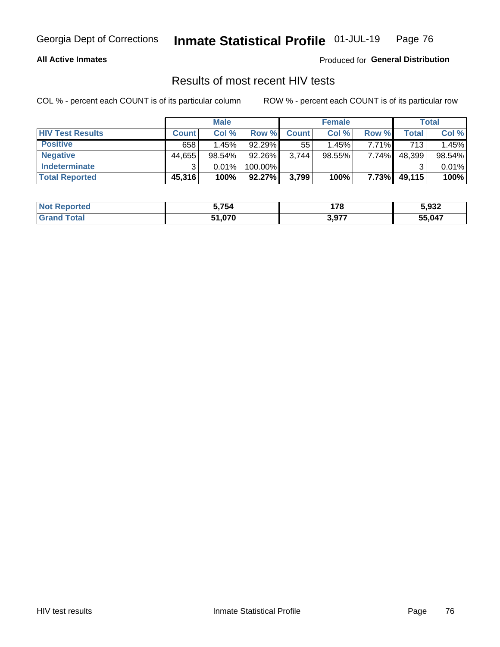### **All Active Inmates**

Produced for **General Distribution**

## Results of most recent HIV tests

|                         | <b>Male</b>  |           |           | <b>Female</b> |           |          | <b>Total</b> |        |
|-------------------------|--------------|-----------|-----------|---------------|-----------|----------|--------------|--------|
| <b>HIV Test Results</b> | <b>Count</b> | Col %     | Row %I    | <b>Count</b>  | Col %     | Row %    | Total        | Col %  |
| <b>Positive</b>         | 658          | 1.45%     | $92.29\%$ | 55            | 1.45%     | $7.71\%$ | 713          | 1.45%  |
| <b>Negative</b>         | 44,655       | $98.54\%$ | 92.26%    | 3,744         | $98.55\%$ | 7.74%    | 48,399       | 98.54% |
| <b>Indeterminate</b>    | ີ            | 0.01%     | 100.00%   |               |           |          |              | 0.01%  |
| <b>Total Reported</b>   | 45,316       | 100%      | $92.27\%$ | 3,799         | 100%      | 7.73%    | 49,115       | 100%   |

| <b>Not Reported</b> | 5,754  | 170             | 5,932  |
|---------------------|--------|-----------------|--------|
| Total               | 51,070 | 577 ہ<br>J,JI . | 55,047 |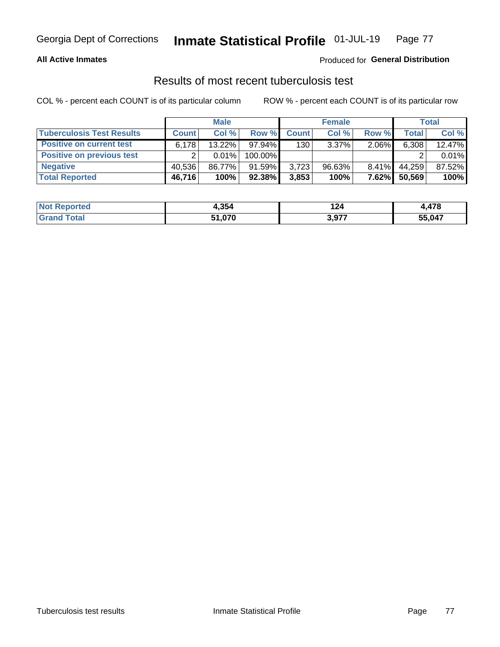### **All Active Inmates**

### Produced for **General Distribution**

### Results of most recent tuberculosis test

|                                  | <b>Male</b>  |        |           | <b>Female</b> |           | Total    |        |        |
|----------------------------------|--------------|--------|-----------|---------------|-----------|----------|--------|--------|
| <b>Tuberculosis Test Results</b> | <b>Count</b> | Col %  | Row %     | <b>Count</b>  | Col %     | Row %    | Total  | Col %  |
| <b>Positive on current test</b>  | 6.178        | 13.22% | 97.94%    | 130           | 3.37%     | 2.06%    | 6,308  | 12.47% |
| <b>Positive on previous test</b> |              | 0.01%  | 100.00%   |               |           |          |        | 0.01%  |
| <b>Negative</b>                  | 40.536       | 86.77% | $91.59\%$ | 3.723         | $96.63\%$ | $8.41\%$ | 44.259 | 87.52% |
| <b>Total Reported</b>            | 46,716       | 100%   | $92.38\%$ | 3,853         | 100%      | $7.62\%$ | 50,569 | 100%   |

| <b>Not Reported</b> | 4,354  | 124   | $1 - \alpha$<br>7. TI V |
|---------------------|--------|-------|-------------------------|
| <b>Total</b>        | 51,070 | 3,977 | 55,047                  |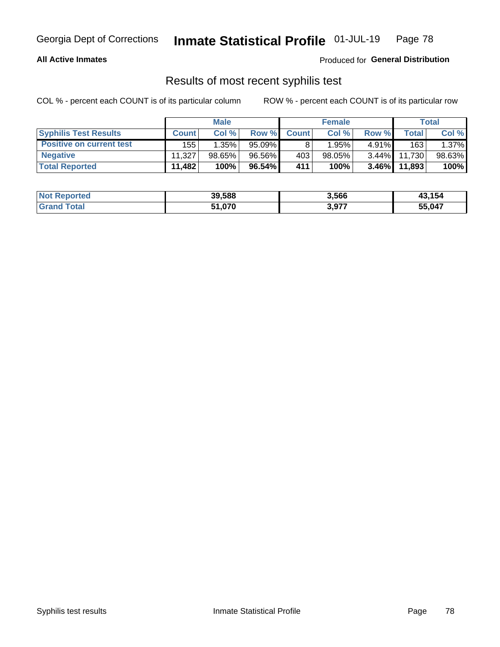### **All Active Inmates**

Produced for **General Distribution**

### Results of most recent syphilis test

|                                 | <b>Male</b>  |           | <b>Female</b> |              |           | Total    |        |        |
|---------------------------------|--------------|-----------|---------------|--------------|-----------|----------|--------|--------|
| <b>Syphilis Test Results</b>    | <b>Count</b> | Col%      | Row %         | <b>Count</b> | Col %     | Row %    | Total  | Col %  |
| <b>Positive on current test</b> | 155          | 1.35%     | $95.09\%$     |              | 1.95%     | $4.91\%$ | 163    | 1.37%  |
| <b>Negative</b>                 | 11.327       | $98.65\%$ | 96.56%        | 403          | $98.05\%$ | $3.44\%$ | 11.730 | 98.63% |
| <b>Total Reported</b>           | 11,482       | 100%      | $96.54\%$     | 411          | 100%      | $3.46\%$ | 11,893 | 100%   |

| <b>Not Reported</b> | 39,588 | 3,566 | 43,154 |
|---------------------|--------|-------|--------|
| <b>Grand Total</b>  | 51,070 | 3,977 | 55,047 |